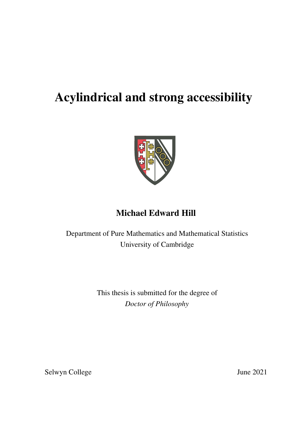# Acylindrical and strong accessibility



## Michael Edward Hill

Department of Pure Mathematics and Mathematical Statistics University of Cambridge

> This thesis is submitted for the degree of *Doctor of Philosophy*

Selwyn College June 2021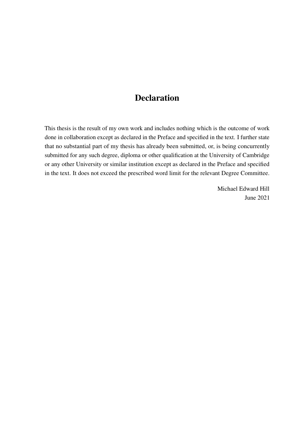## **Declaration**

This thesis is the result of my own work and includes nothing which is the outcome of work done in collaboration except as declared in the Preface and specified in the text. I further state that no substantial part of my thesis has already been submitted, or, is being concurrently submitted for any such degree, diploma or other qualification at the University of Cambridge or any other University or similar institution except as declared in the Preface and specified in the text. It does not exceed the prescribed word limit for the relevant Degree Committee.

> Michael Edward Hill June 2021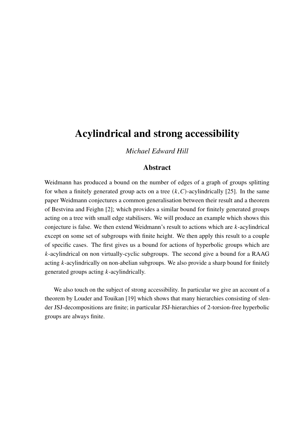## Acylindrical and strong accessibility

*Michael Edward Hill*

#### Abstract

Weidmann has produced a bound on the number of edges of a graph of groups splitting for when a finitely generated group acts on a tree  $(k, C)$ -acylindrically [\[25\]](#page-98-0). In the same paper Weidmann conjectures a common generalisation between their result and a theorem of Bestvina and Feighn [\[2\]](#page-96-0); which provides a similar bound for finitely generated groups acting on a tree with small edge stabilisers. We will produce an example which shows this conjecture is false. We then extend Weidmann's result to actions which are  $k$ -acylindrical except on some set of subgroups with finite height. We then apply this result to a couple of specific cases. The first gives us a bound for actions of hyperbolic groups which are  $k$ -acylindrical on non virtually-cyclic subgroups. The second give a bound for a RAAG acting  $k$ -acylindrically on non-abelian subgroups. We also provide a sharp bound for finitely generated groups acting  $k$ -acylindrically.

We also touch on the subject of strong accessibility. In particular we give an account of a theorem by Louder and Touikan [\[19\]](#page-97-0) which shows that many hierarchies consisting of slender JSJ-decompositions are finite; in particular JSJ-hierarchies of 2-torsion-free hyperbolic groups are always finite.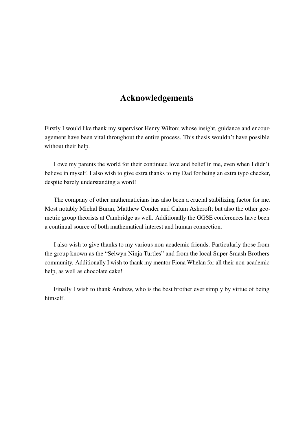### Acknowledgements

Firstly I would like thank my supervisor Henry Wilton; whose insight, guidance and encouragement have been vital throughout the entire process. This thesis wouldn't have possible without their help.

I owe my parents the world for their continued love and belief in me, even when I didn't believe in myself. I also wish to give extra thanks to my Dad for being an extra typo checker, despite barely understanding a word!

The company of other mathematicians has also been a crucial stabilizing factor for me. Most notably Michal Buran, Matthew Conder and Calum Ashcroft; but also the other geometric group theorists at Cambridge as well. Additionally the GGSE conferences have been a continual source of both mathematical interest and human connection.

I also wish to give thanks to my various non-academic friends. Particularly those from the group known as the "Selwyn Ninja Turtles" and from the local Super Smash Brothers community. Additionally I wish to thank my mentor Fiona Whelan for all their non-academic help, as well as chocolate cake!

Finally I wish to thank Andrew, who is the best brother ever simply by virtue of being himself.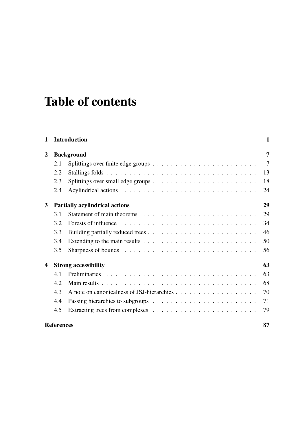# Table of contents

| 1                       |                                       | <b>Introduction</b>                                                                          | $\mathbf{1}$ |
|-------------------------|---------------------------------------|----------------------------------------------------------------------------------------------|--------------|
| 2                       | <b>Background</b>                     |                                                                                              | 7            |
|                         | 2.1                                   | Splittings over finite edge groups $\ldots \ldots \ldots \ldots \ldots \ldots \ldots \ldots$ | $\tau$       |
|                         | 2.2                                   | Stallings folds                                                                              | 13           |
|                         | 2.3                                   |                                                                                              | 18           |
|                         | 2.4                                   |                                                                                              | 24           |
| 3                       | <b>Partially acylindrical actions</b> |                                                                                              | 29           |
|                         | 3.1                                   |                                                                                              | 29           |
|                         | 3.2                                   |                                                                                              | 34           |
|                         | 3.3                                   |                                                                                              | 46           |
|                         | 3.4                                   | Extending to the main results $\dots \dots \dots \dots \dots \dots \dots \dots \dots \dots$  | 50           |
|                         | 3.5                                   |                                                                                              | 56           |
| $\overline{\mathbf{4}}$ |                                       | <b>Strong accessibility</b>                                                                  | 63           |
|                         | 4.1                                   |                                                                                              | 63           |
|                         | 4.2                                   |                                                                                              | 68           |
|                         | 4.3                                   |                                                                                              | 70           |
|                         | 4.4                                   |                                                                                              | 71           |
|                         | 4.5                                   |                                                                                              | 79           |
|                         | <b>References</b>                     |                                                                                              |              |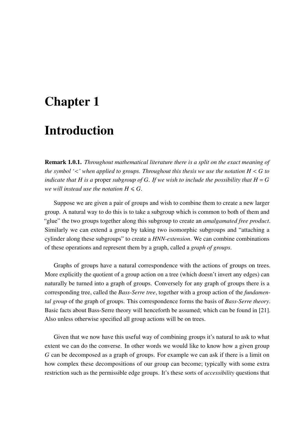## <span id="page-10-0"></span>Chapter 1

## Introduction

Remark 1.0.1. *Throughout mathematical literature there is a split on the exact meaning of the symbol*  $\leq$  *'* when applied to groups. Throughout this thesis we use the notation  $H \leq G$  to *indicate that*  $H$  *is a* proper *subgroup of*  $G$ *. If we wish to include the possibility that*  $H = G$ *we will instead use the notation*  $H \le G$ *.* 

Suppose we are given a pair of groups and wish to combine them to create a new larger group. A natural way to do this is to take a subgroup which is common to both of them and "glue" the two groups together along this subgroup to create an *amalgamated free product*. Similarly we can extend a group by taking two isomorphic subgroups and "attaching a cylinder along these subgroups" to create a *HNN-extension*. We can combine combinations of these operations and represent them by a graph, called a *graph of groups*.

Graphs of groups have a natural correspondence with the actions of groups on trees. More explicitly the quotient of a group action on a tree (which doesn't invert any edges) can naturally be turned into a graph of groups. Conversely for any graph of groups there is a corresponding tree, called the *Bass-Serre tree*, together with a group action of the *fundamental group* of the graph of groups. This correspondence forms the basis of *Bass-Serre theory*. Basic facts about Bass-Serre theory will henceforth be assumed; which can be found in [\[21\]](#page-97-1). Also unless otherwise specified all group actions will be on trees.

Given that we now have this useful way of combining groups it's natural to ask to what extent we can do the converse. In other words we would like to know how a given group  $G$  can be decomposed as a graph of groups. For example we can ask if there is a limit on how complex these decompositions of our group can become; typically with some extra restriction such as the permissible edge groups. It's these sorts of *accessibility* questions that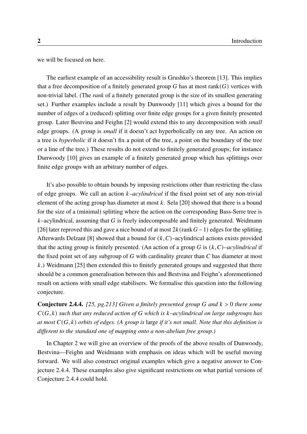we will be focused on here.

The earliest example of an accessibility result is Grushko's theorem [\[13\]](#page-97-2). This implies that a free decomposition of a finitely generated group  $G$  has at most rank( $G$ ) vertices with non-trivial label. (The *rank* of a finitely generated group is the size of its smallest generating set.) Further examples include a result by Dunwoody [\[11\]](#page-97-3) which gives a bound for the number of edges of a (reduced) splitting over finite edge groups for a given finitely presented group. Later Bestvina and Feighn [\[2\]](#page-96-0) would extend this to any decomposition with *small* edge groups. (A group is *small* if it doesn't act hyperbolically on any tree. An action on a tree is *hyperbolic* if it doesn't fix a point of the tree, a point on the boundary of the tree or a line of the tree.) These results do not extend to finitely generated groups; for instance Dunwoody [\[10\]](#page-97-4) gives an example of a finitely generated group which has splittings over finite edge groups with an arbitrary number of edges.

It's also possible to obtain bounds by imposing restrictions other than restricting the class of edge groups. We call an action *–acylindrical* if the fixed point set of any non-trivial element of the acting group has diameter at most  $k$ . Sela [\[20\]](#page-97-5) showed that there is a bound for the size of a (minimal) splitting where the action on the corresponding Bass-Serre tree is  $k$ –acylindrical, assuming that  $G$  is freely indecomposable and finitely generated. Weidmann [\[26\]](#page-98-1) later reproved this and gave a nice bound of at most  $2k$  (rank  $G-1$ ) edges for the splitting. Afterwards Delzant [\[8\]](#page-96-2) showed that a bound for  $(k, C)$ –acylindrical actions exists provided that the acting group is finitely presented. (An action of a group G is  $(k, C)$ –acylindrical if the fixed point set of any subgroup of  $G$  with cardinality greater than  $C$  has diameter at most  $k$ .) Weidmann [\[25\]](#page-98-0) then extended this to finitely generated groups and suggested that there should be a common generalisation between this and Bestvina and Feighn's aforementioned result on actions with small edge stabilisers. We formalise this question into the following conjecture.

**Conjecture [2.4.4.](#page-34-0)** [\[25,](#page-98-0) *pg.213] Given a finitely presented group* G and  $k > 0$  there some  $C(G, k)$  such that any reduced action of G which is  $k$ -acylindrical on large subgroups has *at most*  $C(G, k)$  *orbits of edges.* (A group is large if it's not small. Note that this definition is *different to the standard one of mapping onto a non-abelian free group.)*

In Chapter [2](#page-16-0) we will give an overview of the proofs of the above results of Dunwoody, Bestvina—Feighn and Weidmann with emphasis on ideas which will be useful moving forward. We will also construct original examples which give a negative answer to Conjecture 2.4.[4](#page-34-0). These examples also give significant restrictions on what partial versions of Conjecture [2](#page-34-0).4.4 could hold.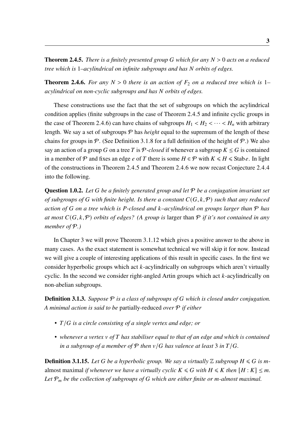**Theorem [2.4.5.](#page-34-1)** *There is a finitely presented group* G which for any  $N > 0$  acts on a reduced *tree which is* 1*–acylindrical on infinite subgroups and has orbits of edges.*

**Theorem [2.4.6.](#page-36-0)** For any  $N > 0$  there is an action of  $F_2$  on a reduced tree which is 1– *acylindrical on non-cyclic subgroups and has orbits of edges.*

These constructions use the fact that the set of subgroups on which the acylindrical condition applies (finite subgroups in the case of Theorem [2](#page-34-1).4.5 and infinite cyclic groups in the case of Theorem [2](#page-36-0).4.6) can have chains of subgroups  $H_1 < H_2 < \cdots < H_n$  with arbitrary length. We say a set of subgroups  $P$  has *height* equal to the supremum of the length of these chains for groups in  $\mathcal P$ . (See Definition [3](#page-40-0).1.8 for a full definition of the height of  $\mathcal P$ .) We also say an action of a group G on a tree T is P-closed if whenever a subgroup  $K \leq G$  is contained in a member of P and fixes an edge e of T there is some  $H \in \mathcal{P}$  with  $K \le H \le$  Stabe. In light of the constructions in Theorem [2](#page-34-1).4.5 and Theorem [2](#page-36-0).4.6 we now recast Conjecture 2.[4](#page-34-0).4 into the following.

Question 1.0.2. *Let be a finitely generated group and let* P *be a conjugation invariant set of subgroups of* G with finite height. Is there a constant  $C(G, k, P)$  *such that any reduced action of* G on a tree which is P-closed and *k*-acylindrical on groups larger than  $P$  has *at most*  $C(G, k, P)$  *orbits of edges?* (A group is larger than P if it's not contained in any *member of* P*.)*

In Chapter [3](#page-38-0) we will prove Theorem 3.1.[12](#page-40-1) which gives a positive answer to the above in many cases. As the exact statement is somewhat technical we will skip it for now. Instead we will give a couple of interesting applications of this result in specific cases. In the first we consider hyperbolic groups which act  $k$ -acylindrically on subgroups which aren't virtually cyclic. In the second we consider right-angled Artin groups which act  $k$ -acylindrically on non-abelian subgroups.

**Definition [3.1.3.](#page-38-2)** *Suppose*  $P$  *is a class of subgroups of G which is closed under conjugation. A minimal action is said to be* partially-reduced *over* P *if either*

- *T*/*G* is a circle consisting of a single vertex and edge; or
- whenever a vertex v of T has stabiliser equal to that of an edge and which is contained *in a subgroup of a member of*  $P$  *then*  $v/G$  *has valence at least* 3 *in*  $T/G$ *.*

**Definition [3.1.15.](#page-42-0)** Let G be a hyperbolic group. We say a virtually  $\mathbb{Z}$  subgroup  $H \le G$  is malmost maximal *if whenever we have a virtually cyclic*  $K \le G$  *with*  $H \le K$  *then*  $[H: K] \le m$ . Let  $P_m$  be the collection of subgroups of G which are either finite or *m*-almost maximal.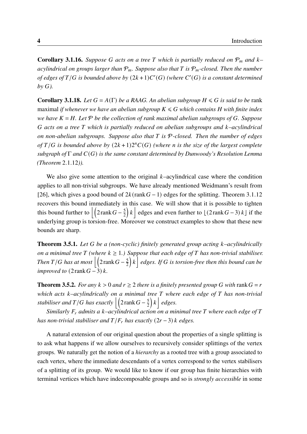**Corollary [3.1.16.](#page-42-1)** Suppose G acts on a tree T which is partially reduced on  $P_m$  and  $k$ *acylindrical on groups larger than*  $P_m$ . Suppose also that T is  $P_m$ -closed. Then the number of edges of  $T/G$  is bounded above by  $(2k+1)C'(G)$  (where  $C'(G)$  is a constant determined *by ).*

**Corollary [3.1.18.](#page-42-2)** *Let*  $G = A(\Gamma)$  *be a RAAG. An abelian subgroup*  $H \le G$  *is said to be* rank maximal *if whenever we have an abelian subgroup*  $K \le G$  which contains H with finite index *we have*  $K = H$ . Let  $P$  *be the collection of rank maximal abelian subgroups of G. Suppose acts on a tree which is partially reduced on abelian subgroups and –acylindrical on non-abelian subgroups. Suppose also that* T is  $P$ -closed. Then the number of edges of  $T/G$  is bounded above by  $(2k+1)2<sup>n</sup>C(G)$  (where *n* is the size of the largest complete *subgraph of* Γ *and*  $C(G)$  *is the same constant determined by Dunwoody's Resolution Lemma (Theorem* 2.1.[12](#page-18-0)*)).*

We also give some attention to the original  $k$ -acylindrical case where the condition applies to all non-trivial subgroups. We have already mentioned Weidmann's result from [\[26\]](#page-98-1), which gives a good bound of  $2k$ (rank  $G-1$ ) edges for the splitting. Theorem 3.1.[12](#page-40-1) recovers this bound immediately in this case. We will show that it is possible to tighten this bound further to  $\left| \left( 2 \text{ rank } G - \frac{5}{2} \right) \right|$ 2  $k$  edges and even further to  $\lfloor (2 \text{rank} G - 3) k \rfloor$  if the underlying group is torsion-free. Moreover we construct examples to show that these new bounds are sharp.

Theorem [3.5.1.](#page-65-1) *Let be a (non-cyclic) finitely generated group acting –acylindrically on a minimal tree*  $T$  (where  $k \geq 1$ .) Suppose that each edge of  $T$  has non-trivial stabiliser. *Then*  $T/G$  has at most  $\Big| \Big( 2 \text{rank} G - \frac{5}{2} \Big)$ 2  $\left\{ \left| k \right. \right\}$  *edges. If* G is torsion-free then this bound can be *improved to*  $(2 \text{rank} G - 3) k$ .

**Theorem [3.5.2.](#page-65-2)** *For any*  $k > 0$  *and*  $r \ge 2$  *there is a finitely presented group* G *with* rank  $G = r$ *which acts –acylindrically on a minimal tree where each edge of has non-trivial stabiliser and T* / *G* has exactly  $\left| \left( 2\mathrm{rank}\, G - \frac{5}{2}\right) \right|$ 2  $\left| k \right|$  *edges.* 

*Similarly*  $F_r$  admits a k–acylindrical action on a minimal tree T where each edge of T *has non-trivial stabiliser and*  $T/F_r$  *has exactly*  $(2r - 3)$  *k edges.* 

A natural extension of our original question about the properties of a single splitting is to ask what happens if we allow ourselves to recursively consider splittings of the vertex groups. We naturally get the notion of a *hierarchy* as a rooted tree with a group associated to each vertex, where the immediate descendants of a vertex correspond to the vertex stabilisers of a splitting of its group. We would like to know if our group has finite hierarchies with terminal vertices which have indecomposable groups and so is *strongly accessible* in some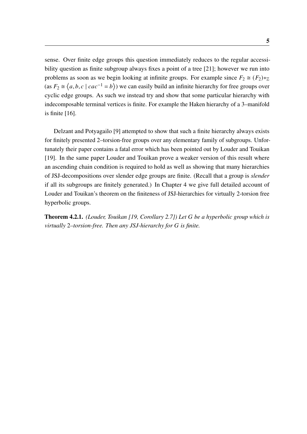sense. Over finite edge groups this question immediately reduces to the regular accessi-bility question as finite subgroup always fixes a point of a tree [\[21\]](#page-97-1); however we run into problems as soon as we begin looking at infinite groups. For example since  $F_2 \cong (F_2) *_{\mathbb{Z}}$ (as  $F_2 \cong \langle a, b, c \mid cac^{-1} = b \rangle$ ) we can easily build an infinite hierarchy for free groups over cyclic edge groups. As such we instead try and show that some particular hierarchy with indecomposable terminal vertices is finite. For example the Haken hierarchy of a 3–manifold is finite [\[16\]](#page-97-6).

Delzant and Potyagailo [\[9\]](#page-96-3) attempted to show that such a finite hierarchy always exists for finitely presented 2–torsion-free groups over any elementary family of subgroups. Unfortunately their paper contains a fatal error which has been pointed out by Louder and Touikan [\[19\]](#page-97-0). In the same paper Louder and Touikan prove a weaker version of this result where an ascending chain condition is required to hold as well as showing that many hierarchies of JSJ-decompositions over slender edge groups are finite. (Recall that a group is *slender* if all its subgroups are finitely generated.) In Chapter [4](#page-72-0) we give full detailed account of Louder and Touikan's theorem on the finiteness of JSJ-hierarchies for virtually 2-torsion free hyperbolic groups.

Theorem [4.2.1.](#page-77-1) *(Louder, Touikan [\[19,](#page-97-0) Corollary 2.7]) Let be a hyperbolic group which is virtually* 2*–torsion-free. Then any JSJ-hierarchy for is finite.*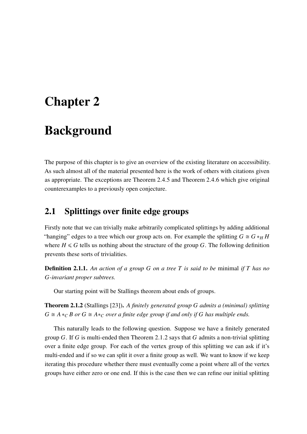## <span id="page-16-0"></span>Chapter 2

## Background

The purpose of this chapter is to give an overview of the existing literature on accessibility. As such almost all of the material presented here is the work of others with citations given as appropriate. The exceptions are Theorem [2](#page-34-1).4.5 and Theorem [2](#page-36-0).4.6 which give original counterexamples to a previously open conjecture.

#### <span id="page-16-1"></span>2.1 Splittings over finite edge groups

Firstly note that we can trivially make arbitrarily complicated splittings by adding additional "hanging" edges to a tree which our group acts on. For example the splitting  $G \cong G *_{H} H$ where  $H \le G$  tells us nothing about the structure of the group G. The following definition prevents these sorts of trivialities.

**Definition 2.1.1.** An action of a group G on a tree T is said to be minimal if T has no *-invariant proper subtrees.*

Our starting point will be Stallings theorem about ends of groups.

<span id="page-16-2"></span>Theorem 2.1.2 (Stallings [\[23\]](#page-98-2)). *A finitely generated group admits a (minimal) splitting*  $G \cong A *_{C} B$  or  $G \cong A *_{C}$  over a finite edge group if and only if G has multiple ends.

This naturally leads to the following question. Suppose we have a finitely generated group  $G$ . If  $G$  is multi-ended then Theorem [2](#page-16-2).1.2 says that  $G$  admits a non-trivial splitting over a finite edge group. For each of the vertex group of this splitting we can ask if it's multi-ended and if so we can split it over a finite group as well. We want to know if we keep iterating this procedure whether there must eventually come a point where all of the vertex groups have either zero or one end. If this is the case then we can refine our initial splitting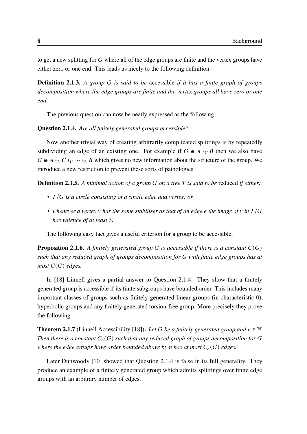to get a new splitting for  $G$  where all of the edge groups are finite and the vertex groups have either zero or one end. This leads us nicely to the following definition.

**Definition 2.1.3.** A group G is said to be accessible *if it has a finite graph of groups decomposition where the edge groups are finite and the vertex groups all have zero or one end.*

The previous question can now be neatly expressed as the following.

#### <span id="page-17-0"></span>Question 2.1.4. *Are all finitely generated groups accessible?*

Now another trivial way of creating arbitrarily complicated splittings is by repeatedly subdividing an edge of an existing one. For example if  $G \cong A *_{C} B$  then we also have  $G \cong A *_{C} C *_{C} \cdots *_{C} B$  which gives no new information about the structure of the group. We introduce a new restriction to prevent these sorts of pathologies.

**Definition 2.1.5.** A minimal action of a group G on a tree T is said to be reduced if either:

- *T*/*G* is a circle consisting of a single edge and vertex; or
- whenever a vertex  $\nu$  has the same stabiliser as that of an edge e the image of  $\nu$  in  $T/G$ *has valence of at least* 3*.*

The following easy fact gives a useful criterion for a group to be accessible.

**Proposition 2.1.6.** A finitely generated group G is accessible if there is a constant  $C(G)$ *such that any reduced graph of groups decomposition for with finite edge groups has at most*  $C(G)$  *edges.* 

In [\[18\]](#page-97-7) Linnell gives a partial answer to Question [2](#page-17-0).1.4. They show that a finitely generated group is accessible if its finite subgroups have bounded order. This includes many important classes of groups such as finitely generated linear groups (in characteristic 0), hyperbolic groups and any finitely generated torsion-free group. More precisely they prove the following.

<span id="page-17-1"></span>**Theorem 2.1.7** (Linnell Accessibility [\[18\]](#page-97-7)). *Let* G be a finitely generated group and  $n \in \mathbb{N}$ . *Then there is a constant*  $C_n(G)$  *such that any reduced graph of groups decomposition for* G *where the edge groups have order bounded above by n has at most*  $C_n(G)$  *edges.* 

Later Dunwoody [\[10\]](#page-97-4) showed that Question [2](#page-17-0).1.4 is false in its full generality. They produce an example of a finitely generated group which admits splittings over finite edge groups with an arbitrary number of edges.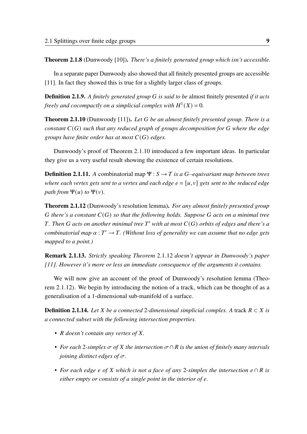Theorem 2.1.8 (Dunwoody [\[10\]](#page-97-4)). *There's a finitely generated group which isn't accessible.*

In a separate paper Dunwoody also showed that all finitely presented groups are accessible [\[11\]](#page-97-3). In fact they showed this is true for a slightly larger class of groups.

Definition 2.1.9. *A finitely generated group is said to be* almost finitely presented *if it acts freely and cocompactly on a simplicial complex with*  $H^1(X) = 0$ .

<span id="page-18-1"></span>Theorem 2.1.10 (Dunwoody [\[11\]](#page-97-3)). *Let be an almost finitely presented group. There is a constant*  $C(G)$  *such that any reduced graph of groups decomposition for*  $G$  *where the edge groups have finite order has at most*  $C(G)$  *edges.* 

Dunwoody's proof of Theorem 2.1.[10](#page-18-1) introduced a few important ideas. In particular they give us a very useful result showing the existence of certain resolutions.

**Definition 2.1.11.** *A* combinatorial map  $\Psi$  :  $S \rightarrow T$  is a *G*-equivariant map between trees *where each vertex gets sent to a vertex and each edge*  $e = [u, v]$  *gets sent to the reduced edge path from*  $\Psi(u)$  *to*  $\Psi(v)$ *.* 

<span id="page-18-0"></span>Theorem 2.1.12 (Dunwoody's resolution lemma). *For any almost finitely presented group G* there's a constant  $C(G)$  so that the following holds. Suppose G acts on a minimal tree *. Then acts on another minimal tree* ′ *with at most* () *orbits of edges and there's a combinatorial map*  $\alpha : T' \to T$ . (Without loss of generality we can assume that no edge gets *mapped to a point.)*

Remark 2.1.13. *Strictly speaking Theorem* 2.1.[12](#page-18-0) *doesn't appear in Dunwoody's paper [\[11\]](#page-97-3). However it's more or less an immediate consequence of the arguments it contains.*

We will now give an account of the proof of Dunwoody's resolution lemma (Theorem 2.1.[12](#page-18-0)). We begin by introducing the notion of a track, which can be thought of as a generalisation of a 1-dimensional sub-manifold of a surface.

**Definition 2.1.14.** Let *X* be a connected 2-dimensional simplicial complex. A track  $R \subset X$  is *a connected subset with the following intersection properties.*

- *R* doesn't contain any vertex of X.
- *For each* 2*-simplex of the intersection* ∩ *is the union of finitely many intervals joining distinct edges of*  $\sigma$ .
- For each edge e of X which is not a face of any 2-simplex the intersection  $e \cap R$  is *either empty or consists of a single point in the interior of .*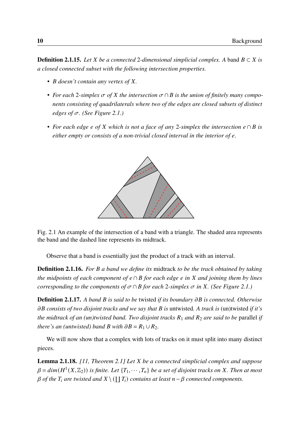**Definition 2.1.15.** *Let*  $X$  *be a connected* 2-dimensional simplicial complex. A band  $B \subset X$  is *a closed connected subset with the following intersection properties.*

- *B* doesn't contain any vertex of X.
- For each 2-simplex  $\sigma$  of X the intersection  $\sigma \cap B$  is the union of finitely many compo*nents consisting of quadrilaterals where two of the edges are closed subsets of distinct edges of*  $\sigma$ *. (See Figure [2.1.](#page-19-0))*
- <span id="page-19-0"></span>• For each edge  $e$  of  $X$  which is not a face of any 2-simplex the intersection  $e \cap B$  is *either empty or consists of a non-trivial closed interval in the interior of e.*



Fig. 2.1 An example of the intersection of a band with a triangle. The shaded area represents the band and the dashed line represents its midtrack.

Observe that a band is essentially just the product of a track with an interval.

Definition 2.1.16. *For a band we define its* midtrack *to be the track obtained by taking the midpoints of each component of*  $e \cap B$  *for each edge e in*  $X$  *and joining them by lines corresponding to the components of*  $\sigma \cap B$  *for each* 2*-simplex*  $\sigma$  *in X*. (See Figure [2.1.](#page-19-0))

Definition 2.1.17. *A band is said to be* twisted *if its boundary is connected. Otherwise consists of two disjoint tracks and we say that is* untwisted*. A track is* (un)twisted *if it's the midtrack of an (un)twisted band. Two disjoint tracks*  $R_1$  *and*  $R_2$  *are said to be* parallel *if there's an (untwisted) band*  $B$  *with*  $\partial B = R_1 \cup R_2$ *.* 

We will now show that a complex with lots of tracks on it must split into many distinct pieces.

<span id="page-19-1"></span>Lemma 2.1.18. *[\[11,](#page-97-3) Theorem 2.1] Let be a connected simplicial complex and suppose*  $\beta = dim(H^1(X,\mathbb{Z}_2))$  is finite. Let  $\{T_1, \cdots, T_n\}$  be a set of disjoint tracks on X. Then at most  $\beta$  of the  $T_i$  are twisted and  $X \setminus (\coprod T_i)$  contains at least  $n - \beta$  connected components.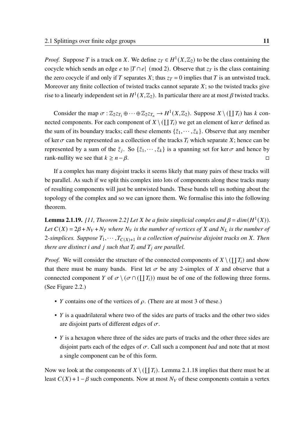*Proof.* Suppose T is a track on X. We define  $z_T \in H^1(X, \mathbb{Z}_2)$  to be the class containing the cocycle which sends an edge *e* to  $|T \cap e|$  (mod 2). Observe that  $z_T$  is the class containing the zero cocycle if and only if T separates X; thus  $z_T = 0$  implies that T is an untwisted track. Moreover any finite collection of twisted tracks cannot separate  $X$ ; so the twisted tracks give rise to a linearly independent set in  $H^1(X,\mathbb{Z}_2)$ . In particular there are at most  $\beta$  twisted tracks.

Consider the map  $\sigma : \mathbb{Z}_2 z_{T_1} \oplus \cdots \oplus \mathbb{Z}_2 z_{T_n} \to H^1(X, \mathbb{Z}_2)$ . Suppose  $X \setminus (\coprod T_i)$  has k connected components. For each component of  $X \setminus (\coprod T_i)$  we get an element of ker $\sigma$  defined as the sum of its boundary tracks; call these elements  $\{\tilde{z}_1, \dots, \tilde{z}_k\}$ . Observe that any member of ker  $\sigma$  can be represented as a collection of the tracks  $T_i$  which separate X; hence can be represented by a sum of the  $\tilde{z}_j$ . So  $\{\tilde{z}_1, \dots, \tilde{z}_k\}$  is a spanning set for ker $\sigma$  and hence by rank-nullity we see that  $k \geq n - \beta$ .

If a complex has many disjoint tracks it seems likely that many pairs of these tracks will be parallel. As such if we split this complex into lots of components along these tracks many of resulting components will just be untwisted bands. These bands tell us nothing about the topology of the complex and so we can ignore them. We formalise this into the following theorem.

<span id="page-20-0"></span>**Lemma 2.1.19.** [\[11,](#page-97-3) Theorem 2.2] Let X be a finite simplicial complex and  $\beta = dim(H^1(X))$ . *Let*  $C(X) = 2\beta + N_V + N_T$  where  $N_V$  is the number of vertices of X and  $N_L$  is the number of 2-simplices. Suppose  $T_1, \dots, T_{C(X)+1}$  is a collection of pairwise disjoint tracks on X. Then *there are distinct i and j such that*  $T_i$  *and*  $T_j$  *are parallel.* 

*Proof.* We will consider the structure of the connected components of  $X \setminus (\coprod T_i)$  and show that there must be many bands. First let  $\sigma$  be any 2-simplex of X and observe that a connected component Y of  $\sigma \setminus (\sigma \cap (\coprod T_i))$  must be of one of the following three forms. (See Figure [2.2.](#page-21-0))

- *Y* contains one of the vertices of  $\rho$ . (There are at most 3 of these.)
- $\bullet$  Y is a quadrilateral where two of the sides are parts of tracks and the other two sides are disjoint parts of different edges of  $\sigma$ .
- $Y$  is a hexagon where three of the sides are parts of tracks and the other three sides are disjoint parts each of the edges of  $\sigma$ . Call such a component *bad* and note that at most a single component can be of this form.

Now we look at the components of  $X \setminus (\coprod T_i)$ . Lemma 2.1.[18](#page-19-1) implies that there must be at least  $C(X) + 1 - \beta$  such components. Now at most  $N_V$  of these components contain a vertex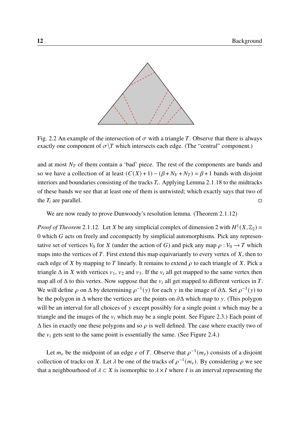<span id="page-21-0"></span>

Fig. 2.2 An example of the intersection of  $\sigma$  with a triangle T. Observe that there is always exactly one component of  $\sigma$ \T which intersects each edge. (The "central" component.)

and at most  $N<sub>T</sub>$  of them contain a 'bad' piece. The rest of the components are bands and so we have a collection of at least  $(C(X) + 1) - (\beta + N_V + N_T) = \beta + 1$  bands with disjoint interiors and boundaries consisting of the tracks  $T_i$ . Applying Lemma 2.1.[18](#page-19-1) to the midtracks of these bands we see that at least one of them is untwisted; which exactly says that two of the  $T_i$  are parallel.  $\Box$ 

We are now ready to prove Dunwoody's resolution lemma. (Theorem 2.1.[12](#page-18-0))

*Proof of Theorem* 2.1.[12](#page-18-0). Let X be any simplicial complex of dimension 2 with  $H^1(X,\mathbb{Z}_2)$  =  $0$  which  $G$  acts on freely and cocompactly by simplicial automorphisms. Pick any representative set of vertices  $V_0$  for X (under the action of G) and pick any map  $\rho : V_0 \to T$  which maps into the vertices of  $T$ . First extend this map equivariantly to every vertex of  $X$ , then to each edge of X by mapping to T linearly. It remains to extend  $\rho$  to each triangle of X. Pick a triangle  $\Delta$  in X with vertices  $v_1$ ,  $v_2$  and  $v_3$ . If the  $v_i$  all get mapped to the same vertex then map all of  $\Delta$  to this vertex. Now suppose that the  $v_i$  all get mapped to different vertices in T. We will define  $\rho$  on  $\Delta$  by determining  $\rho^{-1}(y)$  for each y in the image of  $\partial \Delta$ . Set  $\rho^{-1}(y)$  to be the polygon in  $\Delta$  where the vertices are the points on  $\partial \Delta$  which map to y. (This polygon will be an interval for all choices of  $\nu$  except possibly for a single point  $x$  which may be a triangle and the images of the  $v_i$  which may be a single point. See Figure [2.3.](#page-22-1)) Each point of  $\Delta$  lies in exactly one these polygons and so  $\rho$  is well defined. The case where exactly two of the  $v_i$  gets sent to the same point is essentially the same. (See Figure [2.4.](#page-22-2))

Let  $m_e$  be the midpoint of an edge *e* of T. Observe that  $\rho^{-1}(m_e)$  consists of a disjoint collection of tracks on X. Let  $\lambda$  be one of the tracks of  $\rho^{-1}(m_e)$ . By considering  $\rho$  we see that a neighbourhood of  $\lambda \subset X$  is isomorphic to  $\lambda \times I$  where I is an interval representing the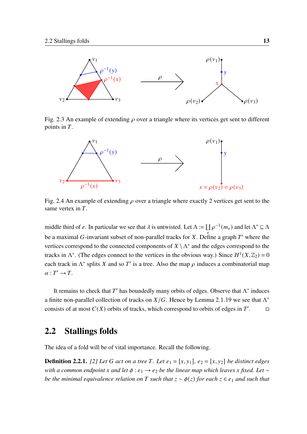<span id="page-22-1"></span>

Fig. 2.3 An example of extending  $\rho$  over a triangle where its vertices get sent to different points in  $T$ .

<span id="page-22-2"></span>

Fig. 2.4 An example of extending  $\rho$  over a triangle where exactly 2 vertices get sent to the same vertex in  $T$ .

middle third of e. In particular we see that  $\lambda$  is untwisted. Let  $\Lambda := \coprod \rho^{-1}(m_e)$  and let  $\Lambda^* \subseteq \Lambda$ be a maximal G-invariant subset of non-parallel tracks for X. Define a graph T' where the vertices correspond to the connected components of  $X \setminus \Lambda^*$  and the edges correspond to the tracks in  $\Lambda^*$ . (The edges connect to the vertices in the obvious way.) Since  $H^1(X, \mathbb{Z}_2) = 0$ each track in  $\Lambda^*$  splits X and so T' is a tree. Also the map  $\rho$  induces a combinatorial map  $\alpha: T' \to T$ .

It remains to check that T' has boundedly many orbits of edges. Observe that  $\Lambda^*$  induces a finite non-parallel collection of tracks on  $X/G$ . Hence by Lemma 2.1.[19](#page-20-0) we see that  $\Lambda^*$ consists of at most  $C(X)$  orbits of tracks, which correspond to orbits of edges in  $T'$  $\Box$ 

#### <span id="page-22-0"></span>2.2 Stallings folds

The idea of a fold will be of vital importance. Recall the following.

**Definition 2.2.1.** [\[2\]](#page-96-0) Let G act on a tree T. Let  $e_1 = [x, y_1]$ ,  $e_2 = [x, y_2]$  be distinct edges *with a common endpoint x and let*  $\phi$  *: e*<sub>1</sub> → *e*<sub>2</sub> *be the linear map which leaves x fixed. Let* ∼ *be the minimal equivalence relation on* T such that  $z \sim \phi(z)$  for each  $z \in e_1$  and such that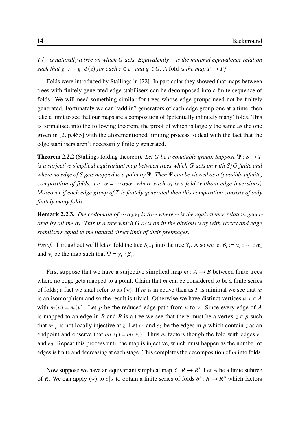/∼ *is naturally a tree on which acts. Equivalently* ∼ *is the minimal equivalence relation such that*  $g \cdot z \sim g \cdot \phi(z)$  *for each*  $z \in e_1$  *and*  $g \in G$ . A fold *is the map*  $T \rightarrow T/\sim$ *.* 

Folds were introduced by Stallings in [\[22\]](#page-97-8). In particular they showed that maps between trees with finitely generated edge stabilisers can be decomposed into a finite sequence of folds. We will need something similar for trees whose edge groups need not be finitely generated. Fortunately we can "add in" generators of each edge group one at a time, then take a limit to see that our maps are a composition of (potentially infinitely many) folds. This is formalised into the following theorem, the proof of which is largely the same as the one given in [\[2,](#page-96-0) p.455] with the aforementioned limiting process to deal with the fact that the edge stabilisers aren't necessarily finitely generated.

<span id="page-23-0"></span>**Theorem 2.2.2** (Stallings folding theorem). Let G be a countable group. Suppose  $\Psi$  :  $S \rightarrow T$ *is a surjective simplical equivariant map between trees which* G acts on with  $S/G$  finite and *where no edge of gets mapped to a point by* Ψ*. Then* Ψ *can be viewed as a (possibly infinite) composition of folds. i.e.*  $\alpha = \cdots \alpha_2 \alpha_1$  where each  $\alpha_i$  is a fold (without edge inversions). *Moreover if each edge group of is finitely generated then this composition consists of only finitely many folds.*

**Remark 2.2.3.** *The codomain of*  $\cdots \alpha_2 \alpha_1$  *is*  $S/\sim$  *where*  $\sim$  *is the equivalence relation generated by all the . This is a tree which acts on in the obvious way with vertex and edge stabilisers equal to the natural direct limit of their preimages.*

*Proof.* Throughout we'll let  $\alpha_i$  fold the tree  $S_{i-1}$  into the tree  $S_i$ . Also we let  $\beta_i := \alpha_i \circ \cdots \circ \alpha_1$ and  $\gamma_i$  be the map such that  $\Psi = \gamma_i \circ \beta_i$ .

First suppose that we have a surjective simplical map  $m : A \rightarrow B$  between finite trees where no edge gets mapped to a point. Claim that  $m$  can be considered to be a finite series of folds; a fact we shall refer to as  $(\star)$ . If *m* is injective then as *T* is minimal we see that *m* is an isomorphism and so the result is trivial. Otherwise we have distinct vertices  $u, v \in A$ with  $m(u) = m(v)$ . Let p be the reduced edge path from u to v. Since every edge of A is mapped to an edge in B and B is a tree we see that there must be a vertex  $z \in p$  such that  $m|_p$  is not locally injective at z. Let  $e_1$  and  $e_2$  be the edges in p which contain z as an endpoint and observe that  $m(e_1) = m(e_2)$ . Thus m factors though the fold with edges  $e_1$ and  $e_2$ . Repeat this process until the map is injective, which must happen as the number of edges is finite and decreasing at each stage. This completes the decomposition of  $m$  into folds.

Now suppose we have an equivariant simplical map  $\delta : R \to R'$ . Let A be a finite subtree of R. We can apply  $(\star)$  to  $\delta|_A$  to obtain a finite series of folds  $\delta' : R \to R''$  which factors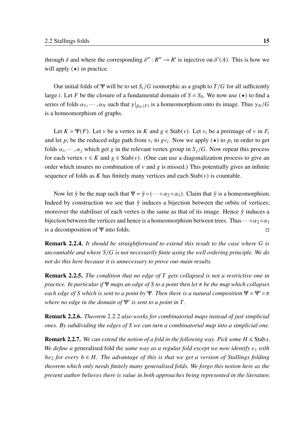through  $\delta$  and where the corresponding  $\delta'' : R'' \to R'$  is injective on  $\delta'(A)$ . This is how we will apply  $(\star)$  in practice.

Our initial folds of Ψ will be to set  $S_i/G$  isomorphic as a graph to  $T/G$  for all sufficiently large *i*. Let F be the closure of a fundamental domain of  $S = S_0$ . We now use  $(\star)$  to find a series of folds  $\alpha_1, \cdots, \alpha_N$  such that  $\gamma|_{\beta_N(F)}$  is a homeomorphism onto its image. Thus  $\gamma_N/G$ is a homeomorphism of graphs.

Let  $K = \Psi(F)$ . Let v be a vertex in K and  $g \in \text{Stab}(v)$ . Let  $v_i$  be a preimage of v in  $F_i$ and let  $p_i$  be the reduced edge path from  $v_i$  to  $gv_i$ . Now we apply  $(\star)$  to  $p_i$  in order to get folds  $\alpha_i, \dots, \alpha_j$  which get g in the relevant vertex group in  $S_i/G$ . Now repeat this process for each vertex  $v \in K$  and  $g \in \text{Stab}(v)$ . (One can use a diagonalization process to give an order which insures no combination of  $\nu$  and  $g$  is missed.) This potentially gives an infinite sequence of folds as K has finitely many vertices and each  $Stab(v)$  is countable.

Now let  $\tilde{\gamma}$  be the map such that  $\Psi = \tilde{\gamma} \circ (\cdots \circ \alpha_2 \circ \alpha_1)$ . Claim that  $\tilde{\gamma}$  is a homeomorphism. Indeed by construction we see that  $\tilde{\gamma}$  induces a bijection between the orbits of vertices; moreover the stabiliser of each vertex is the same as that of its image. Hence  $\tilde{\gamma}$  induces a bijection between the vertices and hence is a homeomorphism between trees. Thus  $\cdots \circ \alpha_2 \circ \alpha_1$ is a decomposition of Ψ into folds.  $\Box$ 

Remark 2.2.4. *It should be straightforward to extend this result to the case where is uncountable and where*  $S/G$  *is not necessarily finite using the well ordering principle. We do not do this here because it is unnecessary to prove our main results.*

Remark 2.2.5. *The condition that no edge of gets collapsed is not a restrictive one in practice. In particular if* Ψ *maps an edge of to a point then let be the map which collapses each edge of S* which is sent to a point by Ψ. Then there is a natural composition  $\Psi = \Psi' \circ \pi$ *where no edge in the domain of*  $\Psi'$  *is sent to a point in T*.

Remark 2.2.6. *Theorem* [2](#page-23-0).2.2 *also works for combinatorial maps instead of just simplicial ones. By subdividing the edges of S* we can turn a combinatorial map into a simplicial one.

**Remark 2.2.7.** *We can extend the notion of a fold in the following way. Pick some*  $H \leq$ *Stabx. We define a* generalised fold *the same way as a regular fold except we now identify*  $e_1$  *with*  $he_2$  *for every*  $h \in H$ . The advantage of this is that we get a version of Stallings folding *theorem which only needs finitely many generalised folds. We forgo this notion here as the present author believes there is value in both approaches being represented in the literature.*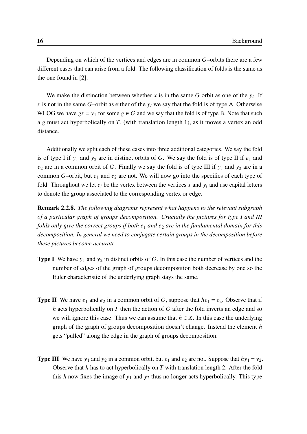Depending on which of the vertices and edges are in common  $G$ -orbits there are a few different cases that can arise from a fold. The following classification of folds is the same as the one found in [\[2\]](#page-96-0).

We make the distinction between whether  $x$  is in the same  $G$  orbit as one of the  $y_i$ . If x is not in the same G-orbit as either of the  $y_i$  we say that the fold is of type A. Otherwise WLOG we have  $gx = y_1$  for some  $g \in G$  and we say that the fold is of type B. Note that such a g must act hyperbolically on  $T$ , (with translation length 1), as it moves a vertex an odd distance.

Additionally we split each of these cases into three additional categories. We say the fold is of type I if  $y_1$  and  $y_2$  are in distinct orbits of G. We say the fold is of type II if  $e_1$  and  $e_2$  are in a common orbit of G. Finally we say the fold is of type III if  $y_1$  and  $y_2$  are in a common  $G$ -orbit, but  $e_1$  and  $e_2$  are not. We will now go into the specifics of each type of fold. Throughout we let  $e_i$  be the vertex between the vertices x and  $y_i$  and use capital letters to denote the group associated to the corresponding vertex or edge.

Remark 2.2.8. *The following diagrams represent what happens to the relevant subgraph of a particular graph of groups decomposition. Crucially the pictures for type I and III folds only give the correct groups if both*  $e_1$  *and*  $e_2$  *are in the fundamental domain for this decomposition. In general we need to conjugate certain groups in the decomposition before these pictures become accurate.*

- **Type I** We have  $y_1$  and  $y_2$  in distinct orbits of G. In this case the number of vertices and the number of edges of the graph of groups decomposition both decrease by one so the Euler characteristic of the underlying graph stays the same.
- **Type II** We have  $e_1$  and  $e_2$  in a common orbit of G, suppose that  $he_1 = e_2$ . Observe that if  $h$  acts hyperbolically on  $T$  then the action of  $G$  after the fold inverts an edge and so we will ignore this case. Thus we can assume that  $h \in X$ . In this case the underlying graph of the graph of groups decomposition doesn't change. Instead the element  $h$ gets "pulled" along the edge in the graph of groups decomposition.
- **Type III** We have  $y_1$  and  $y_2$  in a common orbit, but  $e_1$  and  $e_2$  are not. Suppose that  $hy_1 = y_2$ . Observe that  $h$  has to act hyperbolically on  $T$  with translation length 2. After the fold this h now fixes the image of  $y_1$  and  $y_2$  thus no longer acts hyperbolically. This type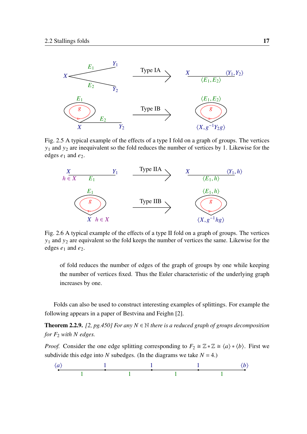

Fig. 2.5 A typical example of the effects of a type I fold on a graph of groups. The vertices  $y_1$  and  $y_2$  are inequivalent so the fold reduces the number of vertices by 1. Likewise for the edges  $e_1$  and  $e_2$ .



Fig. 2.6 A typical example of the effects of a type II fold on a graph of groups. The vertices  $y_1$  and  $y_2$  are equivalent so the fold keeps the number of vertices the same. Likewise for the edges  $e_1$  and  $e_2$ .

of fold reduces the number of edges of the graph of groups by one while keeping the number of vertices fixed. Thus the Euler characteristic of the underlying graph increases by one.

Folds can also be used to construct interesting examples of splittings. For example the following appears in a paper of Bestvina and Feighn [\[2\]](#page-96-0).

<span id="page-26-0"></span>**Theorem 2.2.9.** [\[2,](#page-96-0) *pg.450] For any*  $N \in \mathbb{N}$  *there is a reduced graph of groups decomposition for*  $F_2$  *with*  $N$  *edges.* 

*Proof.* Consider the one edge splitting corresponding to  $F_2 \cong \mathbb{Z} * \mathbb{Z} \cong \langle a \rangle * \langle b \rangle$ . First we subdivide this edge into N subedges. (In the diagrams we take  $N = 4$ .)

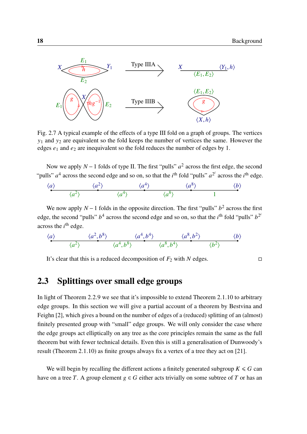

Fig. 2.7 A typical example of the effects of a type III fold on a graph of groups. The vertices  $y_1$  and  $y_2$  are equivalent so the fold keeps the number of vertices the same. However the edges  $e_1$  and  $e_2$  are inequivalent so the fold reduces the number of edges by 1.

Now we apply  $N-1$  folds of type II. The first "pulls"  $a^2$  across the first edge, the second "pulls"  $a^4$  across the second edge and so on, so that the *i*<sup>th</sup> fold "pulls"  $a^{2^i}$  across the *i*<sup>th</sup> edge.

$$
\langle a \rangle
$$
  $\langle a^2 \rangle$   $\langle a^4 \rangle$   $\langle a^8 \rangle$   $\langle b \rangle$ 

We now apply  $N-1$  folds in the opposite direction. The first "pulls"  $b<sup>2</sup>$  across the first edge, the second "pulls"  $b^4$  across the second edge and so on, so that the *i*<sup>th</sup> fold "pulls"  $b^{2}$ across the  $i<sup>th</sup>$  edge.

$$
\langle a \rangle \qquad \qquad \langle a^2, b^8 \rangle \qquad \qquad \langle a^4, b^4 \rangle \qquad \qquad \langle a^8, b^2 \rangle \qquad \qquad \langle b \rangle
$$

It's clear that this is a reduced decomposition of  $F_2$  with N edges.  $\Box$ 

#### <span id="page-27-0"></span>2.3 Splittings over small edge groups

In light of Theorem [2](#page-26-0).2.9 we see that it's impossible to extend Theorem 2.1.[10](#page-18-1) to arbitrary edge groups. In this section we will give a partial account of a theorem by Bestvina and Feighn [\[2\]](#page-96-0), which gives a bound on the number of edges of a (reduced) splitting of an (almost) finitely presented group with "small" edge groups. We will only consider the case where the edge groups act elliptically on any tree as the core principles remain the same as the full theorem but with fewer technical details. Even this is still a generalisation of Dunwoody's result (Theorem 2.1.[10](#page-18-1)) as finite groups always fix a vertex of a tree they act on [\[21\]](#page-97-1).

We will begin by recalling the different actions a finitely generated subgroup  $K \le G$  can have on a tree T. A group element  $g \in G$  either acts trivially on some subtree of T or has an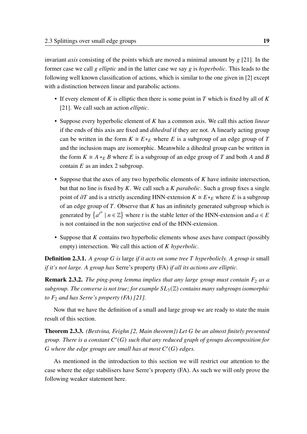invariant *axis* consisting of the points which are moved a minimal amount by  $g$  [\[21\]](#page-97-1). In the former case we call g *elliptic* and in the latter case we say g is *hyperbolic*. This leads to the following well known classification of actions, which is similar to the one given in [\[2\]](#page-96-0) except with a distinction between linear and parabolic actions.

- If every element of K is elliptic then there is some point in T which is fixed by all of K [\[21\]](#page-97-1). We call such an action *elliptic*.
- Suppose every hyperbolic element of  $K$  has a common axis. We call this action *linear* if the ends of this axis are fixed and *dihedral* if they are not. A linearly acting group can be written in the form  $K \cong E *_{E}$  where E is a subgroup of an edge group of T and the inclusion maps are isomorphic. Meanwhile a dihedral group can be written in the form  $K \cong A *_{E} B$  where E is a subgroup of an edge group of T and both A and B contain  $E$  as an index 2 subgroup.
- Suppose that the axes of any two hyperbolic elements of  $K$  have infinite intersection, but that no line is fixed by  $K$ . We call such a  $K$  *parabolic*. Such a group fixes a single point of  $\partial T$  and is a strictly ascending HNN-extension  $K \cong E *_{E}$  where E is a subgroup of an edge group of  $T$ . Observe that  $K$  has an infinitely generated subgroup which is generated by  $\{a^{t^n} \mid n \in \mathbb{Z}\}$  where t is the stable letter of the HNN-extension and  $a \in E$ is not contained in the non surjective end of the HNN-extension.
- Suppose that  $K$  contains two hyperbolic elements whose axes have compact (possibly empty) intersection. We call this action of *K* hyperbolic.

**Definition 2.3.1.** *A group G* is large *if it acts on some tree T* hyperbolicly. A group is small *if it's not large. A group has* Serre's property (FA) *if all its actions are elliptic.*

**Remark 2.3.2.** *The ping-pong lemma implies that any large group must contain*  $F_2$  *as a subgroup. The converse is not true; for example*  $SL_3(\mathbb{Z})$  *contains many subgroups isomorphic to*  $F_2$  *and has Serre's property (FA) [\[21\]](#page-97-1).* 

Now that we have the definition of a small and large group we are ready to state the main result of this section.

<span id="page-28-0"></span>Theorem 2.3.3. *(Bestvina, Feighn [\[2,](#page-96-0) Main theorem]) Let be an almost finitely presented* group. There is a constant  $C'(G)$  such that any reduced graph of groups decomposition for  $G$  where the edge groups are small has at most  $C'(G)$  edges.

As mentioned in the introduction to this section we will restrict our attention to the case where the edge stabilisers have Serre's property (FA). As such we will only prove the following weaker statement here.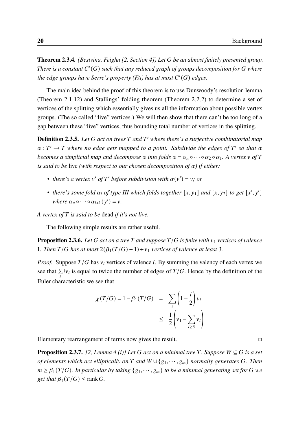<span id="page-29-1"></span>Theorem 2.3.4. *(Bestvina, Feighn [\[2,](#page-96-0) Section 4]) Let be an almost finitely presented group.* There is a constant  $C'(G)$  such that any reduced graph of groups decomposition for  $G$  where the edge groups have Serre's property  $(FA)$  has at most  $C'(G)$  edges.

The main idea behind the proof of this theorem is to use Dunwoody's resolution lemma (Theorem 2.1.[12](#page-18-0)) and Stallings' folding theorem (Theorem [2](#page-23-0).2.2) to determine a set of vertices of the splitting which essentially gives us all the information about possible vertex groups. (The so called "live" vertices.) We will then show that there can't be too long of a gap between these "live" vertices, thus bounding total number of vertices in the splitting.

**Definition 2.3.5.** Let G act on trees T and T' where there's a surjective combinatorial map  $\alpha: T' \to T$  where no edge gets mapped to a point. Subdivide the edges of T' so that  $\alpha$ *becomes a simplicial map and decompose*  $\alpha$  *into folds*  $\alpha = \alpha_n \circ \cdots \circ \alpha_2 \circ \alpha_1$ . A vertex  $\nu$  of T *is said to be live (with respect to our chosen decomposition of*  $\alpha$ *) if either:* 

- *there's a vertex*  $v'$  *of*  $T'$  *before subdivision with*  $\alpha(v') = v$ ; *or*
- there's some fold  $\alpha_i$  of type III which folds together  $[x, y_1]$  and  $[x, y_2]$  to get  $[x', y']$ *where*  $\alpha_n \circ \cdots \circ \alpha_{i+1}(y') = v$ .

*A vertex of is said to be* dead *if it's not live.*

The following simple results are rather useful.

<span id="page-29-2"></span>**Proposition 2.3.6.** Let G act on a tree T and suppose  $T/G$  is finite with  $v_1$  vertices of valence 1*. Then*  $T/G$  has at most  $2(\beta_1(T/G) - 1) + v_1$  vertices of valence at least 3.

*Proof.* Suppose  $T/G$  has  $v_i$  vertices of valence i. By summing the valency of each vertex we see that  $\sum_i iv_i$  is equal to twice the number of edges of  $T/G$ . Hence by the definition of the Euler characteristic we see that

$$
\chi(T/G) = 1 - \beta_1(T/G) = \sum_i \left(1 - \frac{i}{2}\right) v_i
$$
  

$$
\leq \frac{1}{2} \left(v_1 - \sum_{i \geq 3} v_i\right)
$$

Elementary rearrangement of terms now gives the result. □

<span id="page-29-0"></span>**Proposition 2.3.7.** [\[2,](#page-96-0) *Lemma 4 (i)] Let* G *act on a minimal tree* T. Suppose  $W \subseteq G$  *is a set of elements which act elliptically on*  $T$  and  $W \cup \{g_1, \dots, g_m\}$  normally generates G. Then  $m \geq \beta_1(T/G)$ . In particular by taking  $\{g_1, \dots, g_m\}$  to be a minimal generating set for G we *get that*  $\beta_1(T/G) \leq \text{rank } G$ .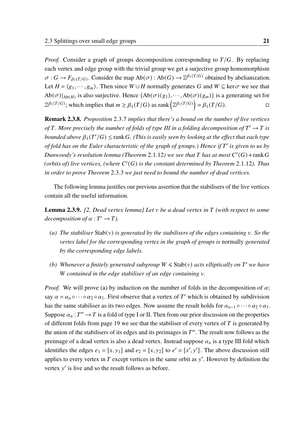*Proof.* Consider a graph of groups decomposition corresponding to  $T/G$ . By replacing each vertex and edge group with the trivial group we get a surjective group homomorphism  $\sigma: G \to F_{\beta_1(T/G)}$ . Consider the map  $Ab(\sigma): Ab(G) \to \mathbb{Z}^{\beta_1(T/G)}$  obtained by abelianization. Let  $H = \langle g_1, \dots, g_m \rangle$ . Then since  $W \cup H$  normally generates G and  $W \subseteq \text{ker}\,\sigma$  we see that  $Ab(\sigma)|_{Ab(H)}$  is also surjective. Hence  $\{Ab(\sigma)(g_1), \cdots, Ab(\sigma)(g_m)\}\$  is a generating set for  $\mathbb{Z}^{\beta_1(T/G)}$ ; which implies that  $m \geq \beta_1(T/G)$  as rank  $\left(\mathbb{Z}^{\beta_1(T/G)}\right) = \beta_1(T/G)$ .

<span id="page-30-2"></span>Remark 2.3.8. *Proposition* [2](#page-29-0).3.7 *implies that there's a bound on the number of live vertices* of T. More precisely the number of folds of type III in a folding decomposition of  $T' \to T$  is *bounded above*  $\beta_1(T'/G) \leq \text{rank } G$ . (This is easily seen by looking at the effect that each type *of fold has on the Euler characteristic of the graph of groups.) Hence if* ′ *is given to us by* Dunwoody's resolution lemma (Theorem 2.1.[12](#page-18-0)) we see that  $T$  has at most  $C'(G)$  +  $rank\ G$ (*orbits of*) live vertices, (where  $C'(G)$  is the constant determined by Theorem 2.1.[12](#page-18-0)). Thus *in order to prove Theorem* [2](#page-28-0).3.3 *we just need to bound the number of dead vertices.*

The following lemma justifies our previous assertion that the stabilisers of the live vertices contain all the useful information.

<span id="page-30-3"></span>Lemma 2.3.9. *[\[2,](#page-96-0) Dead vertex lemma] Let be a dead vertex in (with respect to some* decomposition of  $\alpha : T' \to T$ ).

- <span id="page-30-0"></span>*(a) The stabiliser*  $Stab(v)$  *is generated by the stabilisers of the edges containing v. So the vertex label for the corresponding vertex in the graph of groups is* normally *generated by the corresponding edge labels.*
- <span id="page-30-1"></span>*(b)* Whenever a finitely generated subgroup  $W \leq$  Stab(v) acts elliptically on T' we have *contained in the edge stabiliser of an edge containing .*

*Proof.* We will prove [\(a\)](#page-30-0) by induction on the number of folds in the decomposition of  $\alpha$ ; say  $\alpha = \alpha_n \circ \cdots \circ \alpha_2 \circ \alpha_1$ . First observe that a vertex of T' which is obtained by subdivision has the same stabiliser as its two edges. Now assume the result holds for  $\alpha_{n-1} \circ \cdots \circ \alpha_2 \circ \alpha_1$ . Suppose  $\alpha_n : T'' \to T$  is a fold of type I or II. Then from our prior discussion on the properties of different folds from page [19](#page-27-0) we see that the stabiliser of every vertex of  $T$  is generated by the union of the stabilisers of its edges and its preimages in  $T''$ . The result now follows as the preimage of a dead vertex is also a dead vertex. Instead suppose  $\alpha_n$  is a type III fold which identifies the edges  $e_1 = [x, y_1]$  and  $e_2 = [x, y_2]$  to  $e' = [x', y']$ . The above discussion still applies to every vertex in  $T$  except vertices in the same orbit as  $y'$ . However by definition the vertex y' is live and so the result follows as before.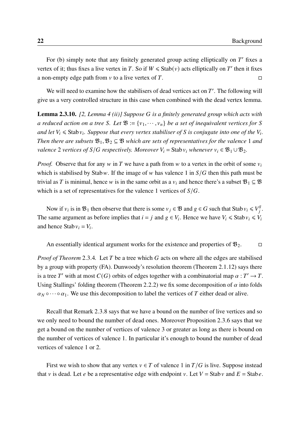For [\(b\)](#page-30-1) simply note that any finitely generated group acting elliptically on  $T'$  fixes a vertex of it; thus fixes a live vertex in T. So if  $W \leq$  Stab(v) acts elliptically on T' then it fixes a non-empty edge path from  $v$  to a live vertex of T.

We will need to examine how the stabilisers of dead vertices act on  $T'$ . The following will give us a very controlled structure in this case when combined with the dead vertex lemma.

<span id="page-31-0"></span>Lemma 2.3.10. *[\[2,](#page-96-0) Lemma 4 (ii)] Suppose is a finitely generated group which acts with a reduced action on a tree S. Let*  $\mathfrak{B} := \{v_1, \dots, v_n\}$  *be a set of inequivalent vertices for S* and let  $V_i \leqslant$  Stab  $v_i$ . Suppose that every vertex stabiliser of S is conjugate into one of the  $V_i$ . *Then there are subsets*  $\mathfrak{B}_1, \mathfrak{B}_2 \subseteq \mathfrak{B}$  which are sets of representatives for the valence 1 and *valence* 2 *vertices of*  $S/G$  *respectively. Moreover*  $V_i = Stab v_i$  *whenever*  $v_i \in \mathfrak{B}_1 \cup \mathfrak{B}_2$ .

*Proof.* Observe that for any  $w$  in  $T$  we have a path from  $w$  to a vertex in the orbit of some  $v_i$ which is stabilised by Stab w. If the image of w has valence 1 in  $S/G$  then this path must be trivial as T is minimal, hence w is in the same orbit as a  $v_i$  and hence there's a subset  $\mathfrak{B}_1 \subseteq \mathfrak{B}$ which is a set of representatives for the valence 1 vertices of  $S/G$ .

Now if  $v_i$  is in  $\mathfrak{B}_1$  then observe that there is some  $v_j \in \mathfrak{B}$  and  $g \in G$  such that Stab  $v_i \leq v_j^g$ .g<br>i The same argument as before implies that  $i = j$  and  $g \in V_i$ . Hence we have  $V_i \leq$  Stab  $v_i \leq V_i$ and hence Stab  $v_i = V_i$ .

An essentially identical argument works for the existence and properties of  $\mathfrak{B}_2$ .  $\Box$ 

*Proof of Theorem* [2](#page-29-1).3.4. Let T be a tree which G acts on where all the edges are stabilised by a group with property (FA). Dunwoody's resolution theorem (Theorem 2.1.[12](#page-18-0)) says there is a tree T' with at most  $C(G)$  orbits of edges together with a combinatorial map  $\alpha : T' \to T$ . Using Stallings' folding theorem (Theorem [2](#page-23-0).2.2) we fix some decomposition of  $\alpha$  into folds  $\alpha_N \circ \cdots \circ \alpha_1$ . We use this decomposition to label the vertices of T either dead or alive.

Recall that Remark [2](#page-30-2).3.8 says that we have a bound on the number of live vertices and so we only need to bound the number of dead ones. Moreover Proposition [2](#page-29-2).3.6 says that we get a bound on the number of vertices of valence 3 or greater as long as there is bound on the number of vertices of valence 1. In particular it's enough to bound the number of dead vertices of valence 1 or 2.

First we wish to show that any vertex  $v \in T$  of valence 1 in  $T/G$  is live. Suppose instead that v is dead. Let e be a representative edge with endpoint v. Let  $V =$  Stab v and  $E =$  Stab e.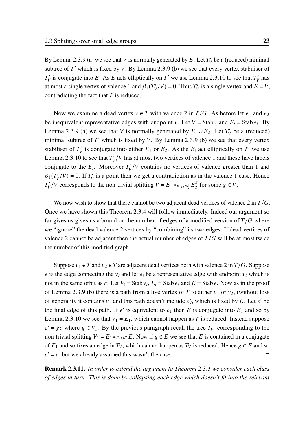By Lemma [2](#page-30-3).3.9 [\(a\)](#page-30-0) we see that V is normally generated by E. Let  $T_V'$  be a (reduced) minimal subtree of  $T'$  which is fixed by V. By Lemma [2](#page-30-3).3.9 [\(b\)](#page-30-1) we see that every vertex stabiliser of  $T_V'$  is conjugate into E. As E acts elliptically on T' we use Lemma 2.3.[10](#page-31-0) to see that  $T_V'$  has at most a single vertex of valence 1 and  $\beta_1(T_V/V) = 0$ . Thus  $T_V$  is a single vertex and  $E = V$ , contradicting the fact that  $T$  is reduced.

Now we examine a dead vertex  $v \in T$  with valence 2 in  $T/G$ . As before let  $e_1$  and  $e_2$ be inequivalent representative edges with endpoint v. Let  $V =$  Stab v and  $E_i =$  Stab  $e_i$ . By Lemma [2](#page-30-3).3.9 [\(a\)](#page-30-0) we see that *V* is normally generated by  $E_1 \cup E_2$ . Let  $T_V$  be a (reduced) minimal subtree of  $T'$  which is fixed by V. By Lemma [2](#page-30-3).3.9 [\(b\)](#page-30-1) we see that every vertex stabiliser of  $T_V'$  is conjugate into either  $E_1$  or  $E_2$ . As the  $E_i$  act elliptically on T' we use Lemma 2.3.[10](#page-31-0) to see that  $T_V^{\prime}/V$  has at most two vertices of valence 1 and these have labels conjugate to the  $E_i$ . Moreover  $T_V^{\prime}/V$  contains no vertices of valence greater than 1 and  $\beta_1(T_V/V) = 0$ . If  $T_V'$  is a point then we get a contradiction as in the valence 1 case. Hence  $T_V'/V$  corresponds to the non-trivial splitting  $V = E_1 *_{E_1 \cap E_2^s}$  $E_2^g E_2^g$  $e_2^g$  for some  $g \in V$ .

We now wish to show that there cannot be two adjacent dead vertices of valence 2 in  $T/G$ . Once we have shown this Theorem [2](#page-29-1).3.4 will follow immediately. Indeed our argument so far gives us gives us a bound on the number of edges of a modified version of  $T/G$  where we "ignore" the dead valence 2 vertices by "combining" its two edges. If dead vertices of valence 2 cannot be adjacent then the actual number of edges of  $T/G$  will be at most twice the number of this modified graph.

Suppose  $v_1 \in T$  and  $v_2 \in T$  are adjacent dead vertices both with valence 2 in  $T/G$ . Suppose e is the edge connecting the  $v_i$  and let  $e_i$  be a representative edge with endpoint  $v_i$  which is not in the same orbit as e. Let  $V_i =$ Stab  $v_i$ ,  $E_i =$ Stab  $e_i$  and  $E =$ Stab  $e$ . Now as in the proof of Lemma [2](#page-30-3).3.9 [\(b\)](#page-30-1) there is a path from a live vertex of T to either  $v_1$  or  $v_2$ , (without loss of generality it contains  $v_1$  and this path doesn't include e), which is fixed by E. Let e' be the final edge of this path. If e' is equivalent to  $e_1$  then E is conjugate into  $E_1$  and so by Lemma 2.3.[10](#page-31-0) we see that  $V_1 = E_1$ , which cannot happen as T is reduced. Instead suppose  $e' = ge$  where  $g \in V_1$ . By the previous paragraph recall the tree  $T_{V_1}$  corresponding to the non-trivial splitting  $V_1 = E_1 *_{E_1 \cap E} E$ . Now if  $g \notin E$  we see that E is contained in a conjugate of  $E_1$  and so fixes an edge in  $T_V$ ; which cannot happen as  $T_V$  is reduced. Hence  $g \in E$  and so  $e' = e$ ; but we already assumed this wasn't the case.  $\Box$ 

Remark 2.3.11. *In order to extend the argument to Theorem* [2](#page-28-0).3.3 *we consider each class of edges in turn. This is done by collapsing each edge which doesn't fit into the relevant*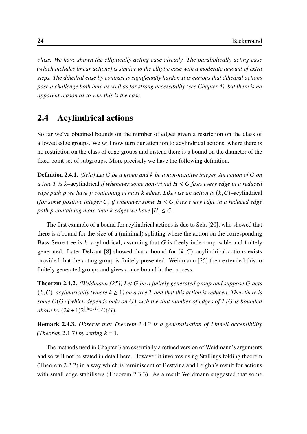*class. We have shown the elliptically acting case already. The parabolically acting case (which includes linear actions) is similar to the elliptic case with a moderate amount of extra steps. The dihedral case by contrast is significantly harder. It is curious that dihedral actions pose a challenge both here as well as for strong accessibility (see Chapter [4\)](#page-72-0), but there is no apparent reason as to why this is the case.*

### <span id="page-33-0"></span>2.4 Acylindrical actions

So far we've obtained bounds on the number of edges given a restriction on the class of allowed edge groups. We will now turn our attention to acylindrical actions, where there is no restriction on the class of edge groups and instead there is a bound on the diameter of the fixed point set of subgroups. More precisely we have the following definition.

Definition 2.4.1. *(Sela) Let be a group and be a non-negative integer. An action of on a tree*  $T$  *is*  $k$ -acylindrical *if whenever some non-trivial*  $H \le G$  *fixes every edge in a reduced edge path p* we have *p* containing at most *k* edges. Likewise an action is  $(k, C)$ –acylindrical *(for some positive integer C) if whenever some*  $H \le G$  *fixes every edge in a reduced edge path p* containing more than *k* edges we have  $|H| \leq C$ .

The first example of a bound for acylindrical actions is due to Sela [\[20\]](#page-97-5), who showed that there is a bound for the size of a (minimal) splitting where the action on the corresponding Bass-Serre tree is  $k$ -acylindrical, assuming that  $G$  is freely indecomposable and finitely generated. Later Delzant [\[8\]](#page-96-2) showed that a bound for  $(k, C)$ –acylindrical actions exists provided that the acting group is finitely presented. Weidmann [\[25\]](#page-98-0) then extended this to finitely generated groups and gives a nice bound in the process.

<span id="page-33-1"></span>Theorem 2.4.2. *(Weidmann [\[25\]](#page-98-0)) Let be a finitely generated group and suppose acts*  $(k, C)$ –acylindrically (where  $k \ge 1$ ) on a tree T and that this action is reduced. Then there is *some*  $C(G)$  (which depends only on G) such the that number of edges of  $T/G$  is bounded *above by*  $(2k+1)2^{\lfloor \log_2 C \rfloor} C(G)$ .

Remark 2.4.3. *Observe that Theorem* [2](#page-33-1).4.2 *is a generalisation of Linnell accessibility (Theorem [2](#page-17-1).1.7) by setting*  $k = 1$ *.* 

The methods used in Chapter [3](#page-38-0) are essentially a refined version of Weidmann's arguments and so will not be stated in detail here. However it involves using Stallings folding theorem (Theorem [2](#page-23-0).2.2) in a way which is reminiscent of Bestvina and Feighn's result for actions with small edge stabilisers (Theorem [2](#page-28-0).3.3). As a result Weidmann suggested that some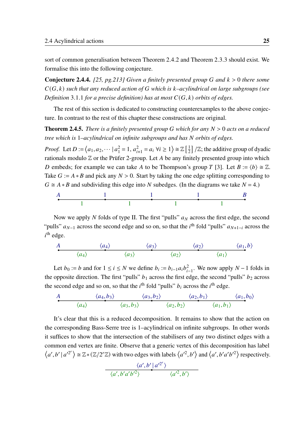sort of common generalisation between Theorem [2](#page-33-1).4.2 and Theorem [2](#page-28-0).3.3 should exist. We formalise this into the following conjecture.

<span id="page-34-0"></span>**Conjecture 2.4.4.** [\[25,](#page-98-0) pg.213] Given a finitely presented group G and  $k > 0$  there some  $C(G, k)$  such that any reduced action of G which is  $k$ -acylindrical on large subgroups (see *Definition* [3](#page-38-3).1.1 *for a precise definition*) has at most  $C(G, k)$  orbits of edges.

The rest of this section is dedicated to constructing counterexamples to the above conjecture. In contrast to the rest of this chapter these constructions are original.

<span id="page-34-1"></span>**Theorem 2.4.5.** *There is a finitely presented group* G which for any  $N > 0$  acts on a reduced *tree which is* 1*–acylindrical on infinite subgroups and has orbits of edges.*

*Proof.* Let  $D := \langle a_1, a_2, \cdots | a_1^2 \rangle$  $a_1^2 = 1, a_{i+1}^2 = a_i \,\forall i \ge 1$   $\ge \mathbb{Z} \left[ \frac{1}{2} \right]$  $\frac{1}{2}$  /Z; the additive group of dyadic rationals modulo  $\mathbb Z$  or the Prüfer 2-group. Let A be any finitely presented group into which D embeds; for example we can take A to be Thompson's group T [\[3\]](#page-96-4). Let  $B := \langle b \rangle \cong \mathbb{Z}$ . Take  $G := A * B$  and pick any  $N > 0$ . Start by taking the one edge splitting corresponding to  $G \cong A * B$  and subdividing this edge into N subedges. (In the diagrams we take  $N = 4$ .)



Now we apply N folds of type II. The first "pulls"  $a<sub>N</sub>$  across the first edge, the second "pulls"  $a_{N-1}$  across the second edge and so on, so that the *i*<sup>th</sup> fold "pulls"  $a_{N+1-i}$  across the  $i^{\text{th}}$  edge.

A 
$$
\langle a_4 \rangle
$$
  $\langle a_3 \rangle$   $\langle a_2 \rangle$   $\langle a_1, b \rangle$   
 $\langle a_4 \rangle$   $\langle a_3 \rangle$   $\langle a_2 \rangle$   $\langle a_1 \rangle$ 

Let  $b_0 := b$  and for  $1 \le i \le N$  we define  $b_i := b_{i-1} a_i b_{i-1}^2$ . We now apply  $N-1$  folds in the opposite direction. The first "pulls"  $b_1$  across the first edge, the second "pulls"  $b_2$  across the second edge and so on, so that the  $i<sup>th</sup>$  fold "pulls"  $b<sub>i</sub>$  across the  $i<sup>th</sup>$  edge.

A 
$$
\langle a_4, b_3 \rangle
$$
  $\langle a_3, b_2 \rangle$   $\langle a_2, b_1 \rangle$   $\langle a_1, b_0 \rangle$   
 $\langle a_4 \rangle$   $\langle a_3, b_3 \rangle$   $\langle a_2, b_2 \rangle$   $\langle a_1, b_1 \rangle$ 

It's clear that this is a reduced decomposition. It remains to show that the action on the corresponding Bass-Serre tree is 1–acylindrical on infinite subgroups. In other words it suffices to show that the intersection of the stabilisers of any two distinct edges with a common end vertex are finite. Observe that a generic vertex of this decomposition has label  $\langle a', b' | a'^{2^r} \rangle \cong \mathbb{Z} * (\mathbb{Z}/2^r \mathbb{Z})$  with two edges with labels  $\langle a'^2, b' \rangle$  and  $\langle a', b' a' b'^2 \rangle$  respectively.

$$
\frac{\langle a',b'|a'^{2^r}\rangle}{\langle a',b'a'b'^2\rangle} \frac{\langle a'^2,b'\rangle}{\langle a'^2,b'\rangle}
$$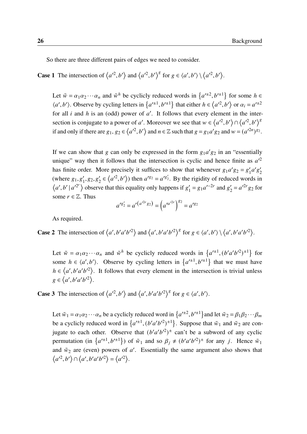So there are three different pairs of edges we need to consider.

**Case 1** The intersection of  $\langle a^2, b' \rangle$  and  $\langle a^2, b' \rangle^g$  for  $g \in \langle a', b' \rangle \setminus \langle a^2, b' \rangle$ .

Let  $\tilde{w} = \alpha_1 \alpha_2 \cdots \alpha_n$  and  $\tilde{w}^h$  be cyclicly reduced words in  $\{a'^{\pm 2}, b'^{\pm 1}\}$  for some  $h \in$  $\langle a', b' \rangle$ . Observe by cycling letters in  $\{a'^{\pm 1}, b'^{\pm 1}\}$  that either  $h \in \langle a'^2, b' \rangle$  or  $\alpha_i = a'^{\pm 2}$ for all  $i$  and  $h$  is an (odd) power of  $a'$ . It follows that every element in the intersection is conjugate to a power of a'. Moreover we see that  $w \in \langle a^{2}, b' \rangle \cap \langle a^{2}, b' \rangle^{8}$ if and only if there are  $g_1, g_2 \in \langle a'^2, b' \rangle$  and  $n \in \mathbb{Z}$  such that  $g = g_1 a' g_2$  and  $w = (a'^{2n})^{g_2}$ .

If we can show that g can only be expressed in the form  $g_1 a' g_2$  in an "essentially unique" way then it follows that the intersection is cyclic and hence finite as  $a'^2$ has finite order. More precisely it suffices to show that whenever  $g_1 a' g_2 = g'_1$  $\int_1^{\prime} a' g_2'$ 2 (where  $g_1, g'_1, g_2, g'_2 \in \langle a'^2, b' \rangle$ ) then  $a'^{g_2} = a'^{g'_2}$ . By the rigidity of reduced words in  $\langle a', b' | a'^{2^r} \rangle$  observe that this equality only happens if  $g'_1$  $y'_1 = g_1 a'^{-2r}$  and  $g'_2$  $y'_2 = a'^{2r} g_2$  for some  $r \in \mathbb{Z}$ . Thus

$$
a'^{g'_2} = a'^{(a'^{2r}g_2)} = (a'^{a'^{2r}})^{g_2} = a'^{g_2}
$$

As required.

**Case 2** The intersection of  $\langle a', b'a'b'^2 \rangle$  and  $\langle a', b'a'b'^2 \rangle^g$  for  $g \in \langle a', b' \rangle \setminus \langle a', b'a'b'^2 \rangle$ .

Let  $\tilde{w} = \alpha_1 \alpha_2 \cdots \alpha_n$  and  $\tilde{w}^h$  be cyclicly reduced words in  $\{a'^{\pm 1}, (b' a' b'^2)^{\pm 1}\}$  for some  $h \in \langle a', b' \rangle$ . Observe by cycling letters in  $\{a'^{\pm 1}, b'^{\pm 1}\}$  that we must have  $h \in \langle a', b'a'b'^2 \rangle$ . It follows that every element in the intersection is trivial unless  $g \in \langle a', b'a'b'^2 \rangle.$ 

**Case 3** The intersection of  $\langle a^2, b^2 \rangle$  and  $\langle a', b' a' b'^2 \rangle^g$  for  $g \in \langle a', b' \rangle$ .

Let  $\tilde{w}_1 = \alpha_1 \alpha_2 \cdots \alpha_n$  be a cyclicly reduced word in  $\{a'^{\pm 2}, b'^{\pm 1}\}$  and let  $\tilde{w}_2 = \beta_1 \beta_2 \cdots \beta_m$ be a cyclicly reduced word in  $\{a'^{\pm 1}, (b'a'b'^2)^{\pm 1}\}\$ . Suppose that  $\tilde{w}_1$  and  $\tilde{w}_2$  are conjugate to each other. Observe that  $(b'a'b'^2)^{\pm}$  can't be a subword of any cyclic permutation (in  $\{a'^{\pm 1}, b'^{\pm 1}\}$ ) of  $\tilde{w}_1$  and so  $\beta_j \neq (b'a'b'^2)^{\pm}$  for any j. Hence  $\tilde{w}_1$ and  $\tilde{w}_2$  are (even) powers of a'. Essentially the same argument also shows that  $\langle a'^2, b' \rangle \cap \langle a', b'a'b'^2 \rangle = \langle a'^2 \rangle.$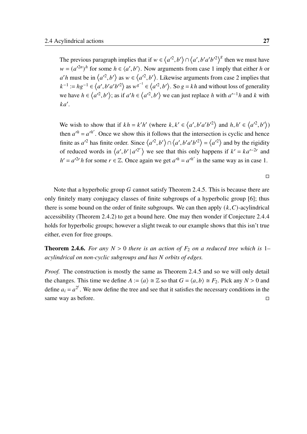The previous paragraph implies that if  $w \in \langle a^2, b' \rangle \cap \langle a', b' a' b'^2 \rangle^g$  then we must have  $w = (a'^{2n})^h$  for some  $h \in \langle a', b' \rangle$ . Now arguments from case 1 imply that either h or  $a'h$  must be in  $\langle a'^2, b'\rangle$  as  $w \in \langle a'^2, b'\rangle$ . Likewise arguments from case 2 implies that  $k^{-1} := hg^{-1} \in \langle a', b'a'b'^2 \rangle$  as  $w^{g^{-1}} \in \langle a'^2, b' \rangle$ . So  $g = kh$  and without loss of generality we have  $h \in \langle a^{2}, b' \rangle$ ; as if  $a'h \in \langle a^{2}, b' \rangle$  we can just replace h with  $a'^{-1}h$  and k with  $ka'.$ 

We wish to show that if  $kh = k'h'$  (where  $k, k' \in \langle a', b'a'b'^2 \rangle$  and  $h, h' \in \langle a'^2, b' \rangle$ ) then  $a'^h = a'^{h'}$ . Once we show this it follows that the intersection is cyclic and hence finite as  $a'^2$  has finite order. Since  $\langle a'^2, b' \rangle \cap \langle a', b'a'b'^2 \rangle = \langle a'^2 \rangle$  and by the rigidity of reduced words in  $\langle a', b' | a'^{2^r} \rangle$  we see that this only happens if  $k' = ka'^{-2r}$  and  $h' = a'^{2r} h$  for some  $r \in \mathbb{Z}$ . Once again we get  $a'^h = a'^{h'}$  in the same way as in case 1.

Note that a hyperbolic group G cannot satisfy Theorem [2](#page-34-0).4.5. This is because there are only finitely many conjugacy classes of finite subgroups of a hyperbolic group [\[6\]](#page-96-0); thus there is some bound on the order of finite subgroups. We can then apply  $(k, C)$ -acylindrical accessibility (Theorem [2](#page-33-0).4.2) to get a bound here. One may then wonder if Conjecture 2.[4](#page-34-1).4 holds for hyperbolic groups; however a slight tweak to our example shows that this isn't true either, even for free groups.

<span id="page-36-0"></span>**Theorem 2.4.6.** *For any*  $N > 0$  *there is an action of*  $F_2$  *on a reduced tree which is* 1– *acylindrical on non-cyclic subgroups and has orbits of edges.*

*Proof.* The construction is mostly the same as Theorem [2](#page-34-0).4.5 and so we will only detail the changes. This time we define  $A := \langle a \rangle \cong \mathbb{Z}$  so that  $G = \langle a, b \rangle \cong F_2$ . Pick any  $N > 0$  and define  $a_i = a^{2^i}$ . We now define the tree and see that it satisfies the necessary conditions in the same way as before.  $\Box$ 

□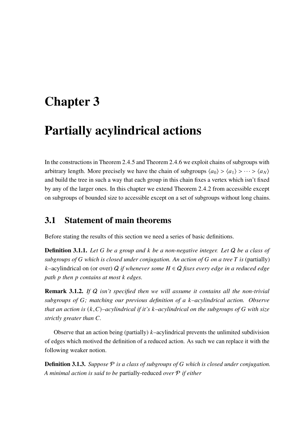## Chapter 3

# Partially acylindrical actions

In the constructions in Theorem [2](#page-36-0).4.5 and Theorem 2.4.6 we exploit chains of subgroups with arbitrary length. More precisely we have the chain of subgroups  $\langle a_0 \rangle > \langle a_1 \rangle > \cdots > \langle a_N \rangle$ and build the tree in such a way that each group in this chain fixes a vertex which isn't fixed by any of the larger ones. In this chapter we extend Theorem [2](#page-33-0).4.2 from accessible except on subgroups of bounded size to accessible except on a set of subgroups without long chains.

## 3.1 Statement of main theorems

Before stating the results of this section we need a series of basic definitions.

**Definition 3.1.1.** Let G be a group and k be a non-negative integer. Let Q be a class of *subgroups of*  $G$  which is closed under conjugation. An action of  $G$  on a tree  $T$  is (partially)  $k$ –acylindrical on (or over) Q *if whenever some*  $H \in Q$  *fixes every edge in a reduced edge path then contains at most edges.*

Remark 3.1.2. *If* Q *isn't specified then we will assume it contains all the non-trivial subgroups of ; matching our previous definition of a –acylindrical action. Observe that an action is*  $(k,C)$ –*acylindrical if it's*  $k$ –*acylindrical on the subgroups of*  $G$  with size *strictly greater than C.* 

Observe that an action being (partially)  $k$ -acylindrical prevents the unlimited subdivision of edges which motived the definition of a reduced action. As such we can replace it with the following weaker notion.

**Definition 3.1.3.** *Suppose*  $P$  *is a class of subgroups of G which is closed under conjugation. A minimal action is said to be* partially-reduced *over* P *if either*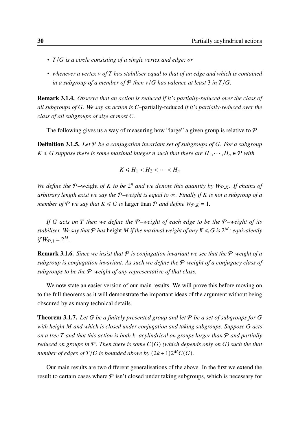- *T*/*G* is a circle consisting of a single vertex and edge; or
- *whenever a vertex of has stabiliser equal to that of an edge and which is contained in a subgroup of a member of*  $P$  *then*  $v/G$  *has valence at least* 3 *in*  $T/G$ *.*

Remark 3.1.4. *Observe that an action is reduced if it's partially-reduced over the class of all subgroups of . We say an action is* –partially-reduced *if it's partially-reduced over the class of all subgroups of size at most .*

The following gives us a way of measuring how "large" a given group is relative to  $P$ .

<span id="page-39-1"></span>**Definition 3.1.5.** Let P be a conjugation invariant set of subgroups of G. For a subgroup  $K \le G$  suppose there is some maximal integer *n* such that there are  $H_1, \dots, H_n \in \mathcal{P}$  with

$$
K\leq H_1
$$

We define the P-weight of K to be  $2^n$  and we denote this quantity by  $W_{\mathcal{P},K}$ . If chains of *arbitrary length exist we say the* P*–weight is equal to* ∞*. Finally if is not a subgroup of a member of*  $P$  *we say that*  $K \le G$  *is larger than*  $P$  *and define*  $W_{P,K} = 1$ *.* 

*If acts on then we define the* P*–weight of each edge to be the* P*–weight of its* stabiliser. We say that  $P$  has height  $M$  if the maximal weight of any  $K \leqslant G$  is  $2^M$ ; equivalently *if*  $W_{\mathcal{P},1} = 2^M$ .

Remark 3.1.6. *Since we insist that* P *is conjugation invariant we see that the* P*-weight of a subgroup is conjugation invariant. As such we define the* P*-weight of a conjugacy class of subgroups to be the* P*-weight of any representative of that class.*

We now state an easier version of our main results. We will prove this before moving on to the full theorems as it will demonstrate the important ideas of the argument without being obscured by as many technical details.

<span id="page-39-0"></span>**Theorem 3.1.7.** Let G be a finitely presented group and let  $P$  be a set of subgroups for G *with height and which is closed under conjugation and taking subgroups. Suppose acts on a tree and that this action is both –acylindrical on groups larger than* P *and partially reduced on groups in*  $P$ *. Then there is some*  $C(G)$  *(which depends only on*  $G$ *) such the that number of edges of*  $T/G$  *is bounded above by*  $(2k+1)2^MC(G)$ *.* 

Our main results are two different generalisations of the above. In the first we extend the result to certain cases where  $P$  isn't closed under taking subgroups, which is necessary for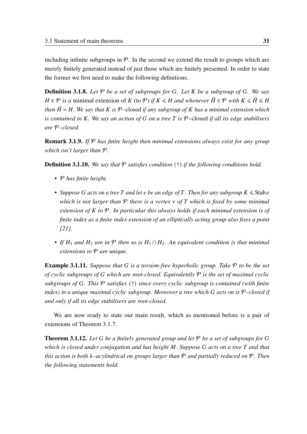including infinite subgroups in  $P$ . In the second we extend the result to groups which are merely finitely generated instead of just those which are finitely presented. In order to state the former we first need to make the following definitions.

**Definition 3.1.8.** Let  $P$  be a set of subgroups for G. Let K be a subgroup of G. We say *H* ∈  $\mathcal P$  *is a* minimal extension of *K* (to  $\mathcal P$ ) *if*  $K \leq H$  *and whenever*  $\tilde H \in \mathcal P$  *with*  $K \leq \tilde H \leq H$ *then*  $\tilde{H} = H$ . We say that K is P-closed if any subgroup of K has a minimal extension which *is contained in K. We say an action of G on a tree* T *is*  $P$ -closed *if all its edge stabilisers are* P*–closed.*

Remark 3.1.9. *If* P *has finite height then minimal extensions always exist for any group which isn't larger than* P*.*

<span id="page-40-2"></span>Definition 3.1.10. *We say that* P *satisfies condition* (†) *if the following conditions hold.*

- P *has finite height.*
- Suppose G acts on a tree T and let e be an edge of T. Then for any subgroup  $K \leq \text{Stab} e$ *which is not larger than* P *there is a vertex of which is fixed by some minimal extension of to* P*. In particular this always holds if each minimal extension is of finite index as a finite index extension of an elliptically acting group also fixes a point [\[21\]](#page-97-0).*
- If  $H_1$  and  $H_2$  are in  $\mathcal P$  then so is  $H_1 \cap H_2$ . An equivalent condition is that minimal *extensions to* P *are unique.*

<span id="page-40-1"></span>Example 3.1.11. *Suppose that is a torsion-free hyperbolic group. Take* P *to be the set of cyclic subgroups of which are root-closed. Equivalently* P *is the set of maximal cyclic subgroups of . This* P *satisfies* (†) *since every cyclic subgroup is contained (with finite index) in a unique maximal cyclic subgroup. Moreover a tree which* G acts on is  $P$ –closed if *and only if all its edge stabilisers are root-closed.*

We are now ready to state our main result, which as mentioned before is a pair of extensions of Theorem [3](#page-39-0).1.7.

<span id="page-40-0"></span>**Theorem 3.1.12.** Let G be a finitely generated group and let  $P$  be a set of subgroups for G *which is closed under conjugation and has height M. Suppose G acts on a tree T and that this action is both –acylindrical on groups larger than* P *and partially reduced on* P*. Then the following statements hold.*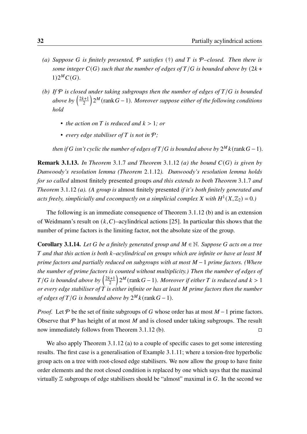- <span id="page-41-0"></span>*(a) Suppose is finitely presented,* P *satisfies* (†) *and is* P*–closed. Then there is some integer*  $C(G)$  *such that the number of edges of*  $T/G$  *is bounded above by*  $(2k +$  $1)2^MC(G).$
- <span id="page-41-1"></span>*(b)* If  $P$  *is closed under taking subgroups then the number of edges of*  $T/G$  *is bounded above by*  $\left(\frac{2k+1}{2}\right)$ 2  $\Big) 2^M$ (rank  $G - 1$ ). Moreover suppose either of the following conditions *hold*
	- *the action on*  $T$  *is reduced and*  $k > 1$ *; or*
	- *every edge stabiliser of is not in* P*;*

*then if*  $G$  isn't cyclic the number of edges of  $T/G$  is bounded above by  $2^M k$  (rank  $G - 1$ ).

**Remark [3](#page-39-0).1.13.** In Theorem 3.1.7 and Theorem 3.1.[12](#page-40-0) [\(a\)](#page-41-0) the bound  $C(G)$  is given by *Dunwoody's resolution lemma (Theorem* 2.1.[12](#page-18-0)*). Dunwoody's resolution lemma holds for so called* almost finitely presented groups *and this extends to both Theorem* [3](#page-39-0).1.7 *and Theorem* 3.1.[12](#page-40-0) *[\(a\).](#page-41-0) (A group is* almost finitely presented *if it's both finitely generated and* acts freely, simplicially and cocompactly on a simplicial complex X with  $H^1(X,\mathbb{Z}_2) = 0$ .)

The following is an immediate consequence of Theorem 3.1.[12](#page-40-0) [\(b\)](#page-41-1) and is an extension of Weidmann's result on  $(k, C)$ –acylindrical actions [\[25\]](#page-98-0). In particular this shows that the number of prime factors is the limiting factor, not the absolute size of the group.

**Corollary 3.1.14.** Let G be a finitely generated group and  $M \in \mathbb{N}$ . Suppose G acts on a tree *and that this action is both –acylindrical on groups which are infinite or have at least prime factors and partially reduced on subgroups with at most*  $M − 1$  *prime factors. (Where the number of prime factors is counted without multiplicity.) Then the number of edges of T*/*G* is bounded above by  $\left(\frac{2k+1}{2}\right)$ 2  $\int 2^M$ (rank  $G-1$ ). Moreover if either T is reduced and  $k > 1$ *or every edge stabiliser of is either infinite or has at least prime factors then the number of edges of*  $T/G$  *is bounded above by*  $2^M k$ (rank  $G - 1$ ).

*Proof.* Let  $\mathcal P$  be the set of finite subgroups of G whose order has at most  $M-1$  prime factors. Observe that  $P$  has height of at most M and is closed under taking subgroups. The result now immediately follows from Theorem 3.1.[12](#page-40-0) [\(b\).](#page-41-1)  $\Box$ 

We also apply Theorem 3.1.[12](#page-40-0) [\(a\)](#page-41-0) to a couple of specific cases to get some interesting results. The first case is a generalisation of Example 3.1.[11](#page-40-1); where a torsion-free hyperbolic group acts on a tree with root-closed edge stabilisers. We now allow the group to have finite order elements and the root closed condition is replaced by one which says that the maximal virtually  $\mathbb Z$  subgroups of edge stabilisers should be "almost" maximal in G. In the second we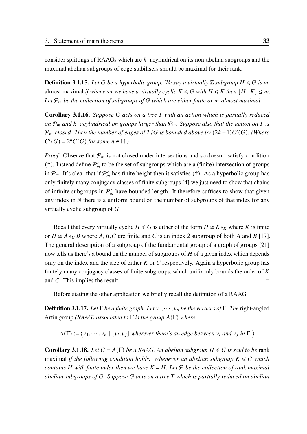consider splittings of RAAGs which are  $k$ -acylindrical on its non-abelian subgroups and the maximal abelian subgroups of edge stabilisers should be maximal for their rank.

**Definition 3.1.15.** Let G be a hyperbolic group. We say a virtually  $\mathbb{Z}$  subgroup  $H \le G$  is malmost maximal *if whenever we have a virtually cyclic*  $K \le G$  *with*  $H \le K$  *then*  $[H: K] \le m$ . Let  $P_m$  be the collection of subgroups of G which are either finite or m-almost maximal.

Corollary 3.1.16. Suppose G acts on a tree T with an action which is partially reduced *on*  $P_m$  and k–acylindrical on groups larger than  $P_m$ . Suppose also that the action on T is  $\mathcal{P}_m$ -closed. Then the number of edges of  $T/G$  is bounded above by  $(2k+1)C'(G)$ . (Where  $C'(G) = 2<sup>n</sup>C(G)$  for some  $n \in \mathbb{N}$ .)

*Proof.* Observe that  $P_m$  is not closed under intersections and so doesn't satisfy condition (†). Instead define  $P'_m$  to be the set of subgroups which are a (finite) intersection of groups in  $P_m$ . It's clear that if  $P'_m$  has finite height then it satisfies (†). As a hyperbolic group has only finitely many conjugacy classes of finite subgroups [\[4\]](#page-96-1) we just need to show that chains of infinite subgroups in  $P'_m$  have bounded length. It therefore suffices to show that given any index in N there is a uniform bound on the number of subgroups of that index for any virtually cyclic subgroup of  $G$ .

Recall that every virtually cyclic  $H \le G$  is either of the form  $H \cong K *_K$  where K is finite or  $H \cong A *_{C} B$  where A, B, C are finite and C is an index 2 subgroup of both A and B [\[17\]](#page-97-1). The general description of a subgroup of the fundamental group of a graph of groups [\[21\]](#page-97-0) now tells us there's a bound on the number of subgroups of  $H$  of a given index which depends only on the index and the size of either  $K$  or  $C$  respectively. Again a hyperbolic group has finitely many conjugacy classes of finite subgroups, which uniformly bounds the order of  $K$ and C. This implies the result.  $\Box$ 

Before stating the other application we briefly recall the definition of a RAAG.

**Definition 3.1.17.** *Let*  $\Gamma$  *be a finite graph. Let*  $v_1, \dots, v_n$  *be the vertices of*  $\Gamma$ *. The right-angled* Artin group *(RAAG)* associated to  $\Gamma$  *is the group*  $A(\Gamma)$  *where* 

 $A(\Gamma) := \langle v_1, \cdots, v_n | [v_i, v_j]$  wherever there's an edge between  $v_i$  and  $v_j$  in  $\Gamma$ .)

<span id="page-42-0"></span>**Corollary 3.1.18.** *Let*  $G = A(\Gamma)$  *be a RAAG. An abelian subgroup*  $H \le G$  *is said to be* rank maximal *if the following condition holds. Whenever an abelian subgroup*  $K \le G$  which *contains H* with finite index then we have  $K = H$ . Let  $P$  be the collection of rank maximal *abelian subgroups of . Suppose acts on a tree which is partially reduced on abelian*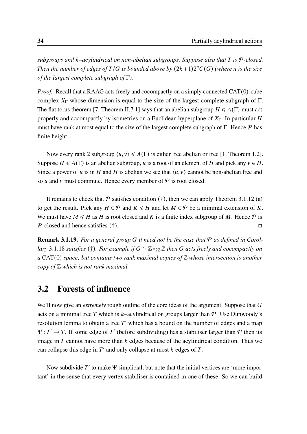*subgroups and –acylindrical on non-abelian subgroups. Suppose also that is* P*-closed.* Then the number of edges of  $T/G$  is bounded above by  $(2k+1)2<sup>n</sup>C(G)$  (where *n* is the size *of the largest complete subgraph of* Γ*).*

*Proof.* Recall that a RAAG acts freely and cocompactly on a simply connected CAT(0)-cube complex  $X_{\Gamma}$  whose dimension is equal to the size of the largest complete subgraph of  $\Gamma$ . The flat torus theorem [\[7,](#page-96-2) Theorem II.7.1] says that an abelian subgroup  $H \leq A(\Gamma)$  must act properly and cocompactly by isometries on a Euclidean hyperplane of  $X_{\Gamma}$ . In particular H must have rank at most equal to the size of the largest complete subgraph of  $\Gamma$ . Hence  $\mathcal P$  has finite height.

Now every rank 2 subgroup  $\langle u, v \rangle \leq A(\Gamma)$  is either free abelian or free [\[1,](#page-96-3) Theorem 1.2]. Suppose  $H \leq A(\Gamma)$  is an abelian subgroup, u is a root of an element of H and pick any  $v \in H$ . Since a power of u is in H and H is abelian we see that  $\langle u, v \rangle$  cannot be non-abelian free and so  $u$  and  $v$  must commute. Hence every member of  $P$  is root closed.

It remains to check that  $P$  satisfies condition (†), then we can apply Theorem 3.1.[12](#page-40-0) [\(a\)](#page-41-0) to get the result. Pick any  $H \in \mathcal{P}$  and  $K \le H$  and let  $M \in \mathcal{P}$  be a minimal extension of K. We must have  $M \le H$  as H is root closed and K is a finite index subgroup of M. Hence  $\mathcal P$  is  $P$ -closed and hence satisfies (†). □

**Remark 3.1.19.** For a general group G it need not be the case that P as defined in Corol*lary* 3.1.[18](#page-42-0) *satisfies* (†). For example if  $G \cong \mathbb{Z} *_{2\mathbb{Z}} \mathbb{Z}$  *then* G acts freely and cocompactly on *a* CAT(0) *space; but contains two rank maximal copies of* Z *whose intersection is another copy of* Z *which is not rank maximal.*

#### 3.2 Forests of influence

We'll now give an *extremely* rough outline of the core ideas of the argument. Suppose that G acts on a minimal tree T which is k–acylindrical on groups larger than  $\mathcal{P}$ . Use Dunwoody's resolution lemma to obtain a tree  $T'$  which has a bound on the number of edges and a map  $\Psi : T' \to T$ . If some edge of T' (before subdividing) has a stabiliser larger than  $\mathcal P$  then its image in  $T$  cannot have more than  $k$  edges because of the acylindrical condition. Thus we can collapse this edge in  $T'$  and only collapse at most  $k$  edges of  $T$ .

Now subdivide  $T'$  to make  $\Psi$  simplicial, but note that the initial vertices are 'more important' in the sense that every vertex stabiliser is contained in one of these. So we can build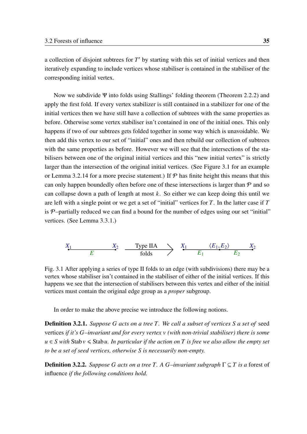a collection of disjoint subtrees for  $T'$  by starting with this set of initial vertices and then iteratively expanding to include vertices whose stabiliser is contained in the stabiliser of the corresponding initial vertex.

Now we subdivide Ψ into folds using Stallings' folding theorem (Theorem [2](#page-23-0).2.2) and apply the first fold. If every vertex stabilizer is still contained in a stabilizer for one of the initial vertices then we have still have a collection of subtrees with the same properties as before. Otherwise some vertex stabiliser isn't contained in one of the initial ones. This only happens if two of our subtrees gets folded together in some way which is unavoidable. We then add this vertex to our set of "initial" ones and then rebuild our collection of subtrees with the same properties as before. However we will see that the intersections of the stabilisers between one of the original initial vertices and this "new initial vertex" is strictly larger than the intersection of the original initial vertices. (See Figure [3.1](#page-44-0) for an example or Lemma 3.2.[14](#page-48-0) for a more precise statement.) If  $\mathcal P$  has finite height this means that this can only happen boundedly often before one of these intersections is larger than  $P$  and so can collapse down a path of length at most  $k$ . So either we can keep doing this until we are left with a single point or we get a set of "initial" vertices for  $T$ . In the latter case if  $T$ is  $P$ -partially reduced we can find a bound for the number of edges using our set "initial" vertices. (See Lemma [3](#page-55-0).3.1.)

<span id="page-44-0"></span>

Fig. 3.1 After applying a series of type II folds to an edge (with subdivisions) there may be a vertex whose stabiliser isn't contained in the stabiliser of either of the initial vertices. If this happens we see that the intersection of stabilisers between this vertex and either of the initial vertices must contain the original edge group as a *proper* subgroup.

In order to make the above precise we introduce the following notions.

**Definition 3.2.1.** *Suppose G* acts on a tree *T*. We call a subset of vertices *S* a set of seed vertices *if it's –invariant and for every vertex (with non-trivial stabiliser) there is some*  $u \in S$  with Stab  $v \leq$  Stab u. In particular if the action on T is free we also allow the empty set *to be a set of seed vertices, otherwise is necessarily non-empty.*

**Definition 3.2.2.** *Suppose G acts on a tree T*. A *G*-invariant subgraph  $\Gamma \subseteq T$  is a forest of influence *if the following conditions hold.*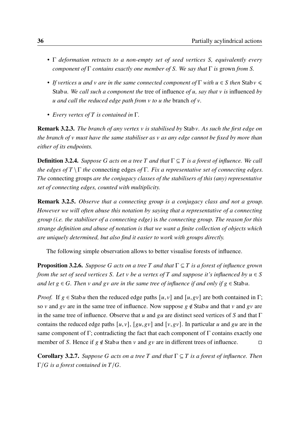- Γ *deformation retracts to a non-empty set of seed vertices S, equivalently every component of* Γ *contains exactly one member of . We say that* Γ *is* grown *from .*
- *If vertices u and v are in the same connected component of*  $\Gamma$  *with*  $u \in S$  *then* Stab  $v \leq$ Stab *u*. We call such a component the tree of influence of *u*, say that *v* is influenced by *and call the reduced edge path from to the* branch *of .*
- *Every vertex of is contained in* Γ*.*

<span id="page-45-2"></span>Remark 3.2.3. *The branch of any vertex is stabilised by* Stab*. As such the first edge on the branch of v* must have the same stabiliser as *v* as any edge cannot be fixed by more than *either of its endpoints.*

**Definition 3.2.4.** *Suppose* G acts on a tree T and that  $\Gamma \subseteq T$  is a forest of influence. We call *the edges of* \Γ *the* connecting edges *of* Γ*. Fix a representative set of connecting edges. The* connecting groups *are the conjugacy classes of the stabilisers of this (any) representative set of connecting edges, counted with multiplicity.*

Remark 3.2.5. *Observe that a connecting group is a conjugacy class and not a group. However we will often abuse this notation by saying that a representative of a connecting group (i.e. the stabiliser of a connecting edge)* is *the connecting group. The reason for this strange definition and abuse of notation is that we want a finite collection of objects which are uniquely determined, but also find it easier to work with groups directly.*

The following simple observation allows to better visualise forests of influence.

<span id="page-45-0"></span>**Proposition 3.2.6.** *Suppose G acts on a tree T and that* Γ⊆ *T is a forest of influence grown from the set of seed vertices S. Let*  $v$  *be a vertex of*  $T$  *and suppose it's influenced by*  $u \in S$ *and let*  $g \in G$ . *Then*  $v$  *and*  $g v$  *are in the same tree of influence if and only if*  $g \in$  Stab*u*.

*Proof.* If  $g \in$  Stab u then the reduced edge paths  $[u, v]$  and  $[u, gv]$  are both contained in Γ; so v and gv are in the same tree of influence. Now suppose  $g \notin$  Stab u and that v and gv are in the same tree of influence. Observe that u and  $\alpha$  are distinct seed vertices of S and that Γ contains the reduced edge paths  $[u, v]$ ,  $[gu, gv]$  and  $[v, gv]$ . In particular u and gu are in the same component of Γ; contradicting the fact that each component of Γ contains exactly one member of S. Hence if  $g \notin$  Stab u then v and  $g v$  are in different trees of influence.  $\Box$ 

<span id="page-45-1"></span>Corollary 3.2.7. *Suppose acts on a tree and that* Γ ⊆ *is a forest of influence. Then*  $\Gamma/G$  *is a forest contained in*  $T/G$ *.*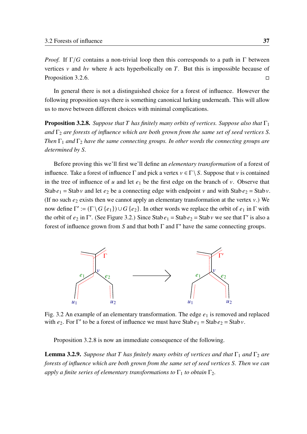*Proof.* If  $\Gamma/G$  contains a non-trivial loop then this corresponds to a path in  $\Gamma$  between vertices  $v$  and  $hv$  where  $h$  acts hyperbolically on  $T$ . But this is impossible because of Proposition [3](#page-45-0).2.6.  $\Box$ 

In general there is not a distinguished choice for a forest of influence. However the following proposition says there is something canonical lurking underneath. This will allow us to move between different choices with minimal complications.

<span id="page-46-1"></span>**Proposition 3.2.8.** *Suppose that*  $T$  *has finitely many orbits of vertices. Suppose also that*  $\Gamma_1$ *and*  $\Gamma$ <sub>2</sub> *are forests of influence which are both grown from the same set of seed vertices S*. *Then*  $\Gamma_1$  *and*  $\Gamma_2$  *have the same connecting groups. In other words the connecting groups are determined by .*

Before proving this we'll first we'll define an *elementary transformation* of a forest of influence. Take a forest of influence  $\Gamma$  and pick a vertex  $v \in \Gamma \setminus S$ . Suppose that v is contained in the tree of influence of u and let  $e_1$  be the first edge on the branch of v. Observe that Stab  $e_1$  = Stab v and let  $e_2$  be a connecting edge with endpoint v and with Stab  $e_2$  = Stab v. (If no such  $e_2$  exists then we cannot apply an elementary transformation at the vertex  $v$ .) We now define  $\Gamma' := (\Gamma \setminus G \{e_1\}) \cup G \{e_2\}$ . In other words we replace the orbit of  $e_1$  in  $\Gamma$  with the orbit of  $e_2$  in Γ'. (See Figure [3.2.](#page-46-0)) Since Stab  $e_1 =$  Stab  $e_2 =$  Stab v we see that Γ' is also a forest of influence grown from S and that both  $\Gamma$  and  $\Gamma'$  have the same connecting groups.

<span id="page-46-0"></span>

Fig. 3.2 An example of an elementary transformation. The edge  $e_1$  is removed and replaced with  $e_2$ . For Γ' to be a forest of influence we must have Stab  $e_1 =$  Stab  $e_2 =$  Stab v.

Proposition [3](#page-46-1).2.8 is now an immediate consequence of the following.

**Lemma 3.2.9.** *Suppose that*  $T$  *has finitely many orbits of vertices and that*  $\Gamma_1$  *and*  $\Gamma_2$  *are forests of influence which are both grown from the same set of seed vertices S. Then we can apply a finite series of elementary transformations to*  $\Gamma_1$  *to obtain*  $\Gamma_2$ *.*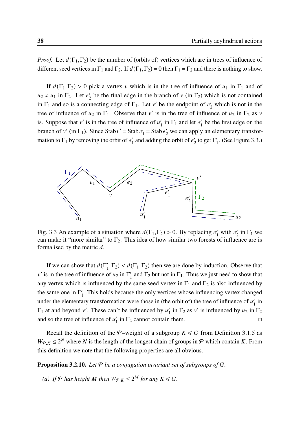*Proof.* Let  $d(\Gamma_1, \Gamma_2)$  be the number of (orbits of) vertices which are in trees of influence of different seed vertices in  $\Gamma_1$  and  $\Gamma_2$ . If  $d(\Gamma_1, \Gamma_2) = 0$  then  $\Gamma_1 = \Gamma_2$  and there is nothing to show.

If  $d(\Gamma_1,\Gamma_2) > 0$  pick a vertex v which is in the tree of influence of  $u_1$  in  $\Gamma_1$  and of  $u_2 \neq u_1$  in  $\Gamma_2$ . Let  $e'_2$  $\gamma$  be the final edge in the branch of v (in  $\Gamma_2$ ) which is not contained in  $\Gamma_1$  and so is a connecting edge of  $\Gamma_1$ . Let v' be the endpoint of  $e'_2$  which is not in the tree of influence of  $u_2$  in  $\Gamma_1$ . Observe that v' is in the tree of influence of  $u_2$  in  $\Gamma_2$  as v is. Suppose that  $v'$  is in the tree of influence of  $u'_1$  $\int_1$  in  $\Gamma_1$  and let  $e'_1$  $\frac{1}{1}$  be the first edge on the branch of v' (in  $\Gamma_1$ ). Since Stab v' = Stab e'  $\gamma_1'$  = Stab  $e'_2$  we can apply an elementary transformation to  $\Gamma_1$  by removing the orbit of  $e'_1$  $\frac{1}{1}$  and adding the orbit of  $e_2'$  $\frac{1}{2}$  to get  $\Gamma_1'$  $j_1'$ . (See Figure [3.3.](#page-47-0))

<span id="page-47-0"></span>

Fig. 3.3 An example of a situation where  $d(\Gamma_1, \Gamma_2) > 0$ . By replacing  $e'_1$  with  $e'_2$  $'_{2}$  in  $\Gamma_{1}$  we can make it "more similar" to  $\Gamma_2$ . This idea of how similar two forests of influence are is formalised by the metric  $d$ .

If we can show that  $d(\Gamma'_1)$  $T_1$ ,  $\Gamma_2$ ) <  $d(\Gamma_1, \Gamma_2)$  then we are done by induction. Observe that v' is in the tree of influence of  $u_2$  in  $\Gamma'_1$  $T_1'$  and  $\Gamma_2$  but not in  $\Gamma_1$ . Thus we just need to show that any vertex which is influenced by the same seed vertex in  $\Gamma_1$  and  $\Gamma_2$  is also influenced by the same one in  $\Gamma'_1$  $\frac{1}{1}$ . This holds because the only vertices whose influencing vertex changed under the elementary transformation were those in (the orbit of) the tree of influence of  $u_1$  $\frac{7}{1}$  in  $\Gamma_1$  at and beyond v'. These can't be influenced by  $u_1$  $\frac{1}{1}$  in  $\Gamma_2$  as v' is influenced by  $u_2$  in  $\Gamma_2$ and so the tree of influence of  $u_1$  $\frac{1}{1}$  in  $\Gamma_2$  cannot contain them.

Recall the definition of the P–weight of a subgroup  $K \le G$  from Definition [3](#page-39-1).1.5 as  $W_{\mathcal{P}, K} \leq 2^N$  where N is the length of the longest chain of groups in  $\mathcal P$  which contain K. From this definition we note that the following properties are all obvious.

<span id="page-47-1"></span>**Proposition 3.2.10.** Let  $P$  be a conjugation invariant set of subgroups of G.

(a) If  $P$  has height M then  $W_{P,K} \leq 2^M$  for any  $K \leq G$ .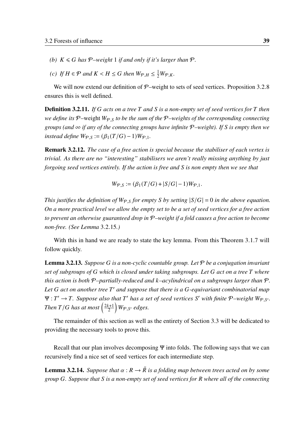- *(b)*  $K \le G$  has  $P$ -weight 1 *if and only if it's larger than*  $P$ *.*
- <span id="page-48-1"></span>(c) If  $H \in \mathcal{P}$  and  $K < H \leq G$  then  $W_{\mathcal{P},H} \leq \frac{1}{2}W_{\mathcal{P},K}$ .

We will now extend our definition of  $P$ –weight to sets of seed vertices. Proposition 3.[2](#page-46-1).8 ensures this is well defined.

**Definition 3.2.11.** *If* G acts on a tree T and S is a non-empty set of seed vertices for T then *we define its*  $P$ –weight  $W_{P,S}$  to be the sum of the  $P$ –weights of the corresponding connecting *groups (and* ∞ *if any of the connecting groups have infinite* P*–weight). If is empty then we instead define*  $W_{\mathcal{P}, S} := (\beta_1(T/G) - 1)W_{\mathcal{P}, 1}$ .

Remark 3.2.12. *The case of a free action is special because the stabiliser of each vertex is trivial. As there are no "interesting" stabilisers we aren't really missing anything by just forgoing seed vertices entirely. If the action is free and is non empty then we see that*

$$
W_{\mathcal{P},S} := (\beta_1(T/G) + |S/G| - 1)W_{\mathcal{P},1}.
$$

*This justifies the definition of*  $W_{P,S}$  *for empty S by setting*  $|S/G| = 0$  *in the above equation. On a more practical level we allow the empty set to be a set of seed vertices for a free action to prevent an otherwise guaranteed drop in* P*–weight if a fold causes a free action to become non-free. (See Lemma* 3.2.[15](#page-54-0)*.)*

With this in hand we are ready to state the key lemma. From this Theorem [3](#page-39-0).1.7 will follow quickly.

<span id="page-48-2"></span>Lemma 3.2.13. *Suppose is a non-cyclic countable group. Let* P *be a conjugation invariant set of subgroups of which is closed under taking subgroups. Let act on a tree where this action is both* P*–partially-reduced and –acylindrical on a subgroups larger than* P*.* Let G act on another tree T' and suppose that there is a G-equivariant combinatorial map  $\Psi: T' \to T$ . Suppose also that T' has a set of seed vertices S' with finite  $P$ -weight  $W_{\mathcal{P},S'}$ . *Then*  $T/G$  has at most  $\left(\frac{2k+1}{2}\right)$ 2  $\big)$   $W_{\mathcal{P},S'}$  edges.

The remainder of this section as well as the entirety of Section [3.3](#page-55-1) will be dedicated to providing the necessary tools to prove this.

Recall that our plan involves decomposing Ψ into folds. The following says that we can recursively find a nice set of seed vertices for each intermediate step.

<span id="page-48-0"></span>**Lemma 3.2.14.** *Suppose that*  $\alpha : R \to \tilde{R}$  *is a folding map between trees acted on by some group . Suppose that is a non-empty set of seed vertices for where all of the connecting*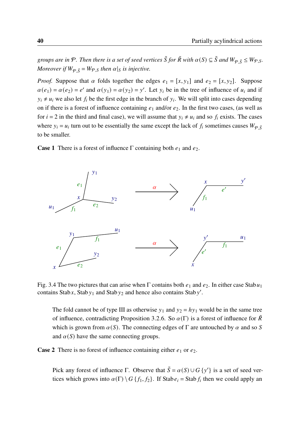*groups are in*  $\mathcal{P}$ *. Then there is a set of seed vertices*  $\tilde{S}$  *for*  $\tilde{R}$  *with*  $\alpha(S) \subseteq \tilde{S}$  *and*  $W_{\varphi}$   $\tilde{S} \leq W_{\varphi}$ *s. Moreover if*  $W_{\varphi, \tilde{S}} = W_{\varphi, S}$  *then*  $\alpha|_{S}$  *is injective.* 

*Proof.* Suppose that  $\alpha$  folds together the edges  $e_1 = [x, y_1]$  and  $e_2 = [x, y_2]$ . Suppose  $\alpha(e_1) = \alpha(e_2) = e'$  and  $\alpha(y_1) = \alpha(y_2) = y'$ . Let  $y_i$  be in the tree of influence of  $u_i$  and if  $y_i \neq u_i$  we also let  $f_i$  be the first edge in the branch of  $y_i$ . We will split into cases depending on if there is a forest of influence containing  $e_1$  and/or  $e_2$ . In the first two cases, (as well as for  $i = 2$  in the third and final case), we will assume that  $y_i \neq u_i$  and so  $f_i$  exists. The cases where  $y_i = u_i$  turn out to be essentially the same except the lack of  $f_i$  sometimes causes  $W_{\varphi,\tilde{S}}$ to be smaller.

**Case 1** There is a forest of influence  $\Gamma$  containing both  $e_1$  and  $e_2$ .



Fig. 3.4 The two pictures that can arise when  $\Gamma$  contains both  $e_1$  and  $e_2$ . In either case Stab $u_1$ contains Stab x, Stab  $y_1$  and Stab  $y_2$  and hence also contains Stab y'.

The fold cannot be of type III as otherwise  $y_1$  and  $y_2 = hy_1$  would be in the same tree of influence, contradicting Proposition [3](#page-45-0).2.6. So  $\alpha(\Gamma)$  is a forest of influence for  $\tilde{R}$ which is grown from  $\alpha(S)$ . The connecting edges of  $\Gamma$  are untouched by  $\alpha$  and so S and  $\alpha(S)$  have the same connecting groups.

**Case 2** There is no forest of influence containing either  $e_1$  or  $e_2$ .

Pick any forest of influence Γ. Observe that  $\tilde{S} = \alpha(S) \cup G \{y'\}$  is a set of seed vertices which grows into  $\alpha(\Gamma) \setminus G$  {  $f_1, f_2$ }. If Stab  $e_i =$  Stab  $f_i$  then we could apply an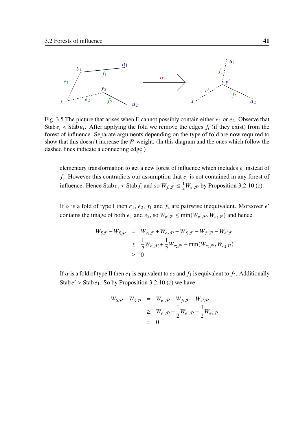

Fig. 3.5 The picture that arises when  $\Gamma$  cannot possibly contain either  $e_1$  or  $e_2$ . Observe that Stab  $e_i$  < Stab  $u_i$ . After applying the fold we remove the edges  $f_i$  (if they exist) from the forest of influence. Separate arguments depending on the type of fold are now required to show that this doesn't increase the  $P$ -weight. (In this diagram and the ones which follow the dashed lines indicate a connecting edge.)

elementary transformation to get a new forest of influence which includes  $e_i$  instead of  $f_i$ . However this contradicts our assumption that  $e_i$  is not contained in any forest of influence. Hence Stab  $e_i$  < Stab  $f_i$  and so  $W_{f_i, \mathcal{P}} \leq \frac{1}{2} W_{e_i, \mathcal{P}}$  by Proposition 3.2.[10](#page-47-1) [\(c\).](#page-48-1)

If  $\alpha$  is a fold of type I then  $e_1, e_2, f_1$  and  $f_2$  are pairwise inequivalent. Moreover  $e'$ contains the image of both  $e_1$  and  $e_2$ , so  $W_{e',\mathcal{P}} \le \min(W_{e_1,\mathcal{P}}, W_{e_2,\mathcal{P}})$  and hence

$$
W_{S,\mathcal{P}} - W_{\tilde{S},\mathcal{P}} = W_{e_1,\mathcal{P}} + W_{e_2,\mathcal{P}} - W_{f_1,\mathcal{P}} - W_{f_2,\mathcal{P}} - W_{e',\mathcal{P}}
$$
  
\n
$$
\geq \frac{1}{2} W_{e_1,\mathcal{P}} + \frac{1}{2} W_{e_2,\mathcal{P}} - \min(W_{e_1,\mathcal{P}}, W_{e_2,\mathcal{P}})
$$
  
\n
$$
\geq 0
$$

If  $\alpha$  is a fold of type II then  $e_1$  is equivalent to  $e_2$  and  $f_1$  is equivalent to  $f_2$ . Additionally Stab  $e' >$  Stab  $e_1$ . So by Proposition 3.2.[10](#page-47-1) [\(c\)](#page-48-1) we have

$$
W_{S,\mathcal{P}} - W_{\tilde{S},\mathcal{P}} = W_{e_1,\mathcal{P}} - W_{f_1,\mathcal{P}} - W_{e',\mathcal{P}}
$$
  
\n
$$
\geq W_{e_1,\mathcal{P}} - \frac{1}{2}W_{e_1,\mathcal{P}} - \frac{1}{2}W_{e_1,\mathcal{P}}
$$
  
\n
$$
= 0
$$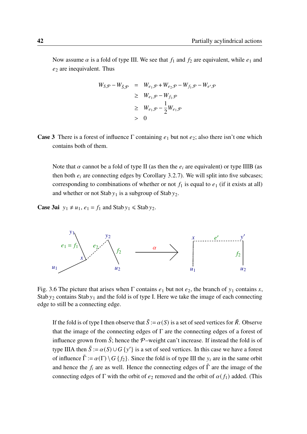Now assume  $\alpha$  is a fold of type III. We see that  $f_1$  and  $f_2$  are equivalent, while  $e_1$  and  $e_2$  are inequivalent. Thus

$$
W_{S,\mathcal{P}} - W_{\tilde{S},\mathcal{P}} = W_{e_1,\mathcal{P}} + W_{e_2,\mathcal{P}} - W_{f_1,\mathcal{P}} - W_{e',\mathcal{P}}
$$
  
\n
$$
\geq W_{e_1,\mathcal{P}} - W_{f_1,\mathcal{P}}
$$
  
\n
$$
\geq W_{e_1,\mathcal{P}} - \frac{1}{2}W_{e_1,\mathcal{P}}
$$
  
\n
$$
> 0
$$

**Case 3** There is a forest of influence Γ containing  $e_1$  but not  $e_2$ ; also there isn't one which contains both of them.

Note that  $\alpha$  cannot be a fold of type II (as then the  $e_i$  are equivalent) or type IIIB (as then both  $e_i$  are connecting edges by Corollary [3](#page-45-1).2.7). We will split into five subcases; corresponding to combinations of whether or not  $f_1$  is equal to  $e_1$  (if it exists at all) and whether or not Stab  $y_1$  is a subgroup of Stab  $y_2$ .

**Case 3ai**  $y_1 \neq u_1$ ,  $e_1 = f_1$  and Stab  $y_1 \leq$  Stab  $y_2$ .



Fig. 3.6 The picture that arises when  $\Gamma$  contains  $e_1$  but not  $e_2$ , the branch of  $y_1$  contains x, Stab  $y_2$  contains Stab  $y_1$  and the fold is of type I. Here we take the image of each connecting edge to still be a connecting edge.

If the fold is of type I then observe that  $\tilde{S} := \alpha(S)$  is a set of seed vertices for  $\tilde{R}$ . Observe that the image of the connecting edges of Γ are the connecting edges of a forest of influence grown from  $\tilde{S}$ ; hence the P–weight can't increase. If instead the fold is of type IIIA then  $\tilde{S} := \alpha(S) \cup G \{y'\}$  is a set of seed vertices. In this case we have a forest of influence  $\tilde{\Gamma} := \alpha(\Gamma) \setminus G\{f_2\}$ . Since the fold is of type III the  $y_i$  are in the same orbit and hence the  $f_i$  are as well. Hence the connecting edges of  $\tilde{\Gamma}$  are the image of the connecting edges of Γ with the orbit of  $e_2$  removed and the orbit of  $\alpha(f_1)$  added. (This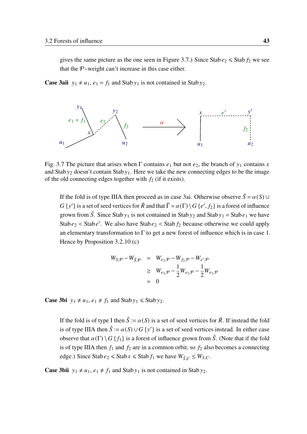gives the same picture as the one seen in Figure [3.7.](#page-52-0)) Since Stab  $e_2 \le$  Stab  $f_2$  we see that the  $P$ -weight can't increase in this case either.

**Case 3aii**  $y_1 \neq u_1$ ,  $e_1 = f_1$  and Stab  $y_1$  is not contained in Stab  $y_2$ .

<span id="page-52-0"></span>

Fig. 3.7 The picture that arises when  $\Gamma$  contains  $e_1$  but not  $e_2$ , the branch of  $y_1$  contains x and Stab  $y_2$  doesn't contain Stab  $y_1$ . Here we take the new connecting edges to be the image of the old connecting edges together with  $f_2$  (if it exists).

If the fold is of type IIIA then proceed as in case 3ai. Otherwise observe  $\tilde{S} = \alpha(S) \cup$  $G \{y'\}$  is a set of seed vertices for  $\tilde{R}$  and that  $\tilde{\Gamma} = \alpha(\Gamma) \setminus G \{e', f_2\}$  is a forest of influence grown from  $\tilde{S}$ . Since Stab  $y_1$  is not contained in Stab  $y_2$  and Stab  $y_1 =$  Stab  $e_1$  we have Stab  $e_2$  < Stab e'. We also have Stab  $e_2$  < Stab  $f_2$  because otherwise we could apply an elementary transformation to  $\Gamma$  to get a new forest of influence which is in case 1. Hence by Proposition 3.2.[10](#page-47-1) [\(c\)](#page-48-1)

$$
W_{S,\mathcal{P}} - W_{\tilde{S},\mathcal{P}} = W_{e_2,\mathcal{P}} - W_{f_2,\mathcal{P}} - W_{e',\mathcal{P}}
$$
  
\n
$$
\geq W_{e_2,\mathcal{P}} - \frac{1}{2}W_{e_2,\mathcal{P}} - \frac{1}{2}W_{e_2,\mathcal{P}}
$$
  
\n
$$
= 0
$$

**Case 3bi**  $y_1 \neq u_1, e_1 \neq f_1$  and Stab  $y_1 \leq$  Stab  $y_2$ .

If the fold is of type I then  $\tilde{S} := \alpha(S)$  is a set of seed vertices for  $\tilde{R}$ . If instead the fold is of type IIIA then  $\tilde{S} := \alpha(S) \cup G \{y'\}$  is a set of seed vertices instead. In either case observe that  $\alpha(\Gamma) \setminus G\{f_1\}$  is a forest of influence grown from  $\tilde{S}$ . (Note that if the fold is of type IIIA then  $f_1$  and  $f_2$  are in a common orbit, so  $f_2$  also becomes a connecting edge.) Since Stab  $e_2 \leq$  Stab  $x \leq$  Stab  $f_1$  we have  $W_{\tilde{S},C} \leq W_{S,C}$ .

**Case 3bii**  $y_1 \neq u_1, e_1 \neq f_1$  and Stab  $y_1$  is not contained in Stab  $y_2$ .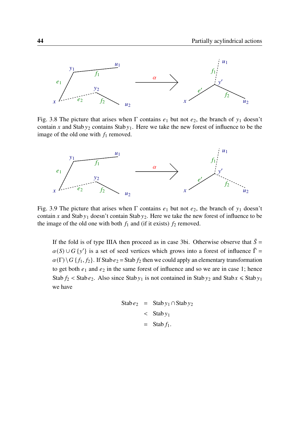

Fig. 3.8 The picture that arises when  $\Gamma$  contains  $e_1$  but not  $e_2$ , the branch of  $y_1$  doesn't contain x and Stab  $y_2$  contains Stab  $y_1$ . Here we take the new forest of influence to be the image of the old one with  $f_1$  removed.



Fig. 3.9 The picture that arises when  $\Gamma$  contains  $e_1$  but not  $e_2$ , the branch of  $y_1$  doesn't contain x and Stab  $y_1$  doesn't contain Stab  $y_2$ . Here we take the new forest of influence to be the image of the old one with both  $f_1$  and (if it exists)  $f_2$  removed.

If the fold is of type IIIA then proceed as in case 3bi. Otherwise observe that  $\tilde{S} =$  $\alpha(S) \cup G \{y'\}$  is a set of seed vertices which grows into a forest of influence  $\tilde{\Gamma} =$  $\alpha(\Gamma) \backslash G$  { $f_1, f_2$ }. If Stab  $e_2$  = Stab  $f_2$  then we could apply an elementary transformation to get both  $e_1$  and  $e_2$  in the same forest of influence and so we are in case 1; hence Stab  $f_2$  < Stab  $e_2$ . Also since Stab  $y_1$  is not contained in Stab  $y_2$  and Stab  $x \le$  Stab  $y_1$ we have

$$
\begin{aligned} \text{Stab}\,e_2 &= \text{Stab}\,y_1 \cap \text{Stab}\,y_2 \\ &< \text{Stab}\,y_1 \\ &= \text{Stab}\,f_1. \end{aligned}
$$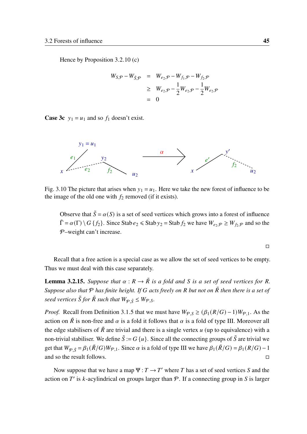Hence by Proposition 3.2.[10](#page-47-1) [\(c\)](#page-48-1)

$$
W_{S,\mathcal{P}} - W_{\tilde{S},\mathcal{P}} = W_{e_2,\mathcal{P}} - W_{f_1,\mathcal{P}} - W_{f_2,\mathcal{P}}
$$
  
\n
$$
\geq W_{e_2,\mathcal{P}} - \frac{1}{2}W_{e_2,\mathcal{P}} - \frac{1}{2}W_{e_2,\mathcal{P}}
$$
  
\n
$$
= 0
$$

**Case 3c**  $y_1 = u_1$  and so  $f_1$  doesn't exist.



Fig. 3.10 The picture that arises when  $y_1 = u_1$ . Here we take the new forest of influence to be the image of the old one with  $f_2$  removed (if it exists).

Observe that  $\tilde{S} = \alpha(S)$  is a set of seed vertices which grows into a forest of influence  $\tilde{\Gamma} = \alpha(\Gamma) \setminus G$  { $f_2$ }. Since Stab  $e_2 \leq$  Stab  $y_2 =$  Stab  $f_2$  we have  $W_{e_2, P} \geq W_{f_2, P}$  and so the P–weight can't increase.

$$
\Box
$$

Recall that a free action is a special case as we allow the set of seed vertices to be empty. Thus we must deal with this case separately.

<span id="page-54-0"></span>**Lemma 3.2.15.** *Suppose that*  $\alpha : R \to \tilde{R}$  *is a fold and S is a set of seed vertices for R*. *Suppose also that* P *has finite height. If acts freely on but not on* ˜ *then there is a set of seed vertices*  $\tilde{S}$  *for*  $\tilde{R}$  *such that*  $W_{\varphi, \tilde{S}} \leq W_{\varphi, S}$ *.* 

*Proof.* Recall from Definition 3.1.[5](#page-39-1) that we must have  $W_{P,S} \ge (\beta_1 (R/G) - 1)W_{P,1}$ . As the action on  $\tilde{R}$  is non-free and  $\alpha$  is a fold it follows that  $\alpha$  is a fold of type III. Moreover all the edge stabilisers of  $\tilde{R}$  are trivial and there is a single vertex  $u$  (up to equivalence) with a non-trivial stabiliser. We define  $\tilde{S} := G\{u\}$ . Since all the connecting groups of  $\tilde{S}$  are trivial we get that  $W_{\varphi \tilde{S}} = \beta_1 (\tilde{R}/G)W_{\varphi,1}$ . Since  $\alpha$  is a fold of type III we have  $\beta_1(\tilde{R}/G) = \beta_1(R/G) - 1$ and so the result follows. □

Now suppose that we have a map  $\Psi : T \to T'$  where T has a set of seed vertices S and the action on T' is k-acylindrical on groups larger than  $P$ . If a connecting group in S is larger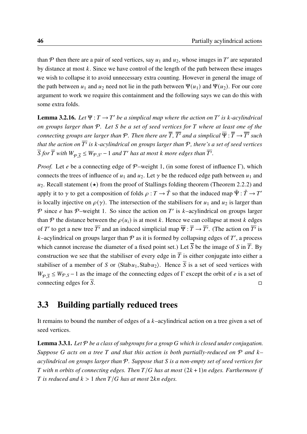than  $P$  then there are a pair of seed vertices, say  $u_1$  and  $u_2$ , whose images in  $T'$  are separated by distance at most  $k$ . Since we have control of the length of the path between these images we wish to collapse it to avoid unnecessary extra counting. However in general the image of the path between  $u_1$  and  $u_2$  need not lie in the path between  $\Psi(u_1)$  and  $\Psi(u_2)$ . For our core argument to work we require this containment and the following says we can do this with some extra folds.

<span id="page-55-2"></span>**Lemma 3.2.16.** Let  $\Psi: T \to T'$  be a simplical map where the action on T' is k-acylindrical *on groups larger than* P*. Let be a set of seed vertices for where at least one of the*  $R$  *connecting groups are larger than*  $P$  *. Then there are*  $\overline{T}$  *,*  $\overline{T'}$  *and a simplical*  $\overline{\Psi}$  *:*  $\overline{T}$  $\rightarrow$  $\overline{T'}$  *such* that the action on  $\overline{T'}$  is k-acylindrical on groups larger than  ${\mathcal P}$ , there's a set of seed vertices  $\overline{S}$  for  $\overline{T}$  with  $W_{\mathcal{P},\overline{S}} \leq W_{\mathcal{P},S'}-1$  and  $T'$  has at most  $k$  more edges than  $\overline{T'}$ .

*Proof.* Let *e* be a connecting edge of  $P$ –weight 1, (in some forest of influence Γ), which connects the trees of influence of  $u_1$  and  $u_2$ . Let  $\gamma$  be the reduced edge path between  $u_1$  and  $u_2$  $u_2$ . Recall statement ( $\star$ ) from the proof of Stallings folding theorem (Theorem 2.2.2) and apply it to  $\gamma$  to get a composition of folds  $\rho : T \to \tilde{T}$  so that the induced map  $\tilde{\Psi} : \tilde{T} \to T'$ is locally injective on  $\rho(\gamma)$ . The intersection of the stabilisers for  $u_1$  and  $u_2$  is larger than P since e has P-weight 1. So since the action on T' is k-acylindrical on groups larger than P the distance between the  $\rho(u_i)$  is at most k. Hence we can collapse at most k edges of T' to get a new tree  $\overline{T'}$  and an induced simplicial map  $\overline{\Psi} : \overline{T} \to \overline{T'}$ . (The action on  $\overline{T'}$  is k–acylindrical on groups larger than  $P$  as it is formed by collapsing edges of T', a process which cannot increase the diameter of a fixed point set.) Let  $\overline{S}$  be the image of S in  $\overline{T}$ . By construction we see that the stabiliser of every edge in  $\overline{T}$  is either conjugate into either a stabiliser of a member of S or  $\langle$ Stab $u_1$ ,Stab $u_2$ ). Hence  $\overline{S}$  is a set of seed vertices with  $W_{\mathcal{P}, \overline{S}} \leq W_{\mathcal{P}, S} - 1$  as the image of the connecting edges of  $\Gamma$  except the orbit of e is a set of connecting edges for  $S$ .  $\square$ 

## <span id="page-55-1"></span>3.3 Building partially reduced trees

It remains to bound the number of edges of a  $k$ -acylindrical action on a tree given a set of seed vertices.

<span id="page-55-0"></span>Lemma 3.3.1. Let  $P$  be a class of subgroups for a group G which is closed under conjugation. *Suppose* G acts on a tree T and that this action is both partially-reduced on  $P$  and  $k$ *acylindrical on groups larger than* P*. Suppose that is a non-empty set of seed vertices for T* with *n* orbits of connecting edges. Then  $T/G$  has at most  $(2k+1)n$  edges. Furthermore if *T* is reduced and  $k > 1$  then  $T/G$  has at most 2kn edges.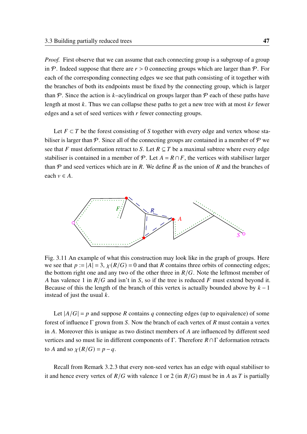*Proof.* First observe that we can assume that each connecting group is a subgroup of a group in P. Indeed suppose that there are  $r > 0$  connecting groups which are larger than P. For each of the corresponding connecting edges we see that path consisting of it together with the branches of both its endpoints must be fixed by the connecting group, which is larger than P. Since the action is k–acylindrical on groups larger than P each of these paths have length at most  $k$ . Thus we can collapse these paths to get a new tree with at most  $kr$  fewer edges and a set of seed vertices with  $r$  fewer connecting groups.

Let  $F \subset T$  be the forest consisting of S together with every edge and vertex whose stabiliser is larger than  $P$ . Since all of the connecting groups are contained in a member of  $P$  we see that F must deformation retract to S. Let  $R \subseteq T$  be a maximal subtree where every edge stabiliser is contained in a member of  $\mathcal{P}$ . Let  $A = R \cap F$ , the vertices with stabiliser larger than P and seed vertices which are in R. We define  $\tilde{R}$  as the union of R and the branches of each  $v \in A$ .



Fig. 3.11 An example of what this construction may look like in the graph of groups. Here we see that  $p := |A| = 3$ ,  $\chi(R/G) = 0$  and that R contains three orbits of connecting edges; the bottom right one and any two of the other three in  $R/G$ . Note the leftmost member of A has valence 1 in  $R/G$  and isn't in S, so if the tree is reduced F must extend beyond it. Because of this the length of the branch of this vertex is actually bounded above by  $k - 1$ instead of just the usual  $k$ .

Let  $|A/G| = p$  and suppose R contains q connecting edges (up to equivalence) of some forest of influence  $\Gamma$  grown from S. Now the branch of each vertex of R must contain a vertex in  $\Lambda$ . Moreover this is unique as two distinct members of  $\Lambda$  are influenced by different seed vertices and so must lie in different components of Γ. Therefore  $R \cap \Gamma$  deformation retracts to A and so  $\chi(R/G) = p - q$ .

Recall from Remark [3](#page-45-2).2.3 that every non-seed vertex has an edge with equal stabiliser to it and hence every vertex of  $R/G$  with valence 1 or 2 (in  $R/G$ ) must be in A as T is partially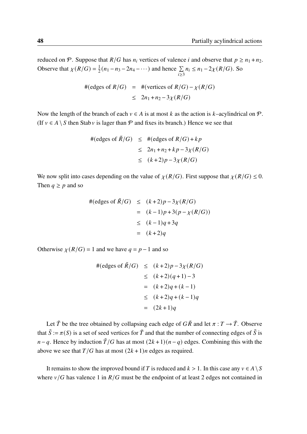reduced on P. Suppose that  $R/G$  has  $n_i$  vertices of valence *i* and observe that  $p \ge n_1 + n_2$ . Observe that  $\chi(R/G) = \frac{1}{2}$  $\frac{1}{2}(n_1 - n_3 - 2n_4 - \cdots)$  and hence  $\sum_{n=1}^{\infty}$  $i \geq 3$  $n_i \leq n_1 - 2\chi(R/G)$ . So

$$
\#(\text{edges of } R/G) = \#(\text{vertices of } R/G) - \chi(R/G)
$$
  

$$
\leq 2n_1 + n_2 - 3\chi(R/G)
$$

Now the length of the branch of each  $v \in A$  is at most k as the action is k–acylindrical on  $\mathcal{P}$ . (If  $v \in A \setminus S$  then Stab v is lager than P and fixes its branch.) Hence we see that

$$
\#(\text{edges of }\tilde{R}/G) \leq \#(\text{edges of } R/G) + kp
$$
  

$$
\leq 2n_1 + n_2 + kp - 3\chi(R/G)
$$
  

$$
\leq (k+2)p - 3\chi(R/G)
$$

We now split into cases depending on the value of  $\chi(R/G)$ . First suppose that  $\chi(R/G) \leq 0$ . Then  $q \geq p$  and so

$$
\#(\text{edges of }\tilde{R}/G) \leq (k+2)p - 3\chi(R/G)
$$
  
= (k-1)p+3(p-\chi(R/G))  

$$
\leq (k-1)q + 3q
$$
  
= (k+2)q

Otherwise  $\chi(R/G) = 1$  and we have  $q = p - 1$  and so

$$
\#(\text{edges of }\tilde{R}/G) \le (k+2)p - 3\chi(R/G)
$$
  
\n
$$
\le (k+2)(q+1) - 3
$$
  
\n
$$
= (k+2)q + (k-1)
$$
  
\n
$$
\le (k+2)q + (k-1)q
$$
  
\n
$$
= (2k+1)q
$$

Let  $\tilde{T}$  be the tree obtained by collapsing each edge of  $G\tilde{R}$  and let  $\pi : T \to \tilde{T}$ . Observe that  $\tilde{S} := \pi(S)$  is a set of seed vertices for  $\tilde{T}$  and that the number of connecting edges of  $\tilde{S}$  is  $n-q$ . Hence by induction  $\tilde{T}/G$  has at most  $(2k+1)(n-q)$  edges. Combining this with the above we see that  $T/G$  has at most  $(2k+1)n$  edges as required.

It remains to show the improved bound if T is reduced and  $k > 1$ . In this case any  $v \in A \setminus S$ where  $v/G$  has valence 1 in  $R/G$  must be the endpoint of at least 2 edges not contained in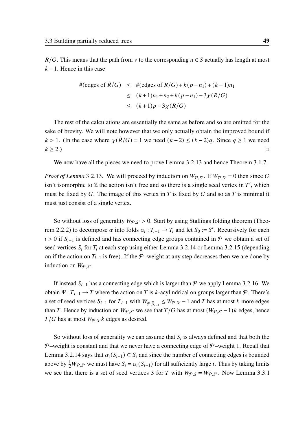$R/G$ . This means that the path from v to the corresponding  $u \in S$  actually has length at most  $k-1$ . Hence in this case

$$
# (edges of \tilde{R}/G) ≤ # (edges of R/G) + k(p - n1) + (k - 1)n1
$$
  
≤ (k + 1)n<sub>1</sub> + n<sub>2</sub> + k(p - n<sub>1</sub>) - 3χ(R/G)  
≤ (k + 1)p - 3χ(R/G)

The rest of the calculations are essentially the same as before and so are omitted for the sake of brevity. We will note however that we only actually obtain the improved bound if  $k > 1$ . (In the case where  $\chi(\tilde{R}/G) = 1$  we need  $(k-2) \le (k-2)q$ . Since  $q \ge 1$  we need  $k \geq 2.$ 

We now have all the pieces we need to prove Lemma 3.2.[13](#page-48-2) and hence Theorem [3](#page-39-0).1.7.

*Proof of Lemma* 3.2.[13](#page-48-2). We will proceed by induction on  $W_{\mathcal{P},S}$ . If  $W_{\mathcal{P},S'} = 0$  then since G isn't isomorphic to  $\mathbb Z$  the action isn't free and so there is a single seed vertex in T', which must be fixed by  $G$ . The image of this vertex in  $T$  is fixed by  $G$  and so as  $T$  is minimal it must just consist of a single vertex.

So without loss of generality  $W_{\mathcal{P},S'} > 0$ . Start by using Stallings folding theorem (Theo-rem [2](#page-23-0).2.2) to decompose  $\alpha$  into folds  $\alpha_i : T_{i-1} \to T_i$  and let  $S_0 := S'$ . Recursively for each  $i > 0$  if  $S_{i-1}$  is defined and has connecting edge groups contained in P we obtain a set of seed vertices  $S_i$  for  $T_i$  at each step using either Lemma 3.2.[14](#page-48-0) or Lemma 3.2.[15](#page-54-0) (depending on if the action on  $T_{i-1}$  is free). If the P–weight at any step decreases then we are done by induction on  $W_{\mathcal{P},S}$ .

If instead  $S_{i-1}$  has a connecting edge which is larger than P we apply Lemma 3.2.[16](#page-55-2). We obtain  $\overline{\Psi}$ :  $\overline{T}_{i-1} \to \overline{T}$  where the action on  $\overline{T}$  is k-acylindrical on groups larger than  $\mathcal{P}$ . There's a set of seed vertices  $\overline{S}_{i-1}$  for  $\overline{T}_{i-1}$  with  $W_{\varphi,\overline{S}_{i-1}} \leq W_{\varphi,S'} - 1$  and T has at most k more edges than  $\overline{T}$ . Hence by induction on  $W_{\mathcal{P},S'}$  we see that  $\overline{T}/G$  has at most  $(W_{\mathcal{P},S'}-1)$ k edges, hence  $T/G$  has at most  $W_{\varphi, S'} k$  edges as desired.

So without loss of generality we can assume that  $S_i$  is always defined and that both the  $P$ –weight is constant and that we never have a connecting edge of  $P$ –weight 1. Recall that Lemma 3.2.[14](#page-48-0) says that  $\alpha_i(S_{i-1}) \subseteq S_i$  and since the number of connecting edges is bounded above by  $\frac{1}{2}W_{\mathcal{P},S'}$  we must have  $S_i = \alpha_i(S_{i-1})$  for all sufficiently large *i*. Thus by taking limits we see that there is a set of seed vertices S for T with  $W_{\mathcal{P}, S} = W_{\mathcal{P}, S'}$ . Now Lemma [3](#page-55-0).3.1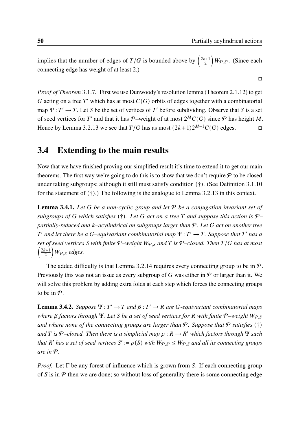$\Box$ 

implies that the number of edges of  $T/G$  is bounded above by  $\left(\frac{2k+1}{2}\right)$ 2  $W_{\mathcal{P},S}$ . (Since each connecting edge has weight of at least 2.)

*Proof of Theorem* [3](#page-39-0).1.7*.* First we use Dunwoody's resolution lemma (Theorem 2.1.[12](#page-18-0)) to get G acting on a tree T' which has at most  $C(G)$  orbits of edges together with a combinatorial map  $\Psi : T' \to T$ . Let S be the set of vertices of T' before subdividing. Observe that S is a set of seed vertices for T' and that it has P-weight of at most  $2^MC(G)$  since P has height M. Hence by Lemma 3.2.[13](#page-48-2) we see that  $T/G$  has as most  $(2k+1)2^{M-1}C(G)$  edges.

## 3.4 Extending to the main results

Now that we have finished proving our simplified result it's time to extend it to get our main theorems. The first way we're going to do this is to show that we don't require  $P$  to be closed under taking subgroups; although it still must satisfy condition (†). (See Definition 3.1.[10](#page-40-2) for the statement of (†).) The following is the analogue to Lemma 3.2.[13](#page-48-2) in this context.

<span id="page-59-0"></span>Lemma 3.4.1. *Let be a non-cyclic group and let* P *be a conjugation invariant set of subgroups of* G which satisfies (†). Let G act on a tree T and suppose this action is  $P$ *partially-reduced and –acylindrical on subgroups larger than* P*. Let act on another tree*  $T'$  and let there be a G-equivariant combinatorial map  $\Psi : T' \to T$ . Suppose that T' has a *set of seed vertices S* with finite  $P$ –weight  $W_{P,S}$  and *T* is  $P$ –closed. Then *T*/*G* has at most  $\frac{2k+1}{2}$ 2  $\big)$  W<sub>P,S</sub> edges.

The added difficulty is that Lemma 3.2.[14](#page-48-0) requires every connecting group to be in  $P$ . Previously this was not an issue as every subgroup of G was either in  $\mathcal P$  or larger than it. We will solve this problem by adding extra folds at each step which forces the connecting groups to be in  $\mathcal{P}$ .

<span id="page-59-1"></span>**Lemma 3.4.2.** *Suppose*  $\Psi : T' \to T$  and  $\beta : T' \to R$  are G-equivariant combinatorial maps *where β* factors through Ψ. Let *S* be a set of seed vertices for R with finite P–weight W<sub>P S</sub> *and where none of the connecting groups are larger than*  $P$ *. Suppose that*  $P$  *satisfies* (†)  $a$ nd T is  $P$ –closed. Then there is a simplicial map  $\rho : R \to R'$  which factors through  $\Psi$  such *that*  $R'$  has a set of seed vertices  $S' := \rho(S)$  with  $W_{\mathcal{P},S'} \leq W_{\mathcal{P},S}$  and all its connecting groups *are in* P*.*

*Proof.* Let  $\Gamma$  be any forest of influence which is grown from S. If each connecting group of S is in  $P$  then we are done; so without loss of generality there is some connecting edge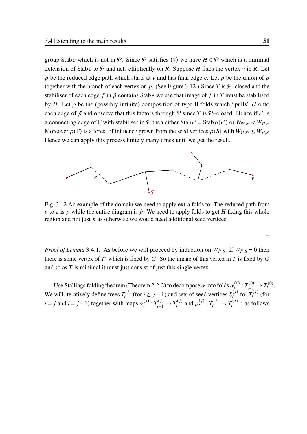group Stabe which is not in P. Since P satisfies (†) we have  $H \in \mathcal{P}$  which is a minimal extension of Stabe to  $\mathcal P$  and acts elliptically on R. Suppose H fixes the vertex  $\nu$  in R. Let p be the reduced edge path which starts at v and has final edge e. Let  $\tilde{p}$  be the union of p together with the branch of each vertex on p. (See Figure [3.12.](#page-60-0)) Since T is  $P$ –closed and the stabiliser of each edge f in  $\tilde{p}$  contains Stab e we see that image of f in T must be stabilised by H. Let  $\rho$  be the (possibly infinite) composition of type II folds which "pulls" H onto each edge of  $\tilde{p}$  and observe that this factors through  $\Psi$  since T is P–closed. Hence if e' is a connecting edge of  $\Gamma$  with stabiliser in  $\mathcal P$  then either Stab  $e' = \text{Stab}\rho(e')$  or  $W_{\mathcal P,e'} < W_{\mathcal P,e'}$ . Moreover  $\rho(\Gamma)$  is a forest of influence grown from the seed vertices  $\rho(S)$  with  $W_{\mathcal{P},S'} \leq W_{\mathcal{P},S}$ . Hence we can apply this process finitely many times until we get the result.

<span id="page-60-0"></span>

Fig. 3.12 An example of the domain we need to apply extra folds to. The reduced path from v to e is p while the entire diagram is  $\tilde{p}$ . We need to apply folds to get H fixing this whole region and not just  $p$  as otherwise we would need additional seed vertices.

*Proof of Lemma* [3](#page-59-0).4.1. As before we will proceed by induction on  $W_{P,S}$ . If  $W_{P,S} = 0$  then there is some vertex of  $T'$  which is fixed by  $G$ . So the image of this vertex in  $T$  is fixed by  $G$ and so as  $T$  is minimal it must just consist of just this single vertex.

Use Stallings folding theorem (Theorem [2](#page-23-0).2.2) to decompose  $\alpha$  into folds  $\alpha_i^{(0)}$  $T^{(0)}_{i} : T^{(0)}_{i-1} \to T^{(0)}_{i}$  $i^{(0)}$ . We will iteratively define trees  $T_i^{(j)}$  $S_i^{(j)}$  (for  $i \ge j - 1$ ) and sets of seed vertices  $S_i^{(j)}$  $\int_{i}^{(j)}$  for  $T_i^{(j)}$  $\int_{i}^{\left( f\right) }$  (for  $i = j$  and  $i = j + 1$ ) together with maps  $\alpha_i^{(j)}$  $T_i^{(j)}: T_{i-1}^{(j)} \to T_i^{(j)}$  $\mathcal{P}_i^{(j)}$  and  $\rho_i^{(j)}$  $T_i^{(j)}: T_i^{(j)} \to T_i^{(j+1)}$  $\sum_{i}^{(f+1)}$  as follows

$$
\Box
$$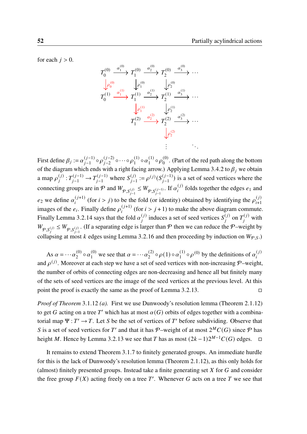for each  $j > 0$ .



First define  $\beta_i := \alpha_{i-1}^{(j-1)}$  $(j-1)$  o  $\rho_{j-2}^{(j-2)}$  $_{j-2}^{(j-2)}$  o  $\cdots$  o  $\rho_1^{(1)}$  $\alpha_1^{(1)} \circ \alpha_1^{(1)}$  $\frac{1}{1}^{(1)} \circ \rho_0^{(0)}$  $\int_{0}^{(0)}$ . (Part of the red path along the bottom of the diagram which ends with a right facing arrow.) Applying Lemma [3](#page-59-1).4.2 to  $\beta_j$  we obtain a map  $\rho_i^{(j)}$  $T_j^{(j)}: T_{j-1}^{(j-1)} \to T_{j-1}^{(j-1)}$  $S_{j-1}^{(j-1)}$  where  $S_{j-1}^{(j)}$  $j_{j-1}^{(j)} := \rho^{(j)}(S_{j-1}^{(j-1)})$  $\binom{(J-1)}{j-1}$  is a set of seed vertices where the connecting groups are in  $P$  and  $W_{P,S_{j-1}^{(j)}} \leq W_{P,S_{j-1}^{(j-1)}}$ . If  $\alpha_i^{(j)}$  $f_i^{(j)}$  folds together the edges  $e_1$  and  $e_2$  we define  $\alpha_i^{(j+1)}$  $\int_{i}^{(j+1)}$  (for  $i > j$ ) to be the fold (or identity) obtained by identifying the  $\rho_{i+1}^{(j)}$  $i+1$ images of the  $e_i$ . Finally define  $\rho_i^{(j+1)}$  $j_i^{(j+1)}$  (for  $i > j + 1$ ) to make the above diagram commute. Finally Lemma 3.2.[14](#page-48-0) says that the fold  $\alpha_i^{(j)}$  $\mathbf{S}_i^{(j)}$  induces a set of seed vertices  $\mathbf{S}_i^{(j)}$  $\bar{I}_i^{(j)}$  on  $T_i^{(j)}$  with  $W_{\varphi, S_j^{(j)}} \leq W_{\varphi, S_{j-1}^{(j)}}$ . (If a separating edge is larger than  $\varphi$  then we can reduce the  $\varphi$ -weight by collapsing at most *k* edges using Lemma 3.2.[16](#page-55-2) and then proceeding by induction on  $W_{\mathcal{P},S}$ .)

As  $\alpha = \cdots \alpha_2^{(0)}$  $\frac{1}{2}^{(0)} \circ \alpha_1^{(0)}$  $_1^{(0)}$  we see that  $\alpha = \cdots \alpha_2^{(2)}$  $\alpha_2^{(2)} \circ \rho(1) \circ \alpha_1^{(1)}$  $\eta_1^{(1)} \circ \rho_1^{(0)}$  by the definitions of  $\alpha_i^{(j)}$ ï and  $\rho^{(j)}$ . Moreover at each step we have a set of seed vertices with non-increasing P-weight, the number of orbits of connecting edges are non-decreasing and hence all but finitely many of the sets of seed vertices are the image of the seed vertices at the previous level. At this point the proof is exactly the same as the proof of Lemma 3.2.[13](#page-48-2).  $\Box$ 

*Proof of Theorem* 3.1.[12](#page-40-0) *[\(a\).](#page-41-0)* First we use Dunwoody's resolution lemma (Theorem 2.1.[12](#page-18-0)) to get G acting on a tree T' which has at most  $\alpha(G)$  orbits of edges together with a combinatorial map  $\Psi : T' \to T$ . Let S be the set of vertices of T' before subdividing. Observe that S is a set of seed vertices for T' and that it has P-weight of at most  $2^MC(G)$  since P has height M. Hence by Lemma 3.2.[13](#page-48-2) we see that T has as most  $(2k-1)2^{M-1}C(G)$  edges.  $\Box$ 

It remains to extend Theorem [3](#page-39-0).1.7 to finitely generated groups. An immediate hurdle for this is the lack of Dunwoody's resolution lemma (Theorem 2.1.[12](#page-18-0)), as this only holds for (almost) finitely presented groups. Instead take a finite generating set  $X$  for  $G$  and consider the free group  $F(X)$  acting freely on a tree T'. Whenever G acts on a tree T we see that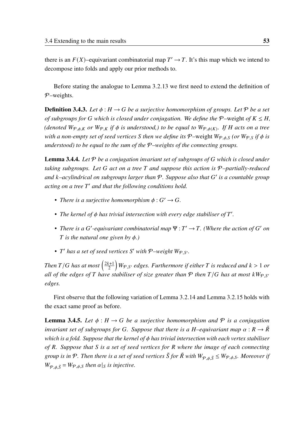there is an  $F(X)$ –equivariant combinatorial map  $T' \to T$ . It's this map which we intend to decompose into folds and apply our prior methods to.

Before stating the analogue to Lemma 3.2.[13](#page-48-2) we first need to extend the definition of  $P$ -weights.

**Definition 3.4.3.** Let  $\phi : H \to G$  be a surjective homomorphism of groups. Let P be a set *of subgroups for* G which is closed under conjugation. We define the P–weight of  $K \leq H$ , (denoted  $W_{\mathcal{P},\phi,K}$  or  $W_{\mathcal{P},K}$  if  $\phi$  is understood,) to be equal to  $W_{\mathcal{P},\phi(K)}$ . If H acts on a tree *with a non-empty set of seed vertices S then we define its*  $P$ -weight  $W_{P, \phi, S}$  (or  $W_{P, S}$  *if*  $\phi$  *is understood) to be equal to the sum of the* P*–weights of the connecting groups.*

<span id="page-62-1"></span>**Lemma 3.4.4.** Let P be a conjugation invariant set of subgroups of G which is closed under *taking subgroups. Let* G act on a tree T and suppose this action is P-partially-reduced *and –acylindrical on subgroups larger than* P*. Suppose also that* ′ *is a countable group acting on a tree* ′ *and that the following conditions hold.*

- *There is a surjective homomorphism*  $\phi$ :  $G' \rightarrow G$ .
- The kernel of  $\phi$  has trivial intersection with every edge stabiliser of T'.
- There is a G'-equivariant combinatorial map  $\Psi : T' \to T$ . (Where the action of G' on *T* is the natural one given by  $\phi$ .)
- *T'* has a set of seed vertices S' with  $P$ -weight  $W_{P,S'}$ .

*Then*  $T/G$  has at most  $\left(\frac{2k+1}{2}\right)$ 2  $\int W_{\mathcal{P},S'}$  edges. Furthermore if either T is reduced and  $k > 1$  or *all of the edges of*  $T$  *have stabiliser of size greater than*  $P$  *then*  $T/G$  *has at most*  $kW_P$   $s'$ *edges.*

First observe that the following variation of Lemma 3.2.[14](#page-48-0) and Lemma 3.2.[15](#page-54-0) holds with the exact same proof as before.

<span id="page-62-0"></span>**Lemma 3.4.5.** Let  $\phi : H \to G$  be a surjective homomorphism and P is a conjugation *invariant set of subgroups for G. Suppose that there is a H-equivariant map*  $\alpha : R \to \tilde{R}$ *which is a fold. Suppose that the kernel of has trivial intersection with each vertex stabiliser of . Suppose that is a set of seed vertices for where the image of each connecting group is in*  $P$ *. Then there is a set of seed vertices*  $\tilde{S}$  *for*  $\tilde{R}$  *with*  $W_{P,\phi,\tilde{S}} \leq W_{P,\phi,S}$ *. Moreover if*  $W_{\phi_{\phi}, \tilde{S}} = W_{\phi_{\phi}, S}$  then  $\alpha|_{S}$  is injective.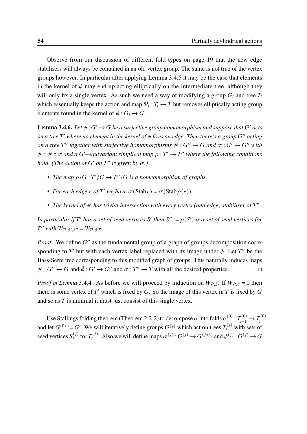Observe from our discussion of different fold types on page [19](#page-27-0) that the new edge stabilisers will always be contained in an old vertex group. The same is not true of the vertex groups however. In particular after applying Lemma [3](#page-62-0).4.5 it may be the case that elements in the kernel of  $\phi$  may end up acting elliptically on the intermediate tree, although they will only fix a single vertex. As such we need a way of modifying a group  $G_i$  and tree  $T_i$ which essentially keeps the action and map  $\Psi_i : T_i \to T$  but removes elliptically acting group elements found in the kernel of  $\phi : G_i \to G$ .

<span id="page-63-0"></span>**Lemma 3.4.6.** Let  $\phi$  :  $G' \to G$  be a surjective group homomorphism and suppose that  $G'$  acts *on a tree* ′ *where no element in the kernel of fixes an edge. Then there's a group* ′′ *acting on a tree* T'' together with surjective homomorphisms  $\phi' : G'' \to G$  and  $\sigma : G' \to G''$  with  $\phi = \phi' \circ \sigma$  and a G'-equivariant simplical map  $\rho : T' \to T''$  where the following conditions *hold.* (The action of G' on T" is given by  $\sigma$ .)

- The map  $\rho/G : T'/G \to T''/G$  is a homeomorphism of graphs.
- For each edge  $e$  of T' we have  $\sigma(\text{Stab } e) = \sigma(\text{Stab } \rho(e)).$
- The kernel of  $\phi'$  has trivial intersection with every vertex (and edge) stabiliser of  $T''$ .

In particular if T' has a set of seed vertices S' then  $S' := \rho(S')$  is a set of seed vertices for  $T''$  with  $W_{\mathcal{P}, \phi', S''} = W_{\mathcal{P}, \phi, S'}.$ 

Proof. We define G" as the fundamental group of a graph of groups decomposition corresponding to T' but with each vertex label replaced with its image under  $\phi$ . Let T'' be the Bass-Serre tree corresponding to this modified graph of groups. This naturally induces maps  $\phi' : G'' \to G$  and  $\tilde{\phi} : G' \to G''$  and  $\sigma : T'' \to T$  with all the desired properties.

*Proof of Lemma* [3](#page-62-1).4.4. As before we will proceed by induction on  $W_{P,S}$ . If  $W_{P,S} = 0$  then there is some vertex of  $T'$  which is fixed by  $G$ . So the image of this vertex in  $T$  is fixed by  $G$ and so as  $T$  is minimal it must just consist of this single vertex.

Use Stallings folding theorem (Theorem [2](#page-23-0).2.2) to decompose  $\alpha$  into folds  $\alpha_i^{(0)}$  $T^{(0)}_{i} : T^{(0)}_{i-1} \to T^{(0)}_{i}$ i and let  $G^{(0)} := G'$ . We will iteratively define groups  $G^{(j)}$  which act on trees  $T_i^{(j)}$  with sets of seed vertices  $S_i^{(j)}$  $(i)$  for  $T_i^{(j)}$  $\sigma^{(j)}$ . Also we will define maps  $\sigma^{(j)}$  :  $G^{(j)} \rightarrow G^{(j+1)}$  and  $\phi^{(j)}$  :  $G^{(j)} \rightarrow G^{(j)}$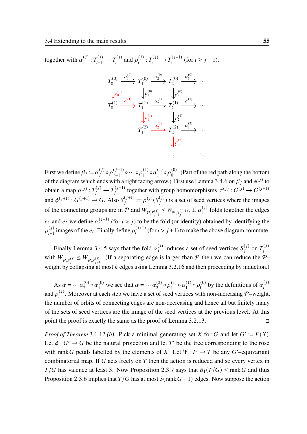together with  $\alpha_i^{(j)}$  $T_i^{(j)}: T_{i-1}^{(j)} \to T_i^{(j)}$  $p_i^{(j)}$  and  $p_i^{(j)}$  $T_i^{(j)}: T_i^{(j)} \to T_i^{(j+1)}$  $\int_{i}^{(j+1)}$  (for  $i \geq j-1$ ).

$$
T_0^{(0)} \xrightarrow{\alpha_1^{(0)}} T_1^{(0)} \xrightarrow{\alpha_2^{(0)}} T_2^{(0)} \xrightarrow{\alpha_3^{(0)}} \cdots
$$
  
\n
$$
\downarrow \rho_0^{(0)} \qquad \downarrow \rho_1^{(0)} \qquad \downarrow \rho_2^{(0)} \qquad \downarrow \rho_2^{(0)}
$$
  
\n
$$
T_0^{(1)} \xrightarrow{\alpha_1^{(1)}} T_1^{(1)} \xrightarrow{\alpha_2^{(1)}} T_2^{(1)} \xrightarrow{\alpha_3^{(1)}} \cdots
$$
  
\n
$$
\downarrow \rho_1^{(1)} \qquad \downarrow \rho_2^{(1)}
$$
  
\n
$$
T_1^{(2)} \xrightarrow{\alpha_2^{(2)}} T_2^{(2)} \xrightarrow{\alpha_3^{(2)}} \cdots
$$
  
\n
$$
\downarrow \rho_2^{(2)}
$$
  
\n
$$
\vdots
$$

First we define  $\beta_i := \alpha_i^{(j)}$  $j^{(j)} \circ \rho_{i-1}^{(j-1)}$  $\frac{(j-1)}{j-1}$   $\circ \cdots \circ \rho_1^{(1)} \circ \alpha_1^{(1)} \circ \rho_0^{(0)}$ . (Part of the red path along the bottom of the diagram which ends with a right facing arrow.) First use Lemma [3](#page-63-0).4.6 on  $\beta_j$  and  $\phi^{(j)}$  to obtain a map  $\rho^{(j)}: T_j^{(j)} \to T_j^{(j+1)}$  $t_j^{(j+1)}$  together with group homomorphisms  $\sigma^{(j)}$  :  $G^{(j)} \rightarrow G^{(j+1)}$ and  $\phi^{(j+1)}$ :  $G^{(j+1)} \rightarrow G$ . Also  $S_j^{(j+1)}$  $j_i^{(j+1)} := \rho^{(j)}(S_i^{(j)})$  $\binom{J}{i}$  is a set of seed vertices where the images of the connecting groups are in  $\mathcal P$  and  $W_{\mathcal P,S_{j-1}^{(j)}} \leq W_{\mathcal P,S_{j-1}^{(j-1)}}$ . If  $\alpha_i^{(j)}$  $f_i^{(J)}$  folds together the edges  $e_1$  and  $e_2$  we define  $\alpha_i^{(j+1)}$  $j_i^{(j+1)}$  (for  $i > j$ ) to be the fold (or identity) obtained by identifying the  $\rho^{(j)}$  $_{i+1}^{(j)}$  images of the  $e_i$ . Finally define  $\rho_i^{(j+1)}$  $j_i^{(j+1)}$  (for  $i > j + 1$ ) to make the above diagram commute.

Finally Lemma [3](#page-62-0).4.5 says that the fold  $\alpha_i^{(j)}$  $i_j^{(j)}$  induces a set of seed vertices  $S_j^{(j)}$  $\binom{(j)}{i}$  on  $T_i^{(j)}$  $\overline{1}$ with  $W_{\varphi, S_j^{(j)}} \leq W_{\varphi, S_{j-1}^{(j)}}$ . (If a separating edge is larger than  $\varphi$  then we can reduce the  $\varphi$ weight by collapsing at most  $k$  edges using Lemma 3.2.[16](#page-55-2) and then proceeding by induction.)

As  $\alpha = \cdots \alpha_2^{(0)}$  $\frac{(0)}{2} \circ \alpha_1^{(0)}$  $_1^{(0)}$  we see that  $\alpha = \cdots \alpha_2^{(2)}$  $2^{(2)} \circ \rho_1^{(1)}$  $\alpha_1^{(1)} \circ \alpha_1^{(1)}$  $\frac{1}{1}^{(1)} \circ \rho_0^{(0)}$  $\binom{0}{0}$  by the definitions of  $\alpha_i^{(j)}$ .<br>l and  $\rho_i^{(j)}$  $i^{(j)}$ . Moreover at each step we have a set of seed vertices with non-increasing P–weight, the number of orbits of connecting edges are non-decreasing and hence all but finitely many of the sets of seed vertices are the image of the seed vertices at the previous level. At this point the proof is exactly the same as the proof of Lemma 3.2.[13](#page-48-2).  $\Box$ 

*Proof of Theorem* 3.1.[12](#page-40-0) *(b)*. Pick a minimal generating set X for G and let  $G' := F(X)$ . Let  $\phi : G' \to G$  be the natural projection and let T' be the tree corresponding to the rose with rank G petals labelled by the elements of X. Let  $\Psi : T' \to T$  be any G'-equivariant combinatorial map. If  $G$  acts freely on  $T$  then the action is reduced and so every vertex in  $T/G$  has valence at least 3. Now Proposition [2](#page-29-0).3.7 says that  $\beta_1(T/G) \leq \text{rank } G$  and thus Proposition [2](#page-29-1).3.6 implies that  $T/G$  has at most  $3(\text{rank } G - 1)$  edges. Now suppose the action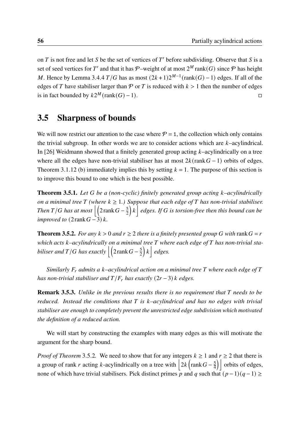on  $T$  is not free and let  $S$  be the set of vertices of  $T'$  before subdividing. Observe that  $S$  is a set of seed vertices for T' and that it has P-weight of at most  $2^M$  rank(G) since P has height *M*. Hence by Lemma [3](#page-62-1).4.4  $T/G$  has as most  $(2k+1)2^{M-1}$  (rank $(G) - 1$ ) edges. If all of the edges of T have stabiliser larger than  $\mathcal P$  or T is reduced with  $k > 1$  then the number of edges is in fact bounded by  $k2^M$ (rank(G) − 1). □

## 3.5 Sharpness of bounds

We will now restrict our attention to the case where  $P = 1$ , the collection which only contains the trivial subgroup. In other words we are to consider actions which are  $k$ -acylindrical. In [\[26\]](#page-98-1) Weidmann showed that a finitely generated group acting  $k$ -acylindrically on a tree where all the edges have non-trivial stabiliser has at most  $2k$ (rank  $G-1$ ) orbits of edges. Theorem 3.1.[12](#page-40-0) [\(b\)](#page-41-1) immediately implies this by setting  $k = 1$ . The purpose of this section is to improve this bound to one which is the best possible.

<span id="page-65-1"></span>Theorem 3.5.1. *Let be a (non-cyclic) finitely generated group acting –acylindrically on a minimal tree*  $T$  (where  $k \geq 1$ .) Suppose that each edge of  $T$  has non-trivial stabiliser. *Then*  $T/G$  has at most  $\Big| \Big( 2 \text{rank} G - \frac{5}{2} \Big)$ 2  $\left\{ \left| k \right. \right\}$  *edges. If* G is torsion-free then this bound can be *improved to*  $(2 \text{rank} G - 3) k$ .

<span id="page-65-0"></span>**Theorem 3.5.2.** *For any*  $k > 0$  *and*  $r \ge 2$  *there is a finitely presented group* G *with* rank  $G = r$ *which acts –acylindrically on a minimal tree where each edge of has non-trivial stabiliser and T* / *G* has exactly  $\left| \left( 2\mathrm{rank}\, G - \frac{5}{2} \right) \right|$ 2  $\left| k \right|$  *edges.* 

*Similarly*  $F_r$  *admits a k–acylindrical action on a minimal tree*  $T$  *where each edge of*  $T$ *has non-trivial stabiliser and*  $T/F_r$  *has exactly*  $(2r - 3)$  *k edges.* 

**Remark 3.5.3.** *Unlike in the previous results there is no requirement that* T needs to be *reduced. Instead the conditions that is –acylindrical and has no edges with trivial stabiliser are enough to completely prevent the unrestricted edge subdivision which motivated the definition of a reduced action.*

We will start by constructing the examples with many edges as this will motivate the argument for the sharp bound.

*Proof of Theorem* [3](#page-65-0).5.2. We need to show that for any integers  $k \ge 1$  and  $r \ge 2$  that there is a group of rank r acting k-acylindrically on a tree with  $2k \left(\text{rank } G - \frac{5}{4}\right)$  $\left(\frac{5}{4}\right)$  orbits of edges, none of which have trivial stabilisers. Pick distinct primes  $\overline{p}$  and  $q$  such that  $(p-1)(q-1) \ge$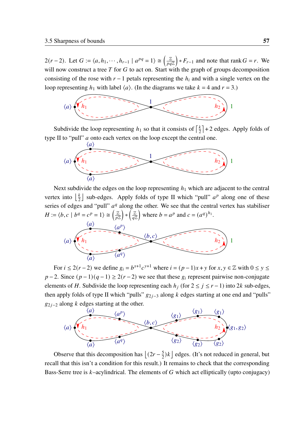$2(r-2)$ . Let  $G := \langle a, h_1, \cdots, h_{r-1} \mid a^{pq} = 1 \rangle \cong \left( \frac{\mathbb{Z}}{pq} \right)$  $\left(\frac{\mathbb{Z}}{pq\mathbb{Z}}\right) * F_{r-1}$  and note that rank  $G = r$ . We will now construct a tree  $T$  for  $G$  to act on. Start with the graph of groups decomposition consisting of the rose with  $r - 1$  petals representing the  $h_i$  and with a single vertex on the loop representing  $h_1$  with label  $\langle a \rangle$ . (In the diagrams we take  $k = 4$  and  $r = 3$ .)



Subdivide the loop representing  $h_1$  so that it consists of  $\left[\frac{k}{2}\right]$  $\frac{k}{2}$  + 2 edges. Apply folds of type II to "pull"  $a$  onto each vertex on the loop except the central one.



Next subdivide the edges on the loop representing  $h_1$  which are adjacent to the central vertex into  $\frac{k}{2}$  $\frac{k}{2}$  sub-edges. Apply folds of type II which "pull"  $a^p$  along one of these series of edges and "pull"  $a<sup>q</sup>$  along the other. We see that the central vertex has stabiliser  $H := \langle b, c \mid b^q = c^p = 1 \rangle \cong \left( \frac{\mathbb{Z}}{n^2} \right)$  $\left(\frac{\mathbb{Z}}{a\mathbb{Z}}\right) * \left(\frac{\mathbb{Z}}{a\mathbb{Z}}\right)$  $\left(\frac{\mathbb{Z}}{a\mathbb{Z}}\right)$  where  $b = a^p$  and  $c = (a^q)^{h_1}$ .



For  $i \le 2(r-2)$  we define  $g_i = b^{x+1}c^{y+1}$  where  $i = (p-1)x + y$  for  $x, y \in \mathbb{Z}$  with  $0 \le y \le$  $p-2$ . Since  $(p-1)(q-1) \ge 2(r-2)$  we see that these  $g_i$  represent pairwise non-conjugate elements of H. Subdivide the loop representing each  $h_i$  (for  $2 \le j \le r-1$ ) into 2k sub-edges, then apply folds of type II which "pulls"  $g_{2j-3}$  along k edges starting at one end and "pulls"  $g_{2i-2}$  along k edges starting at the other.



Observe that this decomposition has  $\left(2r - \frac{5}{2}\right)$  $\frac{5}{2}$ ) $k$  edges. (It's not reduced in general, but recall that this isn't a condition for this result.) It remains to check that the corresponding Bass-Serre tree is  $k$ -acylindrical. The elements of  $G$  which act elliptically (upto conjugacy)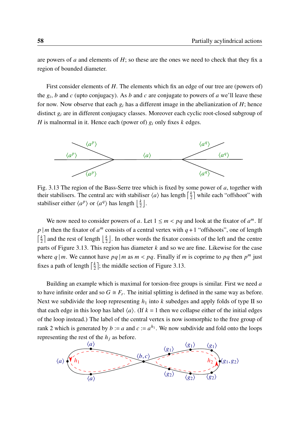are powers of  $a$  and elements of  $H$ ; so these are the ones we need to check that they fix a region of bounded diameter.

First consider elements of  $H$ . The elements which fix an edge of our tree are (powers of) the  $g_i$ , b and c (upto conjugacy). As b and c are conjugate to powers of a we'll leave these for now. Now observe that each  $g_i$  has a different image in the abelianization of H; hence distinct  $g_i$  are in different conjugacy classes. Moreover each cyclic root-closed subgroup of H is malnormal in it. Hence each (power of)  $g_i$  only fixes  $k$  edges.

<span id="page-67-0"></span>

Fig. 3.13 The region of the Bass-Serre tree which is fixed by some power of  $a$ , together with their stabilisers. The central arc with stabiliser  $\langle a \rangle$  has length  $\left[\frac{k}{2}\right]$  $\frac{k}{2}$  while each "offshoot" with stabiliser either  $\langle a^p \rangle$  or  $\langle a^q \rangle$  has length  $\frac{1}{2}$  $\frac{k}{2}$ .

We now need to consider powers of a. Let  $1 \le m < pq$  and look at the fixator of  $a^m$ . If p | m then the fixator of  $a^m$  consists of a central vertex with  $q + 1$  "offshoots", one of length  $\frac{k}{2}$  $\frac{k}{2}$  and the rest of length  $\frac{k}{2}$  $\frac{k}{2}$ . In other words the fixator consists of the left and the centre parts of Figure [3.13.](#page-67-0) This region has diameter  $k$  and so we are fine. Likewise for the case where  $q \mid m$ . We cannot have  $pq \mid m$  as  $m < pq$ . Finally if m is coprime to  $pq$  then  $p^m$  just fixes a path of length  $\left[\frac{k}{2}\right]$  $\frac{k}{2}$ ; the middle section of Figure [3.13.](#page-67-0)

Building an example which is maximal for torsion-free groups is similar. First we need  $a$ to have infinite order and so  $G \cong F_r$ . The initial splitting is defined in the same way as before. Next we subdivide the loop representing  $h_1$  into k subedges and apply folds of type II so that each edge in this loop has label  $\langle a \rangle$ . (If  $k = 1$  then we collapse either of the initial edges of the loop instead.) The label of the central vertex is now isomorphic to the free group of rank 2 which is generated by  $b := a$  and  $c := a^{h_1}$ . We now subdivide and fold onto the loops representing the rest of the  $h_i$  as before.

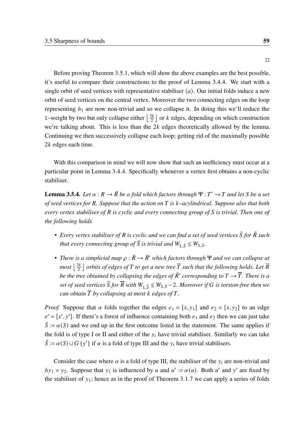Before proving Theorem [3](#page-65-1).5.1, which will show the above examples are the best possible, it's useful to compare their constructions to the proof of Lemma [3](#page-62-1).4.4. We start with a single orbit of seed vertices with representative stabiliser  $\langle a \rangle$ . Our initial folds induce a new orbit of seed vertices on the central vertex. Moreover the two connecting edges on the loop representing  $h_1$  are now non-trivial and so we collapse it. In doing this we'll reduce the 1–weight by two but only collapse either  $\frac{3k}{2}$  $\frac{3k}{2}$  or k edges, depending on which construction we're talking about. This is less than the  $2k$  edges theoretically allowed by the lemma. Continuing we then successively collapse each loop; getting rid of the maximally possible  $2k$  edges each time.

With this comparison in mind we will now show that such an inefficiency must occur at a particular point in Lemma [3](#page-62-1).4.4. Specifically whenever a vertex first obtains a non-cyclic stabiliser.

<span id="page-68-0"></span>**Lemma 3.5.4.** Let  $\alpha : R \to \tilde{R}$  be a fold which factors through  $\Psi : T' \to T$  and let S be a set *of seed vertices for . Suppose that the action on is –acylindrical. Suppose also that both every vertex stabiliser of is cyclic and every connecting group of is trivial. Then one of the following holds*

- *Every vertex stabiliser of R is cyclic and we can find a set of seed vertices*  $\tilde{S}$  *for*  $\tilde{R}$  *such that every connecting group of*  $\tilde{S}$  *is trivial and*  $W_{1,\tilde{S}} \leq W_{1,S}$ .
- *There is a simplicial map*  $\rho : \tilde{R} \to \tilde{R}'$  *which factors through*  $\Psi$  *and we can collapse at most*  $\frac{3k}{2}$  $\frac{dk}{2}$   $\rfloor$  *orbits of edges of*  $T$  *to get a new tree*  $\overline{T}$  *such that the following holds. Let*  $\overline{R}$ *be the tree obtained by collapsing the edges of*  $\tilde{R}'$  *corresponding to*  $T \rightarrow \overline{T}$ *. There is a* set of seed vertices  $\overline{S}$  for  $\overline{R}$  with  $W_{1,\overline{S}}\leq W_{1,S}$  – 2. Moreover if  $G$  is torsion-free then we *can obtain*  $\overline{T}$  *by collapsing at most k* edges of  $T$ .

*Proof.* Suppose that  $\alpha$  folds together the edges  $e_1 = [x, y_1]$  and  $e_2 = [x, y_2]$  to an edge  $e' = [x', y']$ . If there's a forest of influence containing both  $e_1$  and  $e_2$  then we can just take  $\tilde{S} := \alpha(S)$  and we end up in the first outcome listed in the statement. The same applies if the fold is of type I or II and either of the  $y_i$  have trivial stabiliser. Similarly we can take  $\tilde{S} := \alpha(S) \cup G \{y'\}$  if  $\alpha$  is a fold of type III and the  $y_i$  have trivial stabilisers.

Consider the case where  $\alpha$  is a fold of type III, the stabiliser of the  $y_i$  are non-trivial and  $hy_1 = y_2$ . Suppose that  $y_1$  is influenced by u and  $u' := \alpha(u)$ . Both u' and y' are fixed by the stabiliser of  $y_1$ ; hence as in the proof of Theorem [3](#page-39-0).1.7 we can apply a series of folds

□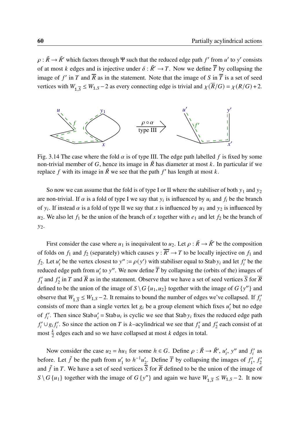$\rho : \tilde{R} \to \tilde{R}'$  which factors through  $\Psi$  such that the reduced edge path  $f'$  from u' to y' consists of at most k edges and is injective under  $\delta : \tilde{R}' \to T$ . Now we define  $\overline{T}$  by collapsing the image of f' in T and  $\overline{R}$  as in the statement. Note that the image of S in  $\overline{T}$  is a set of seed vertices with  $W_{1,\overline{S}} \leq W_{1,S} - 2$  as every connecting edge is trivial and  $\chi(\overline{R}/G) = \chi(R/G) + 2$ .



Fig. 3.14 The case where the fold  $\alpha$  is of type III. The edge path labelled f is fixed by some non-trivial member of G, hence its image in  $\tilde{R}$  has diameter at most k. In particular if we replace f with its image in  $\tilde{R}$  we see that the path  $f'$  has length at most k.

So now we can assume that the fold is of type I or II where the stabiliser of both  $y_1$  and  $y_2$ are non-trivial. If  $\alpha$  is a fold of type I we say that  $y_i$  is influenced by  $u_i$  and  $f_i$  be the branch of  $y_i$ . If instead  $\alpha$  is a fold of type II we say that x is influenced by  $u_1$  and  $y_2$  is influenced by  $u_2$ . We also let  $f_1$  be the union of the branch of x together with  $e_1$  and let  $f_2$  be the branch of  $y_2$ .

First consider the case where  $u_1$  is inequivalent to  $u_2$ . Let  $\rho : \tilde{R} \to \tilde{R}'$  be the composition of folds on  $f_1$  and  $f_2$  (separately) which causes  $\gamma : \overline{R'} \to T$  to be locally injective on  $f_1$  and  $f_2$ . Let  $u'_i$  be the vertex closest to  $y'' := \rho(y')$  with stabiliser equal to Stab  $y_i$  and let  $f'_i$  be the reduced edge path from  $u_i'$  to y''. We now define  $\overline{T}$  by collapsing the (orbits of the) images of ′  $f'_1$  and  $f'_2$  $\frac{1}{2}$  in T and  $\overline{R}$  as in the statement. Observe that we have a set of seed vertices  $\overline{S}$  for  $\overline{R}$ defined to be the union of the image of  $S \setminus G$  { $u_1, u_2$ } together with the image of  $G$  { $y''$ } and observe that  $W_{1,\overline{S}} \leq W_{1,S} - 2$ . It remains to bound the number of edges we've collapsed. If  $f_i'$ consists of more than a single vertex let  $g_i$  be a group element which fixes  $u'_i$  but no edge of  $f_i'$ . Then since Stab  $u_i' =$  Stab  $u_i$  is cyclic we see that Stab  $y_i$  fixes the reduced edge path  $f_i' \cup g_i f_i'$ . So since the action on T is k–acylindrical we see that  $f_i'$  $f'_1$  and  $f'_2$  $\frac{c_2}{2}$  each consist of at most  $\frac{k}{2}$  edges each and so we have collapsed at most k edges in total.

Now consider the case  $u_2 = hu_1$  for some  $h \in G$ . Define  $\rho : \tilde{R} \to \tilde{R}'$ ,  $u'_i$ ,  $y''$  and  $f'_i$  as before. Let  $\tilde{f}$  be the path from  $u_1$  $\int_1'$  to  $h^{-1}u_2'$  $\frac{1}{2}$ . Define  $\overline{T}$  by collapsing the images of  $f_1'$  $f'_1, f'_2$ 2 and  $\tilde{f}$  in T. We have a set of seed vertices  $\overline{S}$  for  $\overline{R}$  defined to be the union of the image of  $S \setminus G$  {u<sub>1</sub>} together with the image of  $G$  {y''} and again we have  $W_{1,\overline{S}} \leq W_{1,S} - 2$ . It now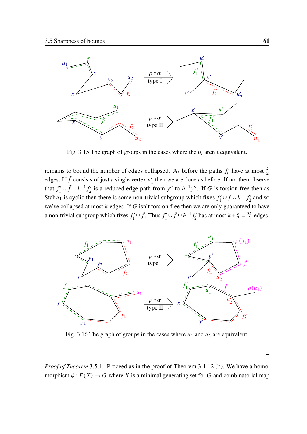

Fig. 3.15 The graph of groups in the cases where the  $u_i$  aren't equivalent.

remains to bound the number of edges collapsed. As before the paths  $f'_i$  have at most  $\frac{k}{2}$ edges. If  $\tilde{f}$  consists of just a single vertex  $u_1$  $\frac{1}{1}$  then we are done as before. If not then observe that  $f_1'$  $\tilde{f}_1'$ ∪ $\tilde{f}_2$ ∪ $h^{-1} f_2'$  $2^{i}$  is a reduced edge path from y'' to  $h^{-1}y''$ . If G is torsion-free then as Stab $u_1$  is cyclic then there is some non-trivial subgroup which fixes  $f_1'$  $f'_1 \cup f \cup h^{-1} f'_2$  $\frac{f'}{2}$  and so we've collapsed at most  $k$  edges. If  $G$  isn't torsion-free then we are only guaranteed to have a non-trivial subgroup which fixes  $f_1'$  $f'_1 \cup \tilde{f}$ . Thus  $f'_1$  $f'_1 \cup f \cup h^{-1} f'_2$  $\frac{k}{2}$  has at most  $k + \frac{k}{2}$  $\frac{k}{2} = \frac{3k}{2}$  $rac{3k}{2}$  edges.



Fig. 3.16 The graph of groups in the cases where  $u_1$  and  $u_2$  are equivalent.

□

*Proof of Theorem* [3](#page-65-1).5.1. Proceed as in the proof of Theorem 3.1.[12](#page-40-0) [\(b\).](#page-41-1) We have a homomorphism  $\phi : F(X) \to G$  where X is a minimal generating set for G and combinatorial map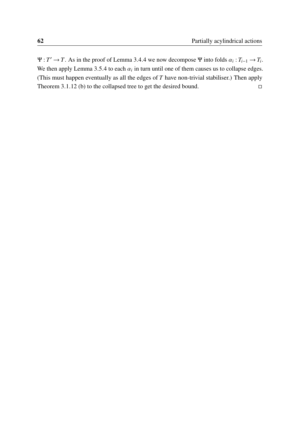$\Psi: T' \to T$ . As in the proof of Lemma [3](#page-62-1).4.4 we now decompose  $\Psi$  into folds  $\alpha_i: T_{i-1} \to T_i$ . We then apply Lemma [3](#page-68-0).5.4 to each  $\alpha_i$  in turn until one of them causes us to collapse edges. (This must happen eventually as all the edges of  $T$  have non-trivial stabiliser.) Then apply Theorem 3.1.[12](#page-40-0) [\(b\)](#page-41-1) to the collapsed tree to get the desired bound.  $□$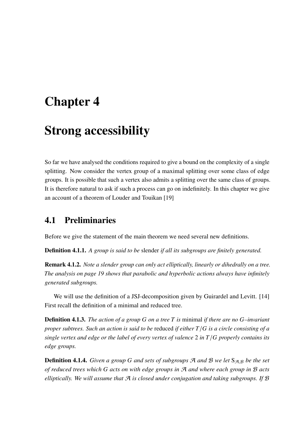# Chapter 4

# Strong accessibility

So far we have analysed the conditions required to give a bound on the complexity of a single splitting. Now consider the vertex group of a maximal splitting over some class of edge groups. It is possible that such a vertex also admits a splitting over the same class of groups. It is therefore natural to ask if such a process can go on indefinitely. In this chapter we give an account of a theorem of Louder and Touikan [\[19\]](#page-97-0)

## 4.1 Preliminaries

Before we give the statement of the main theorem we need several new definitions.

Definition 4.1.1. *A group is said to be* slender *if all its subgroups are finitely generated.*

Remark 4.1.2. *Note a slender group can only act elliptically, linearly or dihedrally on a tree. The analysis on page [19](#page-27-0) shows that parabolic and hyperbolic actions always have infinitely generated subgroups.*

We will use the definition of a JSJ-decomposition given by Guirardel and Levitt. [\[14\]](#page-97-1) First recall the definition of a minimal and reduced tree.

Definition 4.1.3. *The action of a group on a tree is* minimal *if there are no –invariant proper subtrees. Such an action is said to be reduced if either*  $T/G$  *is a circle consisting of a single vertex and edge or the label of every vertex of valence* 2 *in*  $T/G$  *properly contains its edge groups.*

**Definition 4.1.4.** *Given a group G and sets of subgroups*  $\mathcal{A}$  *and*  $\mathcal{B}$  *we let*  $S_{\mathcal{A},\mathcal{B}}$  *be the set of reduced trees which acts on with edge groups in* A *and where each group in* B *acts elliptically. We will assume that* A *is closed under conjugation and taking subgroups. If* B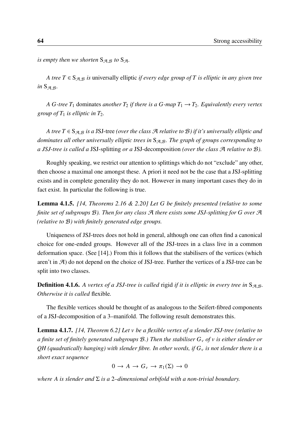*is empty then we shorten*  $S_{\mathcal{A},\mathcal{B}}$  *to*  $S_{\mathcal{A}}$ *.* 

*A tree*  $T \in S_{A,B}$  *is* universally elliptic *if every edge group of*  $T$  *is elliptic in any given tree in*  $S_{\mathcal{A},\mathcal{B}}$ *.* 

*A G*-tree  $T_1$  dominates *another*  $T_2$  *if there is a G*-map  $T_1 \rightarrow T_2$ *. Equivalently every vertex group of*  $T_1$  *is elliptic in*  $T_2$ *.* 

*A tree*  $T \in S_{A,B}$  *is a JSJ-tree (over the class A relative to B) if it's universally elliptic and* dominates all other universally elliptic trees in  $S_{A,B}$ . The graph of groups corresponding to *a JSJ-tree is called a* JSJ-splitting *or a* JSJ-decomposition *(over the class* A *relative to* B*).*

Roughly speaking, we restrict our attention to splittings which do not "exclude" any other, then choose a maximal one amongst these. A priori it need not be the case that a JSJ-splitting exists and in complete generality they do not. However in many important cases they do in fact exist. In particular the following is true.

Lemma 4.1.5. *[\[14,](#page-97-1) Theorems 2.16 & 2.20] Let be finitely presented (relative to some finite set of subgroups* B*). Then for any class* A *there exists some JSJ-splitting for over* A *(relative to* B*) with finitely generated edge groups.*

Uniqueness of JSJ-trees does not hold in general, although one can often find a canonical choice for one-ended groups. However all of the JSJ-trees in a class live in a common deformation space. (See [\[14\]](#page-97-1).) From this it follows that the stabilisers of the vertices (which aren't in  $\mathcal{A}$ ) do not depend on the choice of JSJ-tree. Further the vertices of a JSJ-tree can be split into two classes.

**Definition 4.1.6.** A vertex of a JSJ-tree is called rigid if it is elliptic in every tree in  $S_{\mathcal{A},\mathcal{B}}$ . *Otherwise it is called* flexible*.*

The flexible vertices should be thought of as analogous to the Seifert-fibred components of a JSJ-decomposition of a 3–manifold. The following result demonstrates this.

<span id="page-73-0"></span>Lemma 4.1.7. *[\[14,](#page-97-1) Theorem 6.2] Let be a flexible vertex of a slender JSJ-tree (relative to a finite set of finitely generated subgroups* B*.) Then the stabiliser of is either slender or QH (quadratically hanging) with slender fibre. In other words, if is not slender there is a short exact sequence*

$$
0 \to A \to G_{\nu} \to \pi_1(\Sigma) \to 0
$$

*where A is slender and*  $\Sigma$  *is a* 2–dimensional orbifold with a non-trivial boundary.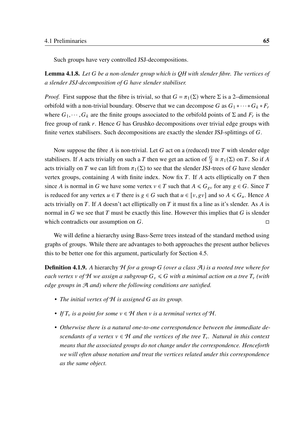Such groups have very controlled JSJ-decompositions.

Lemma 4.1.8. *Let be a non-slender group which is QH with slender fibre. The vertices of a slender JSJ-decomposition of have slender stabiliser.*

*Proof.* First suppose that the fibre is trivial, so that  $G = \pi_1(\Sigma)$  where  $\Sigma$  is a 2–dimensional orbifold with a non-trivial boundary. Observe that we can decompose G as  $G_1 * \cdots * G_k * F_r$ where  $G_1, \dots, G_k$  are the finite groups associated to the orbifold points of  $\Sigma$  and  $F_r$  is the free group of rank  $r$ . Hence  $G$  has Grushko decompositions over trivial edge groups with finite vertex stabilisers. Such decompositions are exactly the slender JSJ-splittings of  $G$ .

Now suppose the fibre  $A$  is non-trivial. Let  $G$  act on a (reduced) tree  $T$  with slender edge stabilisers. If A acts trivially on such a T then we get an action of  $\frac{G}{A} \cong \pi_1(\Sigma)$  on T. So if A acts trivially on T we can lift from  $\pi_1(\Sigma)$  to see that the slender JSJ-trees of G have slender vertex groups, containing A with finite index. Now fix  $T$ . If A acts elliptically on  $T$  then since A is normal in G we have some vertex  $v \in T$  such that  $A \le G_{gv}$  for any  $g \in G$ . Since T is reduced for any vertex  $u \in T$  there is  $g \in G$  such that  $u \in [v, gv]$  and so  $A \le G_u$ . Hence A acts trivially on T. If A doesn't act elliptically on T it must fix a line as it's slender. As A is normal in  $G$  we see that  $T$  must be exactly this line. However this implies that  $G$  is slender which contradicts our assumption on  $G$ .

We will define a hierarchy using Bass-Serre trees instead of the standard method using graphs of groups. While there are advantages to both approaches the present author believes this to be better one for this argument, particularly for Section [4.5.](#page-88-0)

Definition 4.1.9. *A* hierarchy H *for a group (over a class* A*) is a rooted tree where for each vertex v* of H we assign a subgroup  $G_v \le G$  with a minimal action on a tree  $T_v$  (with *edge groups in* A *and) where the following conditions are satisfied.*

- *The initial vertex of* H *is assigned as its group.*
- If  $T_v$  is a point for some  $v \in H$  then v is a terminal vertex of H.
- *Otherwise there is a natural one-to-one correspondence between the immediate descendants of a vertex*  $v \in H$  *and the vertices of the tree*  $T_v$ *. Natural in this context means that the associated groups do not change under the correspondence. Henceforth we will often abuse notation and treat the vertices related under this correspondence as the same object.*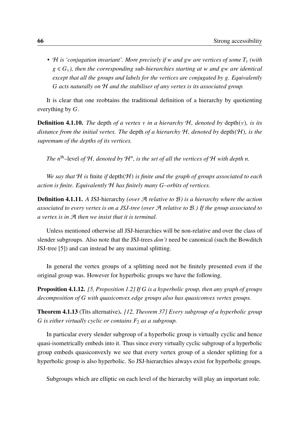• H is 'conjugation invariant'. More precisely if w and gw are vertices of some  $T_v$  (with  $g \in G_v$ , then the corresponding sub-hierarchies starting at w and gw are identical *except that all the groups and labels for the vertices are conjugated by g. Equivalently acts naturally on* H *and the stabiliser of any vertex is its associated group.*

It is clear that one reobtains the traditional definition of a hierarchy by quotienting everything by  $G$ .

**Definition 4.1.10.** *The* depth *of a vertex*  $\nu$  *in a hierarchy*  $H$ *, denoted by* depth $(\nu)$ *, is its distance from the initial vertex. The* depth *of a hierarchy* H*, denoted by* depth(H )*, is the supremum of the depths of its vertices.*

The n<sup>th</sup>–level of H, denoted by  $\mathcal{H}^n$ , is the set of all the vertices of H with depth *n*.

*We say that* H *is* finite *if* depth(H ) *is finite and the graph of groups associated to each action is finite. Equivalently* H *has finitely many –orbits of vertices.*

Definition 4.1.11. *A* JSJ-hierarchy *(over* A *relative to* B*) is a hierarchy where the action associated to every vertex is on a JSJ-tree (over* A *relative to* B*.) If the group associated to a vertex is in* A *then we insist that it is terminal.*

Unless mentioned otherwise all JSJ-hierarchies will be non-relative and over the class of slender subgroups. Also note that the JSJ-trees *don't* need be canonical (such the Bowditch JSJ-tree [\[5\]](#page-96-0)) and can instead be any maximal splitting.

In general the vertex groups of a splitting need not be finitely presented even if the original group was. However for hyperbolic groups we have the following.

Proposition 4.1.12. *[\[5,](#page-96-0) Proposition 1.2] If is a hyperbolic group, then any graph of groups decomposition of with quasiconvex edge groups also has quasiconvex vertex groups.*

<span id="page-75-0"></span>Theorem 4.1.13 (Tits alternative). *[\[12,](#page-97-2) Theorem 37] Every subgroup of a hyperbolic group G* is either virtually cyclic or contains  $F_2$  as a subgroup.

In particular every slender subgroup of a hyperbolic group is virtually cyclic and hence quasi-isometrically embeds into it. Thus since every virtually cyclic subgroup of a hyperbolic group embeds quasiconvexly we see that every vertex group of a slender splitting for a hyperbolic group is also hyperbolic. So JSJ-hierarchies always exist for hyperbolic groups.

Subgroups which are elliptic on each level of the hierarchy will play an important role.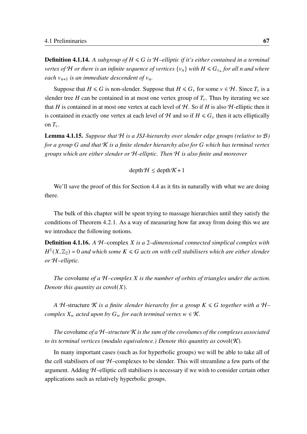**Definition 4.1.14.** A subgroup of  $H \le G$  is  $H$ -elliptic if it's either contained in a terminal *vertex of*  $H$  *or there is an infinite sequence of vertices*  $\{v_n\}$  *with*  $H \leq G_{v_n}$  *for all n and where each*  $v_{n+1}$  *is an immediate descendent of*  $v_n$ .

Suppose that  $H \le G$  is non-slender. Suppose that  $H \le G_v$  for some  $v \in H$ . Since  $T_v$  is a slender tree H can be contained in at most one vertex group of  $T_v$ . Thus by iterating we see that H is contained in at most one vertex at each level of  $H$ . So if H is also H-elliptic then it is contained in exactly one vertex at each level of H and so if  $H \le G_v$  then it acts elliptically on  $T_{v}$ .

<span id="page-76-0"></span>Lemma 4.1.15. *Suppose that* H *is a JSJ-hierarchy over slender edge groups (relative to* B*) for a group and that* K *is a finite slender hierarchy also for which has terminal vertex groups which are either slender or* H*-elliptic. Then* H *is also finite and moreover*

 $depth \mathcal{H} \leq depth \mathcal{K} + 1$ 

We'll save the proof of this for Section [4.4](#page-80-0) as it fits in naturally with what we are doing there.

The bulk of this chapter will be spent trying to massage hierarchies until they satisfy the conditions of Theorem [4](#page-77-0).2.1. As a way of measuring how far away from doing this we are we introduce the following notions.

Definition 4.1.16. *A* H–complex *is a* 2*–dimensional connected simplical complex with*  $H^1(X,\mathbb{Z}_2)$  = 0 and which some  $K \leqslant G$  acts on with cell stabilisers which are either slender *or* H*–elliptic.*

*The* covolume *of a* H*–complex is the number of orbits of triangles under the action. Denote this quantity as*  $covol(X)$ *.* 

*A*  $H$ -structure  $K$  *is a finite slender hierarchy for a group*  $K \le G$  *together with a*  $H$ *complex*  $X_w$  *acted upon by*  $G_w$  *for each terminal vertex*  $w \in \mathcal{K}$ *.* 

*The* covolume *of a* H*–structure* K *is the sum of the covolumes of the complexes associated to its terminal vertices (modulo equivalence.) Denote this quantity as covol* $(K)$ *.* 

In many important cases (such as for hyperbolic groups) we will be able to take all of the cell stabilisers of our  $H$ –complexes to be slender. This will streamline a few parts of the argument. Adding  $H$ –elliptic cell stabilisers is necessary if we wish to consider certain other applications such as relatively hyperbolic groups.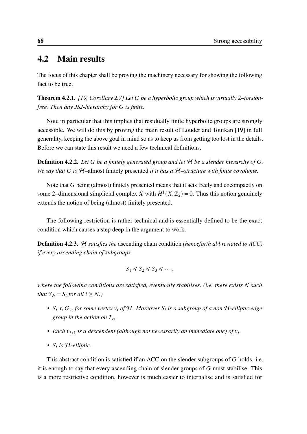#### 4.2 Main results

The focus of this chapter shall be proving the machinery necessary for showing the following fact to be true.

<span id="page-77-0"></span>Theorem 4.2.1. *[\[19,](#page-97-0) Corollary 2.7] Let be a hyperbolic group which is virtually* 2*–torsionfree. Then any JSJ-hierarchy for is finite.*

Note in particular that this implies that residually finite hyperbolic groups are strongly accessible. We will do this by proving the main result of Louder and Touikan [\[19\]](#page-97-0) in full generality, keeping the above goal in mind so as to keep us from getting too lost in the details. Before we can state this result we need a few technical definitions.

**Definition 4.2.2.** Let G be a finitely generated group and let H be a slender hierarchy of G. *We say that is* H–almost finitely presented *if it has a* H*–structure with finite covolume.*

Note that  $G$  being (almost) finitely presented means that it acts freely and cocompactly on some 2–dimensional simplicial complex X with  $H^1(X, \mathbb{Z}_2) = 0$ . Thus this notion genuinely extends the notion of being (almost) finitely presented.

The following restriction is rather technical and is essentially defined to be the exact condition which causes a step deep in the argument to work.

Definition 4.2.3. H *satisfies the* ascending chain condition *(henceforth abbreviated to ACC) if every ascending chain of subgroups*

$$
S_1 \leq S_2 \leq S_3 \leq \cdots,
$$

*where the following conditions are satisfied, eventually stabilises. (i.e. there exists N such that*  $S_N = S_i$  *for all*  $i \geq N$ *.*)

- $S_i \le G_{v_i}$  for some vertex  $v_i$  of H. Moreover  $S_i$  is a subgroup of a non H-elliptic edge *group in the action on*  $T_{v_i}$ *.*
- Each  $v_{i+1}$  is a descendent (although not necessarily an immediate one) of  $v_i$ .
- $S_i$  is  $H$ *-elliptic.*

This abstract condition is satisfied if an ACC on the slender subgroups of  $G$  holds. i.e. it is enough to say that every ascending chain of slender groups of  $G$  must stabilise. This is a more restrictive condition, however is much easier to internalise and is satisfied for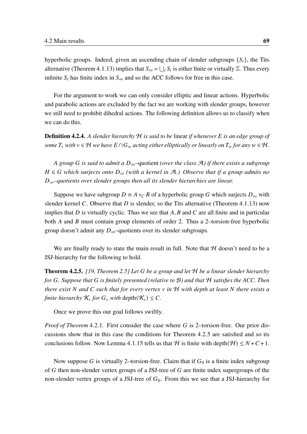hyperbolic groups. Indeed, given an ascending chain of slender subgroups  $\{S_i\}$ , the Tits alternative (Theorem 4.1.[13](#page-75-0)) implies that  $S_{\infty} = \bigcup_i S_i$  is either finite or virtually  $\mathbb{Z}$ . Thus every infinite  $S_i$  has finite index in  $S_{\infty}$  and so the ACC follows for free in this case.

For the argument to work we can only consider elliptic and linear actions. Hyperbolic and parabolic actions are excluded by the fact we are working with slender groups, however we still need to prohibit dihedral actions. The following definition allows us to classify when we can do this.

Definition 4.2.4. *A slender hierarchy* H *is said to be* linear *if whenever is an edge group of some*  $T_v$  *with*  $v \in H$  *we have*  $E \cap G_w$  *acting either elliptically or linearly on*  $T_w$  *for any*  $w \in H$ .

*A group G* is said to admit a  $D_{\infty}$ -quotient *(over the class A)* if there exists a subgroup  $H \le G$  which surjects onto  $D_{\infty}$  (with a kernel in A,) Observe that if a group admits no ∞*–quotients over slender groups then all its slender hierarchies are linear.*

Suppose we have subgroup  $D \cong A *_{C} B$  of a hyperbolic group G which surjects  $D_{\infty}$  with slender kernel C. Observe that  $D$  is slender, so the Tits alternative (Theorem 4.1.[13](#page-75-0)) now implies that  $D$  is virtually cyclic. Thus we see that  $A, B$  and  $C$  are all finite and in particular both  $\vec{A}$  and  $\vec{B}$  must contain group elements of order 2. Thus a 2–torsion-free hyperbolic group doesn't admit any  $D_{\infty}$ –quotients over its slender subgroups.

We are finally ready to state the main result in full. Note that  $H$  doesn't need to be a JSJ-hierarchy for the following to hold.

<span id="page-78-0"></span>Theorem 4.2.5. *[\[19,](#page-97-0) Theorem 2.5] Let be a group and let* H *be a linear slender hierarchy for . Suppose that is finitely presented (relative to* B*) and that* H *satisfies the ACC. Then there exist* N and C such that for every vertex v in H with depth at least N there exists a *finite hierarchy*  $\mathcal{K}_v$  *for*  $G_v$  *with* depth $(\mathcal{K}_v) \leq C$ .

Once we prove this our goal follows swiftly.

*Proof of Theorem* [4](#page-77-0).2.1. First consider the case where G is 2–torsion-free. Our prior discussions show that in this case the conditions for Theorem [4](#page-78-0).2.5 are satisfied and so its conclusions follow. Now Lemma 4.1.[15](#page-76-0) tells us that H is finite with depth $(H) \leq N + C + 1$ .

Now suppose G is virtually 2–torsion-free. Claim that if  $G_0$  is a finite index subgroup of  $G$  then non-slender vertex groups of a JSJ-tree of  $G$  are finite index supergroups of the non-slender vertex groups of a JSJ-tree of  $G_0$ . From this we see that a JSJ-hierarchy for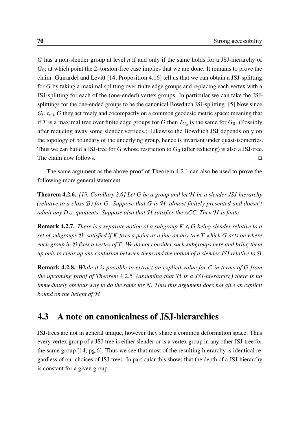$G$  has a non-slender group at level  $n$  if and only if the same holds for a JSJ-hierarchy of  $G<sub>0</sub>$ ; at which point the 2–torsion-free case implies that we are done. It remains to prove the claim. Guirardel and Levitt [\[14,](#page-97-1) Proposition 4.16] tell us that we can obtain a JSJ-splitting for  $G$  by taking a maximal splitting over finite edge groups and replacing each vertex with a JSJ-splitting for each of the (one-ended) vertex groups. In particular we can take the JSJsplittings for the one-ended groups to be the canonical Bowditch JSJ-splitting. [\[5\]](#page-96-0) Now since  $G_0 \leq f_i$ . G they act freely and cocompactly on a common geodesic metric space; meaning that if T is a maximal tree over finite edge groups for G then  $T_{G_0}$  is the same for  $G_0$ . (Possibly after reducing away some slender vertices.) Likewise the Bowditch JSJ depends only on the topology of boundary of the underlying group, hence is invariant under quasi-isometries. Thus we can build a JSJ-tree for G whose restriction to  $G_0$  (after reducing) is also a JSJ-tree. The claim now follows. □

The same argument as the above proof of Theorem [4](#page-77-0).2.1 can also be used to prove the following more general statement.

Theorem 4.2.6. *[\[19,](#page-97-0) Corollary 2.6] Let be a group and let* H *be a slender JSJ-hierarchy (relative to a class* B*) for . Suppose that is* H*–almost finitely presented and doesn't admit any*  $D_{\infty}$ *–quotients. Suppose also that*  $H$  *satisfies the ACC. Then*  $H$  *is finite.* 

**Remark 4.2.7.** *There is a separate notion of a subgroup*  $K \le G$  *being slender relative to a set of subgroups* B*; satisfied if fixes a point or a line on any tree which acts on where each group in* B *fixes a vertex of . We do not consider such subgroups here and bring them up only to clear up any confusion between them and the notion of a slender JSJ relative to* B*.*

Remark 4.2.8. *While it is possible to extract an explicit value for in terms of from the upcoming proof of Theorem* [4](#page-78-0).2.5*, (assuming that* H *is a JSJ-hierarchy,) there is no immediately obvious way to do the same for N. Thus this argument does not give an explicit bound on the height of* H*.*

### 4.3 A note on canonicalness of JSJ-hierarchies

JSJ-trees are not in general unique, however they share a common deformation space. Thus every vertex group of a JSJ-tree is either slender or is a vertex group in any other JSJ-tree for the same group [\[14,](#page-97-1) pg.6]. Thus we see that most of the resulting hierarchy is identical regardless of our choices of JSJ-trees. In particular this shows that the depth of a JSJ-hierarchy is constant for a given group.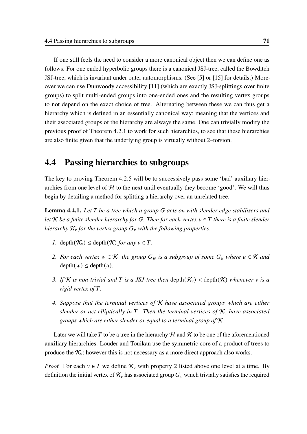If one still feels the need to consider a more canonical object then we can define one as follows. For one ended hyperbolic groups there is a canonical JSJ-tree, called the Bowditch JSJ-tree, which is invariant under outer automorphisms. (See [\[5\]](#page-96-0) or [\[15\]](#page-97-3) for details.) Moreover we can use Dunwoody accessibility [\[11\]](#page-97-4) (which are exactly JSJ-splittings over finite groups) to split multi-ended groups into one-ended ones and the resulting vertex groups to not depend on the exact choice of tree. Alternating between these we can thus get a hierarchy which is defined in an essentially canonical way; meaning that the vertices and their associated groups of the hierarchy are always the same. One can trivially modify the previous proof of Theorem [4](#page-77-0).2.1 to work for such hierarchies, to see that these hierarchies are also finite given that the underlying group is virtually without 2–torsion.

### <span id="page-80-0"></span>4.4 Passing hierarchies to subgroups

The key to proving Theorem [4](#page-78-0).2.5 will be to successively pass some 'bad' auxiliary hierarchies from one level of  $H$  to the next until eventually they become 'good'. We will thus begin by detailing a method for splitting a hierarchy over an unrelated tree.

<span id="page-80-5"></span>**Lemma 4.4.1.** Let T be a tree which a group G acts on with slender edge stabilisers and *let*  $K$  *be a finite slender hierarchy for*  $G$ . Then for each vertex  $v \in T$  there is a finite slender *hierarchy*  $K_v$  *for the vertex group*  $G_v$  *with the following properties.* 

- <span id="page-80-2"></span>*1.* depth $(\mathcal{K}_v) \leq$  depth $(\mathcal{K})$  *for any*  $v \in T$ .
- <span id="page-80-1"></span>*2. For each vertex*  $w \in \mathcal{K}_v$  the group  $G_w$  is a subgroup of some  $G_u$  where  $u \in \mathcal{K}$  and  $depth(w) \leq depth(u)$ .
- <span id="page-80-3"></span>*3.* If *K* is non-trivial and **T** is a JSJ-tree then depth( $\mathcal{K}_v$ ) < depth( $\mathcal{K}$ ) whenever v is a *rigid vertex of .*
- <span id="page-80-4"></span>*4. Suppose that the terminal vertices of* K *have associated groups which are either slender or act elliptically in* T. Then the terminal vertices of  $K_v$  have associated *groups which are either slender or equal to a terminal group of* K*.*

Later we will take T to be a tree in the hierarchy  $H$  and  $K$  to be one of the aforementioned auxiliary hierarchies. Louder and Touikan use the symmetric core of a product of trees to produce the  $\mathcal{K}_{\nu}$ ; however this is not necessary as a more direct approach also works.

*Proof.* For each  $v \in T$  we define  $\mathcal{K}_v$  with property [2](#page-80-1) listed above one level at a time. By definition the initial vertex of  $\mathcal{K}_v$  has associated group  $G_v$  which trivially satisfies the required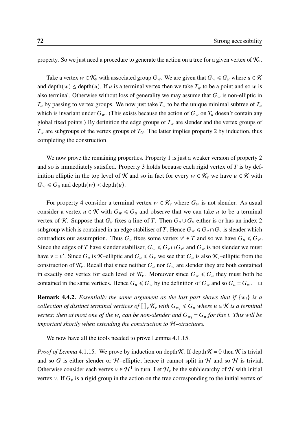property. So we just need a procedure to generate the action on a tree for a given vertex of  $\mathcal{K}_{\nu}$ .

Take a vertex  $w \in \mathcal{K}_v$  with associated group  $G_w$ . We are given that  $G_w \le G_u$  where  $u \in \mathcal{K}$ and depth $(w) \le$  depth $(u)$ . If u is a terminal vertex then we take  $T_w$  to be a point and so w is also terminal. Otherwise without loss of generality we may assume that  $G_w$  is non-elliptic in  $T_u$  by passing to vertex groups. We now just take  $T_w$  to be the unique minimal subtree of  $T_u$ which is invariant under  $G_w$ . (This exists because the action of  $G_w$  on  $T_u$  doesn't contain any global fixed points.) By definition the edge groups of  $T_w$  are slender and the vertex groups of  $T_w$  are subgroups of the vertex groups of  $T_G$ . The latter implies property [2](#page-80-1) by induction, thus completing the construction.

We now prove the remaining properties. Property [1](#page-80-2) is just a weaker version of property [2](#page-80-1) and so is immediately satisfied. Property [3](#page-80-3) holds because each rigid vertex of  $T$  is by definition elliptic in the top level of K and so in fact for every  $w \in \mathcal{K}_v$  we have  $u \in \mathcal{K}$  with  $G_w \le G_u$  and depth $(w)$  < depth $(u)$ .

For property [4](#page-80-4) consider a terminal vertex  $w \in \mathcal{K}_v$  where  $G_w$  is not slender. As usual consider a vertex  $u \in \mathcal{K}$  with  $G_w \leq G_u$  and observe that we can take u to be a terminal vertex of K. Suppose that  $G_u$  fixes a line of T. Then  $G_u \cup G_v$  either is or has an index 2 subgroup which is contained in an edge stabiliser of T. Hence  $G_w \le G_u \cap G_v$  is slender which contradicts our assumption. Thus  $G_u$  fixes some vertex  $v' \in T$  and so we have  $G_u \leq G_{v'}$ . Since the edges of T have slender stabiliser,  $G_w \leq G_v \cap G_{v'}$  and  $G_w$  is not slender we must have  $v = v'$ . Since  $G_u$  is K-elliptic and  $G_u \le G_v$  we see that  $G_u$  is also K<sub>v</sub>-elliptic from the construction of  $\mathcal{K}_{v}$ . Recall that since neither  $G_u$  nor  $G_w$  are slender they are both contained in exactly one vertex for each level of  $\mathcal{K}_{\nu}$ . Moreover since  $G_{\nu} \leq G_{\nu}$  they must both be contained in the same vertices. Hence  $G_u \le G_w$  by the definition of  $G_w$  and so  $G_u = G_w$ .  $\Box$ 

<span id="page-81-0"></span>**Remark 4.4.2.** *Essentially the same argument as the last part shows that if*  $\{w_i\}$  *is a* collection of distinct terminal vertices of  $\coprod_v \mathcal{K}_v$  with  $G_{w_i} \leqslant G_u$  where  $u \in \mathcal{K}$  is a terminal *vertex; then at most one of the*  $w_i$  can be non-slender and  $G_{w_i} = G_u$  for this i. This will be *important shortly when extending the construction to* H*–structures.*

We now have all the tools needed to prove Lemma 4.1.[15](#page-76-0).

*Proof of Lemma* 4.1.[15](#page-76-0). We prove by induction on depth  $\mathcal{K}$ . If depth  $\mathcal{K} = 0$  then  $\mathcal{K}$  is trivial and so G is either slender or  $H$ –elliptic; hence it cannot split in H and so H is trivial. Otherwise consider each vertex  $v \in \mathcal{H}^1$  in turn. Let  $\mathcal{H}_v$  be the subhierarchy of  $\mathcal H$  with initial vertex v. If  $G<sub>v</sub>$  is a rigid group in the action on the tree corresponding to the initial vertex of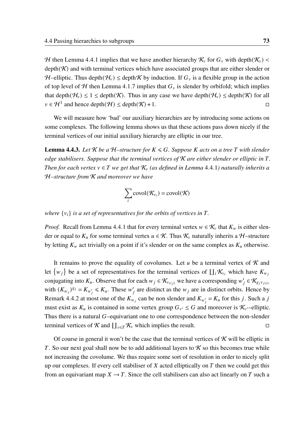H then Lemma [4](#page-80-5).4.1 implies that we have another hierarchy  $\mathcal{K}_v$  for  $G_v$  with depth $(\mathcal{K}_v)$  <  $depth(K)$  and with terminal vertices which have associated groups that are either slender or H–elliptic. Thus depth $(H_v) \le$  depth K by induction. If  $G_v$  is a flexible group in the action of top level of H then Lemma [4](#page-73-0).1.7 implies that  $G<sub>v</sub>$  is slender by orbifold; which implies that depth $(\mathcal{H}_v) \leq 1 \leq$  depth $(\mathcal{K})$ . Thus in any case we have depth $(\mathcal{H}_v) \leq$  depth $(\mathcal{K})$  for all  $v \in \mathcal{H}^1$  and hence depth $(\mathcal{H}) \leq$  depth $(\mathcal{K}) + 1$ .

We will measure how 'bad' our auxiliary hierarchies are by introducing some actions on some complexes. The following lemma shows us that these actions pass down nicely if the terminal vertices of our initial auxiliary hierarchy are elliptic in our tree.

<span id="page-82-0"></span>**Lemma 4.4.3.** Let  $K$  be a  $H$ –structure for  $K \le G$ . Suppose K acts on a tree T with slender *edge stabilisers. Suppose that the terminal vertices of*  $K$  *are either slender or elliptic in*  $T$ *. Then for each vertex*  $v \in T$  *we get that*  $K_v$  *(as defined in Lemma [4](#page-80-5).4.1) naturally inherits a* H*–structure from* K *and moreover we have*

$$
\sum_i \text{covol}(\mathcal{K}_{v_i}) = \text{covol}(\mathcal{K})
$$

*where*  $\{v_i\}$  *is a set of representatives for the orbits of vertices in T.* 

*Proof.* Recall from Lemma [4](#page-80-5).4.1 that for every terminal vertex  $w \in \mathcal{K}_v$  that  $K_w$  is either slender or equal to  $K_u$  for some terminal vertex  $u \in \mathcal{K}$ . Thus  $\mathcal{K}_v$  naturally inherits a H–structure by letting  $K_w$  act trivially on a point if it's slender or on the same complex as  $K_u$  otherwise.

It remains to prove the equality of covolumes. Let  $u$  be a terminal vertex of  $K$  and let  $\{w_j\}$  be a set of representatives for the terminal vertices of  $\prod_i \mathcal{K}_{v_i}$  which have  $K_{w_j}$ conjugating into  $K_u$ . Observe that for each  $w_j \in \mathcal{K}_{v_{i(j)}}$  we have a corresponding  $w'_j \in \mathcal{K}_{g_j v_{j(i)}}$ with  $(K_{w_j})^{g_j} = K_{w'_j} \le K_u$ . These  $w'_j$  are distinct as the  $w_j$  are in distinct orbits. Hence by Remark [4](#page-81-0).4.2 at most one of the  $K_{w_j}$  can be non slender and  $K_{w'_j} = K_u$  for this j. Such a j must exist as  $K_u$  is contained in some vertex group  $G_{v'} \leq G$  and moreover is  $\mathcal{K}_{v'}$ -elliptic. Thus there is a natural  $G$ -equivariant one to one correspondence between the non-slender terminal vertices of K and  $\prod_{v \in T} \mathcal{K}_v$  which implies the result.

Of course in general it won't be the case that the terminal vertices of  $\kappa$  will be elliptic in T. So our next goal shall now be to add additional layers to  $\mathcal K$  so this becomes true while not increasing the covolume. We thus require some sort of resolution in order to nicely split up our complexes. If every cell stabiliser of  $X$  acted elliptically on  $T$  then we could get this from an equivariant map  $X \to T$ . Since the cell stabilisers can also act linearly on T such a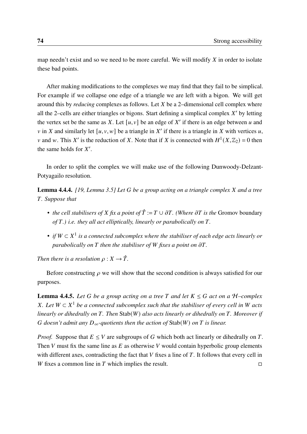map needn't exist and so we need to be more careful. We will modify  $X$  in order to isolate these bad points.

After making modifications to the complexes we may find that they fail to be simplical. For example if we collapse one edge of a triangle we are left with a bigon. We will get around this by *reducing* complexes as follows. Let *X* be a 2-dimensional cell complex where all the 2-cells are either triangles or bigons. Start defining a simplical complex  $X'$  by letting the vertex set be the same as X. Let  $[u, v]$  be an edge of X' if there is an edge between u and v in X and similarly let  $[u, v, w]$  be a triangle in X' if there is a triangle in X with vertices u, v and w. This X' is the reduction of X. Note that if X is connected with  $H^1(X,\mathbb{Z}_2) = 0$  then the same holds for  $X'$ .

In order to split the complex we will make use of the following Dunwoody-Delzant-Potyagailo resolution.

<span id="page-83-0"></span>**Lemma 4.4.4.** [\[19,](#page-97-0) Lemma 3.5] Let G be a group acting on a triangle complex X and a tree *. Suppose that*

- *the cell stabilisers of X fix a point of*  $\hat{T} := T \cup \partial T$ . (Where  $\partial T$  *is the* Gromov boundary *of .) i.e. they all act elliptically, linearly or parabolically on .*
- if  $W \subset X<sup>1</sup>$  is a connected subcomplex where the stabiliser of each edge acts linearly or *parabolically on*  $T$  *then the stabiliser of*  $W$  *fixes a point on*  $\partial T$ *.*

*Then there is a resolution*  $\rho: X \to \hat{T}$ .

Before constructing  $\rho$  we will show that the second condition is always satisfied for our purposes.

<span id="page-83-1"></span>**Lemma 4.4.5.** Let G be a group acting on a tree T and let  $K \leq G$  act on a H–complex *X*. Let  $W \subset X^1$  be a connected subcomplex such that the stabiliser of every cell in W acts *linearly or dihedrally on T. Then* Stab(*W*) *also acts linearly or dihedrally on T. Moreover if doesn't admit any*  $D_{\infty}$ -quotients then the action of Stab(W) on T is linear.

*Proof.* Suppose that  $E \leq V$  are subgroups of G which both act linearly or dihedrally on T. Then  $V$  must fix the same line as  $E$  as otherwise  $V$  would contain hyperbolic group elements with different axes, contradicting the fact that  $V$  fixes a line of  $T$ . It follows that every cell in W fixes a common line in T which implies the result.  $\Box$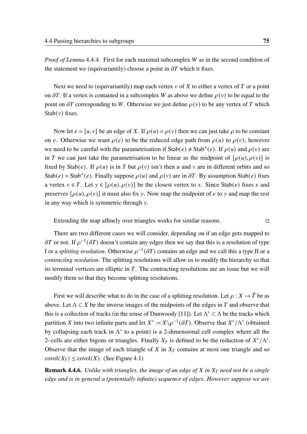*Proof of Lemma* [4](#page-83-0).4.4. First for each maximal subcomplex *W* as in the second condition of the statement we (equivariantily) choose a point in  $\partial T$  which it fixes.

Next we need to (equivariantily) map each vertex  $v$  of  $X$  to either a vertex of  $T$  or a point on  $\partial T$ . If a vertex is contained in a subcomplex W as above we define  $\rho(v)$  to be equal to the point on  $\partial T$  corresponding to W. Otherwise we just define  $\rho(v)$  to be any vertex of T which  $Stab(v)$  fixes.

Now let  $e = [u, v]$  be an edge of X. If  $\rho(u) = \rho(v)$  then we can just take  $\rho$  to be constant on e. Otherwise we want  $\rho(e)$  to be the reduced edge path from  $\rho(u)$  to  $\rho(v)$ ; however we need to be careful with the parametrisation if  $\text{Stab}(e) \neq \text{Stab}^+(e)$ . If  $\rho(u)$  and  $\rho(v)$  are in T we can just take the parametrisation to be linear as the midpoint of  $[\rho(u), \rho(v)]$  is fixed by Stab(e). If  $\rho(u)$  is in T but  $\rho(v)$  isn't then u and v are in different orbits and so Stab(e) = Stab<sup>+</sup>(e). Finally suppose  $\rho(u)$  and  $\rho(v)$  are in  $\partial T$ . By assumption Stab(e) fixes a vertex  $v \in T$ . Let  $y \in [\rho(u), \rho(v)]$  be the closest vertex to x. Since Stab(e) fixes x and preserves  $[\rho(u), \rho(v)]$  it must also fix y. Now map the midpoint of e to y and map the rest in any way which is symmetric through  $y$ .

Extending the map affinely over triangles works for similar reasons.  $\Box$ 

There are two different cases we will consider, depending on if an edge gets mapped to  $\partial T$  or not. If  $\rho^{-1}(\partial T)$  doesn't contain any edges then we say that this is a resolution of type I or a *splitting resolution*. Otherwise  $\rho^{-1}(\partial T)$  contains an edge and we call this a type II or a *contracting resolution*. The splitting resolutions will allow us to modify the hierarchy so that its terminal vertices are elliptic in  $T$ . The contracting resolutions are an issue but we will modify them so that they become splitting resolutions.

First we will describe what to do in the case of a splitting resolution. Let  $\rho : X \to \hat{T}$  be as above. Let  $\Lambda \subset X$  be the inverse images of the midpoints of the edges in T and observe that this is a collection of tracks (in the sense of Dunwoody [\[11\]](#page-97-4)). Let  $\Lambda^* \subset \Lambda$  be the tracks which partition X into two infinite parts and let  $X^* := X \setminus \rho^{-1}(\partial T)$ . Observe that  $X^* / \Lambda^*$  (obtained by collapsing each track in  $\Lambda^*$  to a point) is a 2-dimensional cell complex where all the 2–cells are either bigons or triangles. Finally  $X_T$  is defined to be the reduction of  $X^*/\Lambda^*$ . Observe that the image of each triangle of  $X$  in  $X_T$  contains at most one triangle and so  $\text{covol}(X_T) \leq \text{covol}(X)$ . (See Figure [4.1\)](#page-85-0)

<span id="page-84-0"></span>**Remark 4.4.6.** *Unlike with triangles, the image of an edge of X in X<sub>T</sub> need not be a single edge and is in general a (potentially infinite) sequence of edges. However suppose we are*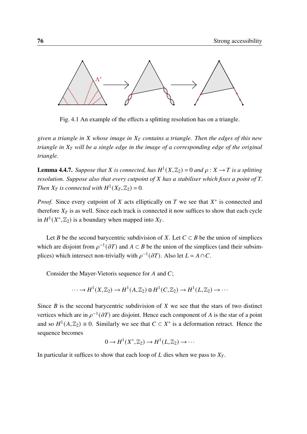<span id="page-85-0"></span>

Fig. 4.1 An example of the effects a splitting resolution has on a triangle.

*given a triangle in whose image in contains a triangle. Then the edges of this new triangle in will be a single edge in the image of a corresponding edge of the original triangle.*

**Lemma 4.4.7.** Suppose that X is connected, has  $H^1(X, \mathbb{Z}_2) = 0$  and  $\rho : X \to T$  is a splitting *resolution. Suppose also that every cutpoint of X has a stabiliser which fixes a point of T. Then*  $X_T$  *is connected with*  $H^1(X_T, \mathbb{Z}_2) = 0$ *.* 

*Proof.* Since every cutpoint of  $X$  acts elliptically on  $T$  we see that  $X^*$  is connected and therefore  $X_T$  is as well. Since each track is connected it now suffices to show that each cycle in  $H^1(X^*,\mathbb{Z}_2)$  is a boundary when mapped into  $X_T$ .

Let *B* be the second barycentric subdivision of *X*. Let  $C \subset B$  be the union of simplices which are disjoint from  $\rho^{-1}(\partial T)$  and  $A \subset B$  be the union of the simplices (and their subsimplices) which intersect non-trivially with  $\rho^{-1}(\partial T)$ . Also let  $L = A \cap C$ .

Consider the Mayer-Vietoris sequence for  $A$  and  $C$ ;

$$
\cdots \to H^1(X,\mathbb{Z}_2) \to H^1(A,\mathbb{Z}_2) \oplus H^1(C,\mathbb{Z}_2) \to H^1(L,\mathbb{Z}_2) \to \cdots
$$

Since  $B$  is the second barycentric subdivision of  $X$  we see that the stars of two distinct vertices which are in  $\rho^{-1}(\partial T)$  are disjoint. Hence each component of A is the star of a point and so  $H^1(A, \mathbb{Z}_2) \cong 0$ . Similarly we see that  $C \subset X^*$  is a deformation retract. Hence the sequence becomes

$$
0 \to H^1(X^*, \mathbb{Z}_2) \to H^1(L, \mathbb{Z}_2) \to \cdots
$$

In particular it suffices to show that each loop of  $L$  dies when we pass to  $X_T$ .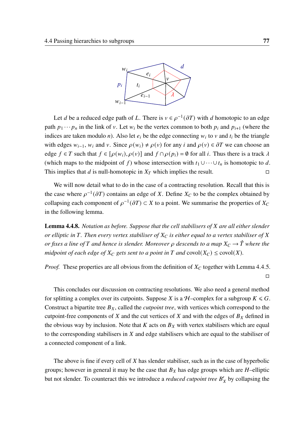

Let *d* be a reduced edge path of L. There is  $v \in \rho^{-1}(\partial T)$  with *d* homotopic to an edge path  $p_1 \cdots p_n$  in the link of v. Let  $w_i$  be the vertex common to both  $p_i$  and  $p_{i+1}$  (where the indices are taken modulo *n*). Also let  $e_i$  be the edge connecting  $w_i$  to  $v$  and  $t_i$  be the triangle with edges  $w_{i-1}$ ,  $w_i$  and v. Since  $\rho(w_i) \neq \rho(v)$  for any  $i$  and  $\rho(v) \in \partial T$  we can choose an edge  $f \in T$  such that  $f \in [\rho(w_i), \rho(v)]$  and  $f \cap \rho(p_i) = \emptyset$  for all i. Thus there is a track  $\lambda$ (which maps to the midpoint of f) whose intersection with  $t_1 \cup \cdots \cup t_n$  is homotopic to d. This implies that d is null-homotopic in  $X_T$  which implies the result.  $\Box$ 

We will now detail what to do in the case of a contracting resolution. Recall that this is the case where  $\rho^{-1}(\partial T)$  contains an edge of X. Define  $X_C$  to be the complex obtained by collapsing each component of  $\rho^{-1}(\partial T) \subset X$  to a point. We summarise the properties of  $X_C$ in the following lemma.

<span id="page-86-0"></span>**Lemma 4.4.8.** *Notation as before. Suppose that the cell stabilisers of X are all either slender or elliptic in T*. Then every vertex stabiliser of  $X_C$  is either equal to a vertex stabiliser of  $X$ *or fixes a line of* T and hence is slender. Moreover  $\rho$  descends to a map  $X_C \to \hat{T}$  where the *midpoint of each edge of*  $X_C$  *gets sent to a point in*  $T$  *and* covol( $X_C$ )  $\leq$  covol( $X$ ).

*Proof.* These properties are all obvious from the definition of  $X_C$  together with Lemma [4](#page-83-1).4.5. □

This concludes our discussion on contracting resolutions. We also need a general method for splitting a complex over its cutpoints. Suppose X is a  $H$ –complex for a subgroup  $K \le G$ . Construct a bipartite tree  $B_X$ , called the *cutpoint tree*, with vertices which correspond to the cutpoint-free components of  $X$  and the cut vertices of  $X$  and with the edges of  $B_X$  defined in the obvious way by inclusion. Note that  $K$  acts on  $B<sub>X</sub>$  with vertex stabilisers which are equal to the corresponding stabilisers in  $X$  and edge stabilisers which are equal to the stabiliser of a connected component of a link.

The above is fine if every cell of  $X$  has slender stabiliser, such as in the case of hyperbolic groups; however in general it may be the case that  $B<sub>X</sub>$  has edge groups which are *H*-elliptic but not slender. To counteract this we introduce a *reduced cutpoint tree*  $B'_X$  by collapsing the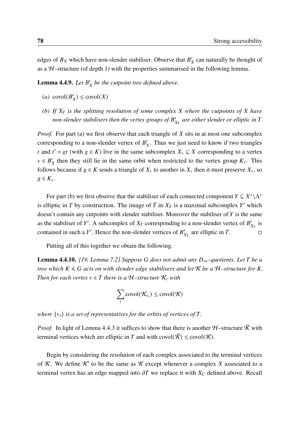edges of  $B_X$  which have non-slender stabiliser. Observe that  $B'_X$  can naturally be thought of as a  $H$ –structure (of depth 1) with the properties summarised in the following lemma.

<span id="page-87-2"></span>**Lemma 4.4.9.** Let  $B'_X$  be the cutpoint tree defined above.

- <span id="page-87-0"></span>(*a*)  $\text{covol}(B'_X) \leq \text{covol}(X)$
- <span id="page-87-1"></span>*(b)* If  $X_T$  is the splitting resolution of some complex X where the cutpoints of X have non-slender stabilisers then the vertex groups of  $B'_{X_T}$  are either slender or elliptic in  $T.$

*Proof.* For part [\(a\)](#page-87-0) we first observe that each triangle of  $X$  sits in at most one subcomplex corresponding to a non-slender vertex of  $B'_X$ . Thus we just need to know if two triangles t and  $t' = gt$  (with  $g \in K$ ) live in the same subcomplex  $X_v \subseteq X$  corresponding to a vertex  $v \in B'_X$  then they still lie in the same orbit when restricted to the vertex group  $K_v$ . This follows because if  $g \in K$  sends a triangle of  $X_v$  to another in  $X_v$  then it must preserve  $X_v$ , so  $g \in K_v$ .

For part [\(b\)](#page-87-1) we first observe that the stabiliser of each connected component  $Y \subseteq X^* \backslash \Lambda^*$ is elliptic in T by construction. The image of  $\bar{Y}$  in  $X_T$  is a maximal subcomplex Y' which doesn't contain any cutpoints with slender stabiliser. Moreover the stabiliser of  $Y$  is the same as the stabiliser of Y'. A subcomplex of  $X_T$  corresponding to a non-slender vertex of  $B'_{X_T}$  is contained in such a Y'. Hence the non-slender vertices of  $B'_{X_T}$  are elliptic in T.

Putting all of this together we obtain the following.

<span id="page-87-3"></span>**Lemma 4.4.10.** *[\[19,](#page-97-0) Lemma 7.2] Suppose G does not admit any*  $D_{\infty}$ -quotients. Let T be a *tree which*  $K \le G$  *acts on with slender edge stabilisers and let*  $K$  *be a*  $H$ –*structure for*  $K$ *. Then for each vertex*  $v \in T$  *there is a H–structure*  $\mathcal{K}_v$  *with* 

$$
\sum_i \mathrm{covol}(\mathcal{K}_{v_i}) \leq \mathrm{covol}(\mathcal{K})
$$

*where*  $\{v_i\}$  *is a set of representatives for the orbits of vertices of T.* 

*Proof.* In light of Lemma [4](#page-82-0).4.3 it suffices to show that there is another  $H$ –structure  $\tilde{K}$  with terminal vertices which are elliptic in T and with covol( $\tilde{\mathcal{K}}$ )  $\leq$  covol( $\mathcal{K}$ ).

Begin by considering the resolution of each complex associated to the terminal vertices of K. We define K' to be the same as K except whenever a complex X associated to a terminal vertex has an edge mapped into  $\partial T$  we replace it with  $X_C$  defined above. Recall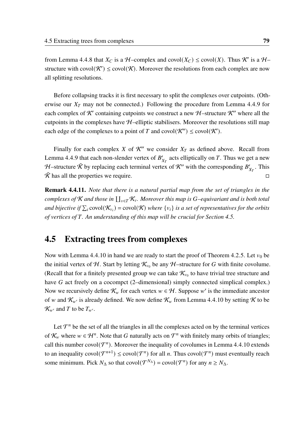from Lemma [4](#page-86-0).4.8 that  $X_C$  is a  $H$ -complex and covol $(X_C) \leq \text{covol}(X)$ . Thus K' is a  $H$ structure with covol $(\mathcal{K}') \leq \text{covol}(\mathcal{K})$ . Moreover the resolutions from each complex are now all splitting resolutions.

Before collapsing tracks it is first necessary to split the complexes over cutpoints. (Otherwise our  $X_T$  may not be connected.) Following the procedure from Lemma [4](#page-87-2).4.9 for each complex of K' containing cutpoints we construct a new H-structure K'' where all the cutpoints in the complexes have  $H$ –elliptic stabilisers. Moreover the resolutions still map each edge of the complexes to a point of T and covol $(\mathcal{K}'') \leq \text{covol}(\mathcal{K}')$ .

Finally for each complex X of  $K''$  we consider  $X_T$  as defined above. Recall from Lemma [4](#page-87-2).4.9 that each non-slender vertex of  $B'_{X_T}$  acts elliptically on T. Thus we get a new H–structure  $\tilde{\mathcal{K}}$  by replacing each terminal vertex of  $\mathcal{K}''$  with the corresponding  $B'_{X_T}$ . This  $\hat{\mathcal{K}}$  has all the properties we require.  $\Box$ 

<span id="page-88-1"></span>Remark 4.4.11. *Note that there is a natural partial map from the set of triangles in the* complexes of  $K$  and those in  $\coprod_{v\in T}\mathcal{K}_v$ . Moreover this map is G–equivariant and is both total and bijective if  $\sum_i$  covol( $\mathcal{K}_{v_i}$ ) = covol( $\mathcal{K}$ ) *where*  $\{v_i\}$  is a set of representatives for the orbits *of vertices of . An understanding of this map will be crucial for Section [4.5.](#page-88-0)*

### <span id="page-88-0"></span>4.5 Extracting trees from complexes

Now with Lemma 4.4.[10](#page-87-3) in hand we are ready to start the proof of Theorem [4](#page-78-0).2.5. Let  $v_0$  be the initial vertex of H. Start by letting  $\mathcal{K}_{v_0}$  be any H-structure for G with finite covolume. (Recall that for a finitely presented group we can take  $\mathcal{K}_{v_0}$  to have trivial tree structure and have  $G$  act freely on a cocompct (2–dimensional) simply connected simplical complex.) Now we recursively define  $\mathcal{K}_w$  for each vertex  $w \in \mathcal{H}$ . Suppose w' is the immediate ancestor of w and  $\mathcal{K}_{w'}$  is already defined. We now define  $\mathcal{K}_w$  from Lemma 4.4.[10](#page-87-3) by setting  $\mathcal K$  to be  $\mathcal{K}_{w'}$  and T to be  $T_{w'}$ .

Let  $\mathcal{T}^n$  be the set of all the triangles in all the complexes acted on by the terminal vertices of  $\mathcal{K}_w$  where  $w \in \mathcal{H}^n$ . Note that G naturally acts on  $\mathcal{T}^n$  with finitely many orbits of triangles; call this number covol $(T^n)$ . Moreover the inequality of covolumes in Lemma 4.4.[10](#page-87-3) extends to an inequality  $\text{covol}(\mathcal{T}^{n+1}) \leq \text{covol}(\mathcal{T}^n)$  for all *n*. Thus  $\text{covol}(\mathcal{T}^n)$  must eventually reach some minimum. Pick  $N_{\Delta}$  so that covol $(\mathcal{T}^{N_{\Delta}})$  = covol $(\mathcal{T}^{n})$  for any  $n \geq N_{\Delta}$ .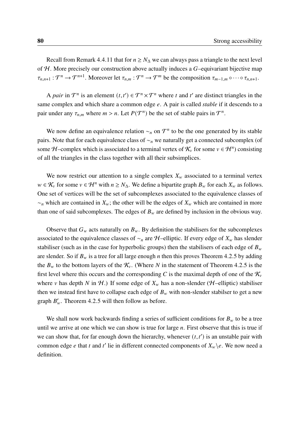Recall from Remark 4.4.[11](#page-88-1) that for  $n \geq N_A$  we can always pass a triangle to the next level of  $H$ . More precisely our construction above actually induces a  $G$ -equivariant bijective map  $\tau_{n,n+1} : \mathcal{T}^n \to \mathcal{T}^{n+1}$ . Moreover let  $\tau_{n,m} : \mathcal{T}^n \to \mathcal{T}^m$  be the composition  $\tau_{m-1,m} \circ \cdots \circ \tau_{n,n+1}$ .

A *pair* in  $\mathcal{T}^n$  is an element  $(t, t') \in \mathcal{T}^n \times \mathcal{T}^n$  where t and t' are distinct triangles in the same complex and which share a common edge  $e$ . A pair is called *stable* if it descends to a pair under any  $\tau_{n,m}$  where  $m > n$ . Let  $P(\mathcal{T}^n)$  be the set of stable pairs in  $\mathcal{T}^n$ .

We now define an equivalence relation  $\sim_n$  on  $\mathcal{T}^n$  to be the one generated by its stable pairs. Note that for each equivalence class of  $\sim_n$  we naturally get a connected subcomplex (of some H-complex which is associated to a terminal vertex of  $\mathcal{K}_v$  for some  $v \in \mathcal{H}^n$ ) consisting of all the triangles in the class together with all their subsimplices.

We now restrict our attention to a single complex  $X_w$  associated to a terminal vertex  $w \in \mathcal{K}_v$  for some  $v \in \mathcal{H}^n$  with  $n \geq N_\Delta$ . We define a bipartite graph  $B_w$  for each  $X_w$  as follows. One set of vertices will be the set of subcomplexes associated to the equivalence classes of  $\sim_n$  which are contained in  $X_w$ ; the other will be the edges of  $X_w$  which are contained in more than one of said subcomplexes. The edges of  $B_w$  are defined by inclusion in the obvious way.

Observe that  $G_w$  acts naturally on  $B_w$ . By definition the stabilisers for the subcomplexes associated to the equivalence classes of  $\sim_n$  are H–elliptic. If every edge of  $X_w$  has slender stabiliser (such as in the case for hyperbolic groups) then the stabilisers of each edge of  $B_w$ are slender. So if  $B_w$  is a tree for all large enough *n* then this proves Theorem [4](#page-78-0).2.5 by adding the  $B_w$  to the bottom layers of the  $\mathcal{K}_v$ . (Where N in the statement of Theorem [4](#page-78-0).2.5 is the first level where this occurs and the corresponding C is the maximal depth of one of the  $\mathcal{K}_{\nu}$ where v has depth N in H.) If some edge of  $X_w$  has a non-slender (H–elliptic) stabiliser then we instead first have to collapse each edge of  $B<sub>w</sub>$  with non-slender stabilser to get a new graph  $B'_w$ . Theorem [4](#page-78-0).2.5 will then follow as before.

We shall now work backwards finding a series of sufficient conditions for  $B_w$  to be a tree until we arrive at one which we can show is true for large  $n$ . First observe that this is true if we can show that, for far enough down the hierarchy, whenever  $(t, t')$  is an unstable pair with common edge e that t and t' lie in different connected components of  $X_w \backslash e$ . We now need a definition.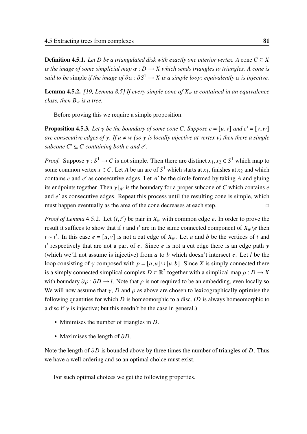**Definition 4.5.1.** *Let D be a triangulated disk with exactly one interior vertex. A cone*  $C \subseteq X$ *is the image of some simplicial map*  $\alpha$  :  $D \rightarrow X$  which sends triangles to triangles. A cone is *said to be* simple *if the image of*  $\partial \alpha : \partial S^1 \to X$  *is a simple loop; equivalently*  $\alpha$  *is injective.* 

<span id="page-90-0"></span>**Lemma 4.5.2.** [\[19,](#page-97-0) Lemma 8.5] If every simple cone of  $X_w$  is contained in an equivalence *class, then*  $B_w$  *is a tree.* 

Before proving this we require a simple proposition.

<span id="page-90-1"></span>**Proposition 4.5.3.** Let  $\gamma$  be the boundary of some cone C. Suppose  $e = [u, v]$  and  $e' = [v, w]$ *are consecutive edges of*  $\gamma$ *. If*  $u \neq w$  (so  $\gamma$  *is locally injective at vertex v) then there a simple*  $subcone C' \subseteq C$  *containing both e and e'.* 

*Proof.* Suppose  $\gamma : S^1 \to C$  is not simple. Then there are distinct  $x_1, x_2 \in S^1$  which map to some common vertex  $x \in C$ . Let A be an arc of  $S^1$  which starts at  $x_1$ , finishes at  $x_2$  and which contains  $e$  and  $e'$  as consecutive edges. Let  $A'$  be the circle formed by taking  $A$  and gluing its endpoints together. Then  $\gamma|_{A'}$  is the boundary for a proper subcone of C which contains e and  $e'$  as consecutive edges. Repeat this process until the resulting cone is simple, which must happen eventually as the area of the cone decreases at each step.  $\Box$ 

*Proof of Lemma* [4](#page-90-0).5.2. Let  $(t, t')$  be pair in  $X_w$  with common edge e. In order to prove the result it suffices to show that if t and t' are in the same connected component of  $X_w \backslash e$  then  $t \sim t'$ . In this case  $e = [u, v]$  is not a cut edge of  $X_w$ . Let a and b be the vertices of t and t' respectively that are not a part of e. Since e is not a cut edge there is an edge path  $\gamma$ (which we'll not assume is injective) from  $a$  to  $b$  which doesn't intersect  $e$ . Let  $l$  be the loop consisting of  $\gamma$  composed with  $p = [a, u] \cup [u, b]$ . Since X is simply connected there is a simply connected simplical complex  $D \subset \mathbb{R}^2$  together with a simplical map  $\rho : D \to X$ with boundary  $\partial \rho : \partial D \to l$ . Note that  $\rho$  is not required to be an embedding, even locally so. We will now assume that  $\gamma$ , D and  $\rho$  as above are chosen to lexicographically optimise the following quantities for which  $D$  is homeomorphic to a disc. ( $D$  is always homeomorphic to a disc if  $\gamma$  is injective; but this needn't be the case in general.)

- Minimises the number of triangles in  $D$ .
- Maximises the length of  $\partial D$ .

Note the length of  $\partial D$  is bounded above by three times the number of triangles of D. Thus we have a well ordering and so an optimal choice must exist.

For such optimal choices we get the following properties.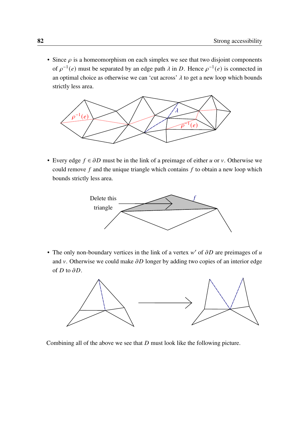• Since  $\rho$  is a homeomorphism on each simplex we see that two disjoint components of  $\rho^{-1}(e)$  must be separated by an edge path  $\lambda$  in D. Hence  $\rho^{-1}(e)$  is connected in an optimal choice as otherwise we can 'cut across'  $\lambda$  to get a new loop which bounds strictly less area.



• Every edge  $f \in \partial D$  must be in the link of a preimage of either u or v. Otherwise we could remove  $f$  and the unique triangle which contains  $f$  to obtain a new loop which bounds strictly less area.



• The only non-boundary vertices in the link of a vertex  $w'$  of  $\partial D$  are preimages of u and v. Otherwise we could make  $\partial D$  longer by adding two copies of an interior edge of  $D$  to  $\partial D$ .



Combining all of the above we see that  $D$  must look like the following picture.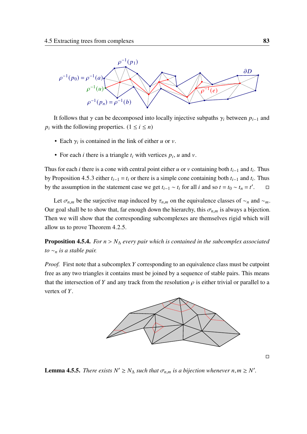

It follows that  $\gamma$  can be decomposed into locally injective subpaths  $\gamma_i$  between  $p_{i-1}$  and  $p_i$  with the following properties.  $(1 \le i \le n)$ 

- Each  $\gamma_i$  is contained in the link of either u or v.
- For each *i* there is a triangle  $t_i$  with vertices  $p_i$ , *u* and *v*.

Thus for each *i* there is a cone with central point either *u* or *v* containing both  $t_{i-1}$  and  $t_i$ . Thus by Proposition [4](#page-90-1).5.3 either  $t_{i-1} = t_i$  or there is a simple cone containing both  $t_{i-1}$  and  $t_i$ . Thus by the assumption in the statement case we get  $t_{i-1} \sim t_i$  for all *i* and so  $t = t_0 \sim t_n = t'$  $\Box$ 

Let  $\sigma_{n,m}$  be the surjective map induced by  $\tau_{n,m}$  on the equivalence classes of  $\sim_n$  and  $\sim_m$ . Our goal shall be to show that, far enough down the hierarchy, this  $\sigma_{n,m}$  is always a bijection. Then we will show that the corresponding subcomplexes are themselves rigid which will allow us to prove Theorem [4](#page-78-0).2.5.

<span id="page-92-0"></span>**Proposition 4.5.4.** *For*  $n > N_{\Delta}$  *every pair which is contained in the subcomplex associated to*  $~\sim_n$  *is a stable pair.* 

*Proof.* First note that a subcomplex Y corresponding to an equivalence class must be cutpoint free as any two triangles it contains must be joined by a sequence of stable pairs. This means that the intersection of Y and any track from the resolution  $\rho$  is either trivial or parallel to a vertex of  $Y$ .



<span id="page-92-1"></span>**Lemma 4.5.5.** There exists  $N' \geq N_{\Delta}$  such that  $\sigma_{n,m}$  is a bijection whenever  $n, m \geq N'$ .

□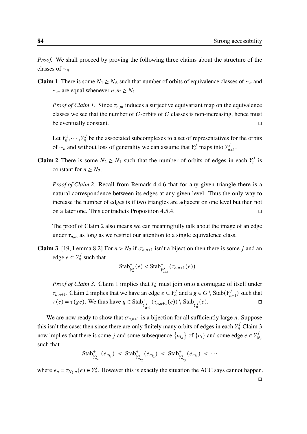*Proof.* We shall proceed by proving the following three claims about the structure of the classes of  $~\sim_n$ .

**Claim 1** There is some  $N_1 \geq N_\Delta$  such that number of orbits of equivalence classes of  $\sim_n$  and  $\sim_m$  are equal whenever  $n, m \geq N_1$ .

*Proof of Claim 1.* Since  $\tau_{n,m}$  induces a surjective equivariant map on the equivalence classes we see that the number of  $G$ -orbits of  $G$  classes is non-increasing, hence must be eventually constant. □

Let  $Y_n^1, \dots, Y_n^J$  be the associated subcomplexes to a set of representatives for the orbits of  $\sim_n$  and without loss of generality we can assume that  $Y_n^j$  maps into  $Y_n^j$ , j<br>n+1.

**Claim 2** There is some  $N_2 \ge N_1$  such that the number of orbits of edges in each  $Y_n^j$  $\frac{y'}{n}$  is constant for  $n \geq N_2$ .

*Proof of Claim 2.* Recall from Remark [4](#page-84-0).4.6 that for any given triangle there is a natural correspondence between its edges at any given level. Thus the only way to increase the number of edges is if two triangles are adjacent on one level but then not on a later one. This contradicts Proposition [4](#page-92-0).5.4.  $\Box$ 

The proof of Claim 2 also means we can meaningfully talk about the image of an edge under  $\tau_{n,m}$  as long as we restrict our attention to a single equivalence class.

**Claim 3** [\[19,](#page-97-0) Lemma 8.2] For  $n > N_2$  if  $\sigma_{n,n+1}$  isn't a bijection then there is some *j* and an edge  $e \subset Y_n^j$  such that

Stab<sup>+</sup><sub>$$
Y_n^j
$$</sub> $(e) <$ Stab<sup>+</sup> <sub>$Y_{n+1}^j$</sub>  $(\tau_{n,n+1}(e))$ 

*Proof of Claim 3.* Claim 1 implies that  $Y_n^j$  must join onto a conjugate of itself under  $\tau_{n,n+1}$ . Claim 2 implies that we have an edge  $e \subset Y_n^j$  and a  $g \in G \setminus \text{Stab}(Y_n^j)$  $\binom{n+1}{n+1}$  such that  $\tau(e) = \tau(ge)$ . We thus have  $g \in \text{Stab}_{Y_{n+1}^j}^+(\tau_{n,n+1}(e)) \setminus \text{Stab}_{Y_n^j}^+(e)$ .

We are now ready to show that  $\sigma_{n,n+1}$  is a bijection for all sufficiently large *n*. Suppose this isn't the case; then since there are only finitely many orbits of edges in each  $Y_n^j$  Claim 3 now implies that there is some j and some subsequence  $\{n_{i_k}\}$  of  $\{n_i\}$  and some edge  $e \in Y^j$  $N_2$ such that

Stab<sup>+</sup><sub>$$
Y_{n_{i_1}}(e_{n_{i_1}}) <
$$
Stab<sup>+</sup> <sub>$Y_{n_{i_2}}(e_{n_{i_2}}) <$ Stab<sup>+</sup> <sub>$Y_{n_{i_3}}(e_{n_{i_3}}) < \cdots$</sub></sub></sub> 

where  $e_n = \tau_{N_2,n}(e) \in Y_n^j$  $\mathbb{R}^{J}_{n}$ . However this is exactly the situation the ACC says cannot happen.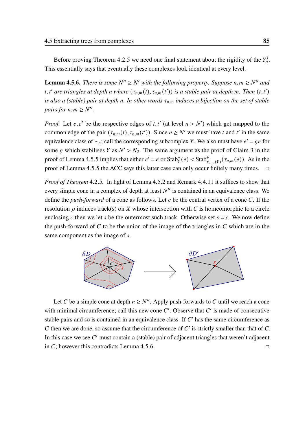Before proving Theorem [4](#page-78-0).2.5 we need one final statement about the rigidity of the  $Y_n^j$ , ,<br>n . This essentially says that eventually these complexes look identical at every level.

<span id="page-94-0"></span>**Lemma 4.5.6.** There is some  $N'' \ge N'$  with the following property. Suppose  $n, m \ge N''$  and t, t' are triangles at depth n where  $(\tau_{n,m}(t), \tau_{n,m}(t'))$  is a stable pair at depth m. Then  $(t, t')$ *is also a (stable) pair at depth n. In other words*  $\tau_{n,m}$  *induces a bijection on the set of stable pairs for*  $n, m \ge N''$ .

*Proof.* Let  $e, e'$  be the respective edges of  $t, t'$  (at level  $n > N'$ ) which get mapped to the common edge of the pair  $(\tau_{n,m}(t), \tau_{n,m}(t'))$ . Since  $n \geq N'$  we must have t and t' in the same equivalence class of  $\sim_n$ ; call the corresponding subcomplex Y. We also must have  $e' = ge$  for some g which stabilises Y as  $N' > N_2$ . The same argument as the proof of Claim 3 in the proof of Lemma [4](#page-92-1).5.5 implies that either  $e' = e$  or  $\text{Stab}_{Y}^{+}(e) < \text{Stab}_{\tau_{n,m}(Y)}^{+}(\tau_{n,m}(e))$ . As in the proof of Lemma [4](#page-92-1).5.5 the ACC says this latter case can only occur finitely many times.  $\Box$ 

*Proof of Theorem* [4](#page-78-0).2.5*.* In light of Lemma [4](#page-90-0).5.2 and Remark 4.4.[11](#page-88-1) it suffices to show that every simple cone in a complex of depth at least  $N''$  is contained in an equivalence class. We define the *push-forward* of a cone as follows. Let  $c$  be the central vertex of a cone  $C$ . If the resolution  $\rho$  induces track(s) on X whose intersection with C is homeomorphic to a circle enclosing c then we let s be the outermost such track. Otherwise set  $s = c$ . We now define the push-forward of  $C$  to be the union of the image of the triangles in  $C$  which are in the same component as the image of s.



Let C be a simple cone at depth  $n \geq N''$ . Apply push-forwards to C until we reach a cone with minimal circumference; call this new cone  $C'$ . Observe that  $C'$  is made of consecutive stable pairs and so is contained in an equivalence class. If  $C'$  has the same circumference as  $C$  then we are done, so assume that the circumference of  $C'$  is strictly smaller than that of  $C$ . In this case we see  $C'$  must contain a (stable) pair of adjacent triangles that weren't adjacent in C; however this contradicts Lemma [4](#page-94-0).5.6.  $\Box$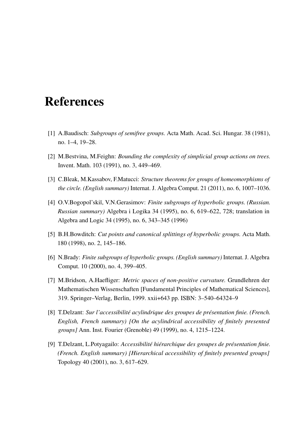## References

- [1] A.Baudisch: *Subgroups of semifree groups.* Acta Math. Acad. Sci. Hungar. 38 (1981), no. 1–4, 19–28.
- [2] M.Bestvina, M.Feighn: *Bounding the complexity of simplicial group actions on trees.* Invent. Math. 103 (1991), no. 3, 449–469.
- [3] C.Bleak, M.Kassabov, F.Matucci: *Structure theorems for groups of homeomorphisms of the circle. (English summary)* Internat. J. Algebra Comput. 21 (2011), no. 6, 1007–1036.
- [4] O.V.Bogopol'skii, V.N.Gerasimov: *Finite subgroups of hyperbolic groups. (Russian. Russian summary)* Algebra i Logika 34 (1995), no. 6, 619–622, 728; translation in Algebra and Logic 34 (1995), no. 6, 343–345 (1996)
- <span id="page-96-0"></span>[5] B.H.Bowditch: *Cut points and canonical splittings of hyperbolic groups.* Acta Math. 180 (1998), no. 2, 145–186.
- [6] N.Brady: *Finite subgroups of hyperbolic groups. (English summary)* Internat. J. Algebra Comput. 10 (2000), no. 4, 399–405.
- [7] M.Bridson, A.Haefliger: *Metric spaces of non-positive curvature.* Grundlehren der Mathematischen Wissenschaften [Fundamental Principles of Mathematical Sciences], 319. Springer–Verlag, Berlin, 1999. xxii+643 pp. ISBN: 3–540–64324–9
- [8] T.Delzant: *Sur l'accessibilité acylindrique des groupes de présentation finie. (French. English, French summary) [On the acylindrical accessibility of finitely presented groups]* Ann. Inst. Fourier (Grenoble) 49 (1999), no. 4, 1215–1224.
- [9] T.Delzant, L.Potyagailo: *Accessibilité hiérarchique des groupes de présentation finie. (French. English summary) [Hierarchical accessibility of finitely presented groups]* Topology 40 (2001), no. 3, 617–629.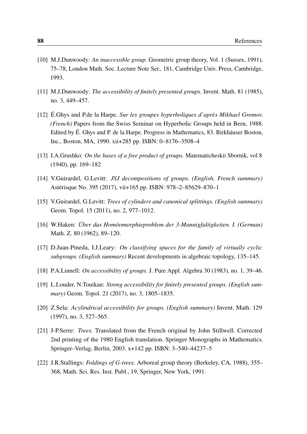- [10] M.J.Dunwoody: *An inaccessible group.* Geometric group theory, Vol. 1 (Sussex, 1991), 75–78, London Math. Soc. Lecture Note Ser., 181, Cambridge Univ. Press, Cambridge, 1993.
- <span id="page-97-4"></span>[11] M.J.Dunwoody: *The accessibility of finitely presented groups.* Invent. Math. 81 (1985), no. 3, 449–457.
- <span id="page-97-2"></span>[12] É.Ghys and P.de la Harpe. *Sur les groupes hyperboliques d'après Mikhael Gromov. (French)* Papers from the Swiss Seminar on Hyperbolic Groups held in Bern, 1988. Edited by É. Ghys and P. de la Harpe. Progress in Mathematics, 83. Birkhäuser Boston, Inc., Boston, MA, 1990. xii+285 pp. ISBN: 0–8176–3508–4
- [13] I.A.Grushko: *On the bases of a free product of groups.* Matematicheskii Sbornik, vol 8 (1940), pp. 169–182
- <span id="page-97-1"></span>[14] V.Guirardel, G.Levitt: *JSJ decompositions of groups. (English, French summary)* Astérisque No. 395 (2017), vii+165 pp. ISBN: 978–2–85629–870–1
- <span id="page-97-3"></span>[15] V.Guirardel, G.Levitt: *Trees of cylinders and canonical splittings. (English summary)* Geom. Topol. 15 (2011), no. 2, 977–1012.
- [16] W.Haken: *Über das Homöomorphieproblem der 3-Mannigfaltigkeiten. I. (German)* Math. Z. 80 (1962), 89–120.
- [17] D.Juan-Pineda, I.J.Leary: *On classifying spaces for the family of virtually cyclic subgroups. (English summary)* Recent developments in algebraic topology, 135–145.
- [18] P.A.Linnell: *On accessibility of groups.* J. Pure Appl. Algebra 30 (1983), no. 1, 39–46.
- <span id="page-97-0"></span>[19] L.Louder, N.Touikan: *Strong accessibility for finitely presented groups. (English summary)* Geom. Topol. 21 (2017), no. 3, 1805–1835.
- [20] Z.Sela: *Acylindrical accessibility for groups. (English summary)* Invent. Math. 129 (1997), no. 3, 527–565.
- [21] J-P.Serre: *Trees.* Translated from the French original by John Stillwell. Corrected 2nd printing of the 1980 English translation. Springer Monographs in Mathematics. Springer–Verlag, Berlin, 2003. x+142 pp. ISBN: 3–540–44237–5
- [22] J.R.Stallings: *Foldings of G-trees.* Arboreal group theory (Berkeley, CA, 1988), 355– 368, Math. Sci. Res. Inst. Publ., 19, Springer, New York, 1991.